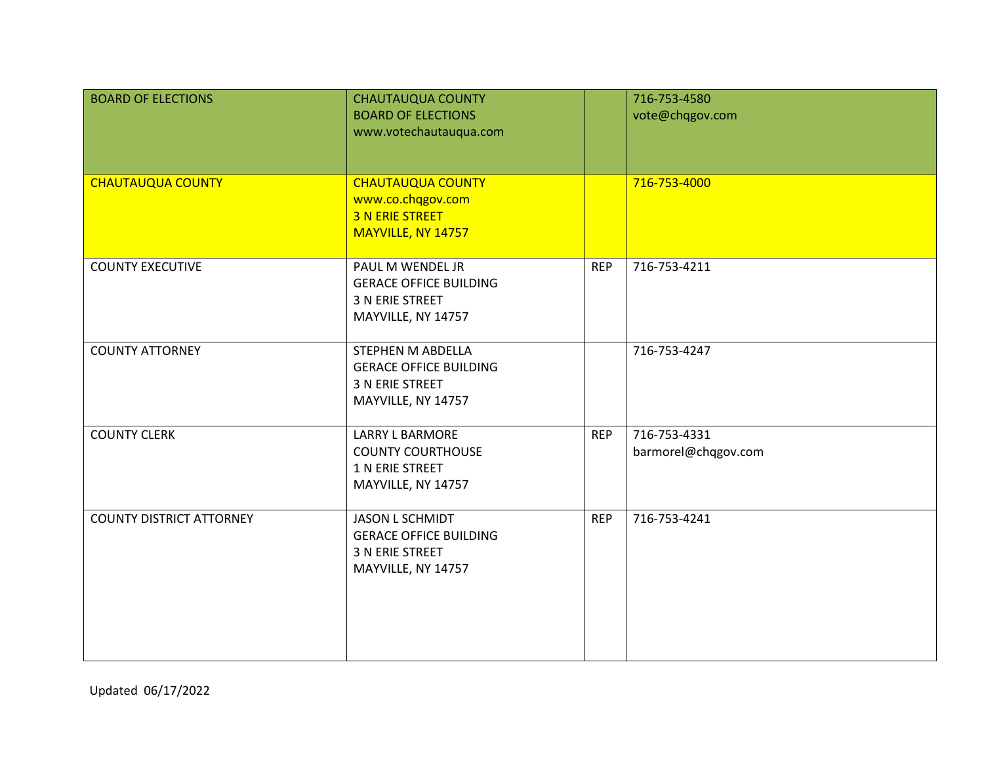| <b>BOARD OF ELECTIONS</b>       | <b>CHAUTAUQUA COUNTY</b><br><b>BOARD OF ELECTIONS</b><br>www.votechautauqua.com                  |            | 716-753-4580<br>vote@chqgov.com     |
|---------------------------------|--------------------------------------------------------------------------------------------------|------------|-------------------------------------|
| <b>CHAUTAUQUA COUNTY</b>        | <b>CHAUTAUQUA COUNTY</b><br>www.co.chqgov.com<br><b>3 N ERIE STREET</b><br>MAYVILLE, NY 14757    |            | 716-753-4000                        |
| <b>COUNTY EXECUTIVE</b>         | PAUL M WENDEL JR<br><b>GERACE OFFICE BUILDING</b><br>3 N ERIE STREET<br>MAYVILLE, NY 14757       | <b>REP</b> | 716-753-4211                        |
| <b>COUNTY ATTORNEY</b>          | STEPHEN M ABDELLA<br><b>GERACE OFFICE BUILDING</b><br>3 N ERIE STREET<br>MAYVILLE, NY 14757      |            | 716-753-4247                        |
| <b>COUNTY CLERK</b>             | <b>LARRY L BARMORE</b><br><b>COUNTY COURTHOUSE</b><br>1 N ERIE STREET<br>MAYVILLE, NY 14757      | <b>REP</b> | 716-753-4331<br>barmorel@chqgov.com |
| <b>COUNTY DISTRICT ATTORNEY</b> | <b>JASON L SCHMIDT</b><br><b>GERACE OFFICE BUILDING</b><br>3 N ERIE STREET<br>MAYVILLE, NY 14757 | <b>REP</b> | 716-753-4241                        |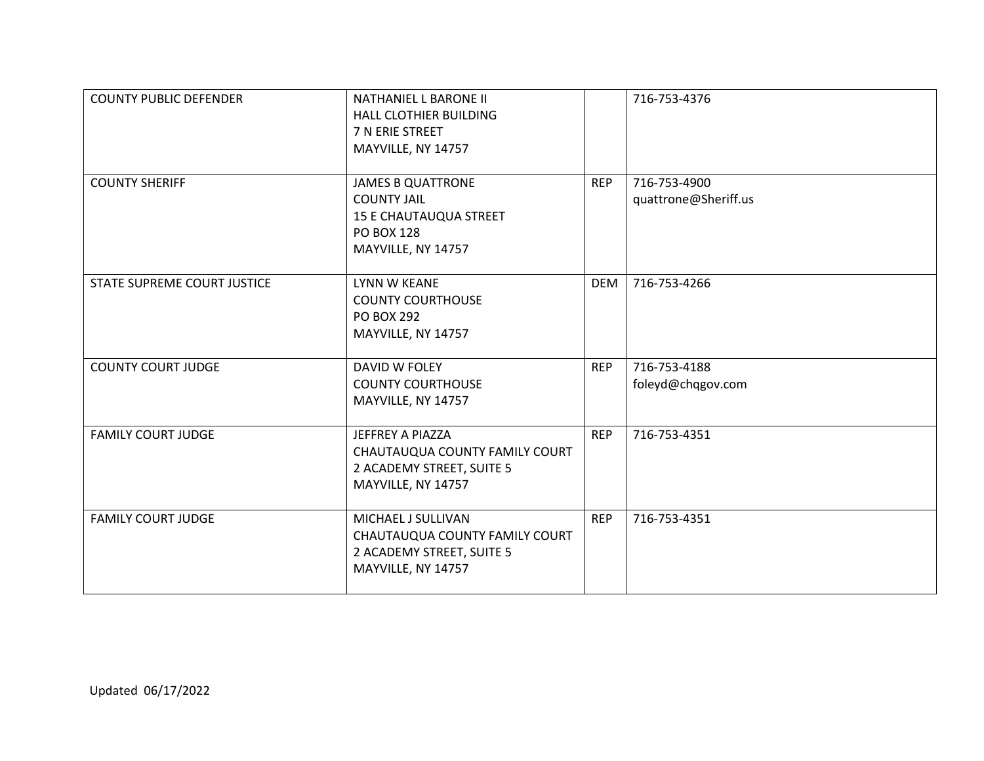| <b>COUNTY PUBLIC DEFENDER</b> | <b>NATHANIEL L BARONE II</b><br><b>HALL CLOTHIER BUILDING</b><br>7 N ERIE STREET<br>MAYVILLE, NY 14757                     |            | 716-753-4376                         |
|-------------------------------|----------------------------------------------------------------------------------------------------------------------------|------------|--------------------------------------|
| <b>COUNTY SHERIFF</b>         | <b>JAMES B QUATTRONE</b><br><b>COUNTY JAIL</b><br><b>15 E CHAUTAUQUA STREET</b><br><b>PO BOX 128</b><br>MAYVILLE, NY 14757 | <b>REP</b> | 716-753-4900<br>quattrone@Sheriff.us |
| STATE SUPREME COURT JUSTICE   | LYNN W KEANE<br><b>COUNTY COURTHOUSE</b><br><b>PO BOX 292</b><br>MAYVILLE, NY 14757                                        | <b>DEM</b> | 716-753-4266                         |
| <b>COUNTY COURT JUDGE</b>     | DAVID W FOLEY<br><b>COUNTY COURTHOUSE</b><br>MAYVILLE, NY 14757                                                            | <b>REP</b> | 716-753-4188<br>foleyd@chqgov.com    |
| <b>FAMILY COURT JUDGE</b>     | JEFFREY A PIAZZA<br>CHAUTAUQUA COUNTY FAMILY COURT<br>2 ACADEMY STREET, SUITE 5<br>MAYVILLE, NY 14757                      | <b>REP</b> | 716-753-4351                         |
| <b>FAMILY COURT JUDGE</b>     | MICHAEL J SULLIVAN<br>CHAUTAUQUA COUNTY FAMILY COURT<br>2 ACADEMY STREET, SUITE 5<br>MAYVILLE, NY 14757                    | <b>REP</b> | 716-753-4351                         |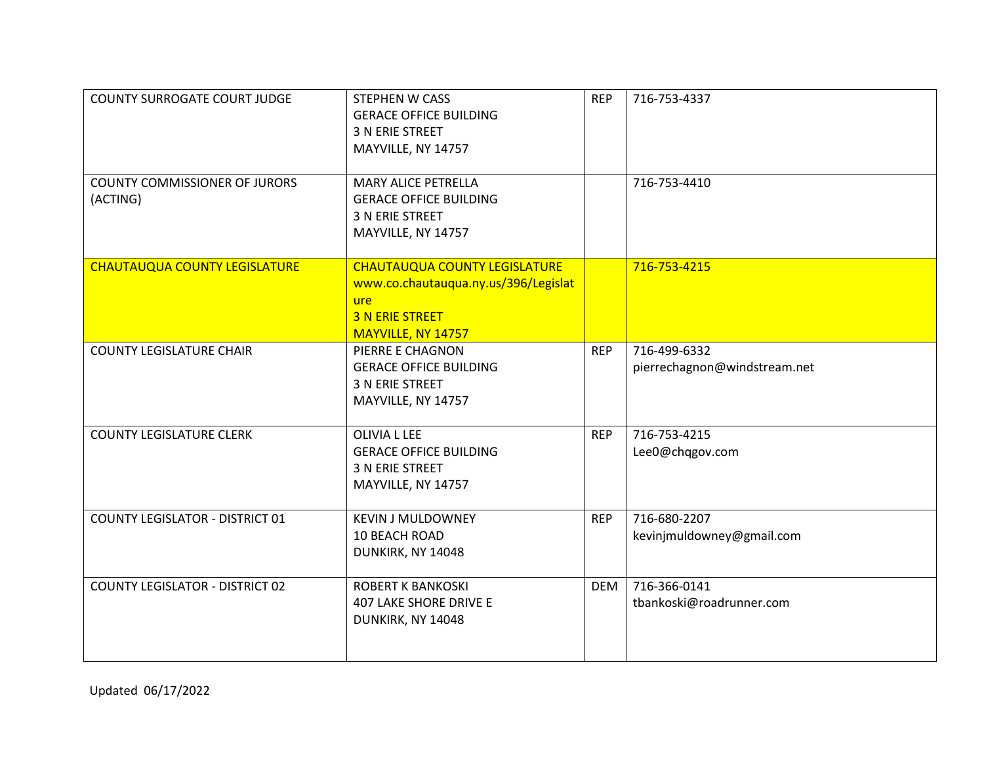| <b>COUNTY SURROGATE COURT JUDGE</b>              | <b>STEPHEN W CASS</b><br><b>GERACE OFFICE BUILDING</b><br>3 N ERIE STREET<br>MAYVILLE, NY 14757                                            | <b>REP</b> | 716-753-4337                                 |
|--------------------------------------------------|--------------------------------------------------------------------------------------------------------------------------------------------|------------|----------------------------------------------|
| <b>COUNTY COMMISSIONER OF JURORS</b><br>(ACTING) | <b>MARY ALICE PETRELLA</b><br><b>GERACE OFFICE BUILDING</b><br>3 N ERIE STREET<br>MAYVILLE, NY 14757                                       |            | 716-753-4410                                 |
| <b>CHAUTAUQUA COUNTY LEGISLATURE</b>             | <b>CHAUTAUQUA COUNTY LEGISLATURE</b><br>www.co.chautauqua.ny.us/396/Legislat<br><b>ure</b><br><b>3 N ERIE STREET</b><br>MAYVILLE, NY 14757 |            | 716-753-4215                                 |
| <b>COUNTY LEGISLATURE CHAIR</b>                  | PIERRE E CHAGNON<br><b>GERACE OFFICE BUILDING</b><br>3 N ERIE STREET<br>MAYVILLE, NY 14757                                                 | <b>REP</b> | 716-499-6332<br>pierrechagnon@windstream.net |
| <b>COUNTY LEGISLATURE CLERK</b>                  | OLIVIA L LEE<br><b>GERACE OFFICE BUILDING</b><br><b>3 N ERIE STREET</b><br>MAYVILLE, NY 14757                                              | <b>REP</b> | 716-753-4215<br>Lee0@chqgov.com              |
| <b>COUNTY LEGISLATOR - DISTRICT 01</b>           | <b>KEVIN J MULDOWNEY</b><br>10 BEACH ROAD<br>DUNKIRK, NY 14048                                                                             | <b>REP</b> | 716-680-2207<br>kevinjmuldowney@gmail.com    |
| <b>COUNTY LEGISLATOR - DISTRICT 02</b>           | <b>ROBERT K BANKOSKI</b><br><b>407 LAKE SHORE DRIVE E</b><br>DUNKIRK, NY 14048                                                             | <b>DEM</b> | 716-366-0141<br>tbankoski@roadrunner.com     |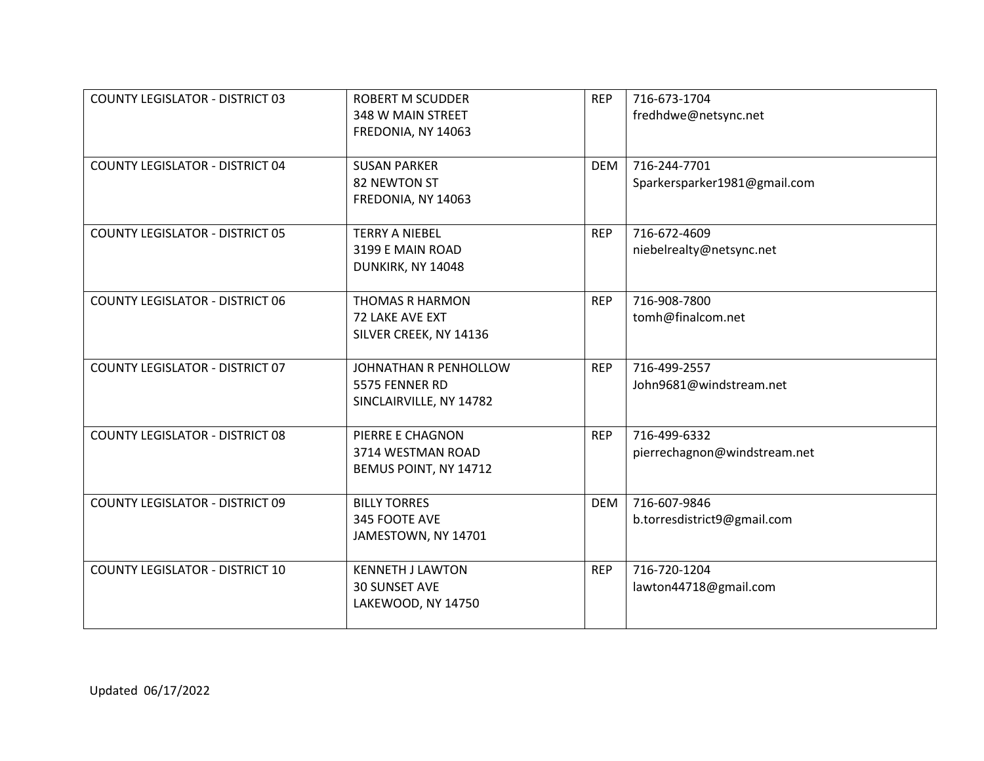| <b>COUNTY LEGISLATOR - DISTRICT 03</b> | <b>ROBERT M SCUDDER</b> | <b>REP</b> | 716-673-1704                 |
|----------------------------------------|-------------------------|------------|------------------------------|
|                                        | 348 W MAIN STREET       |            | fredhdwe@netsync.net         |
|                                        | FREDONIA, NY 14063      |            |                              |
|                                        |                         |            |                              |
| <b>COUNTY LEGISLATOR - DISTRICT 04</b> | <b>SUSAN PARKER</b>     | <b>DEM</b> | 716-244-7701                 |
|                                        | 82 NEWTON ST            |            | Sparkersparker1981@gmail.com |
|                                        | FREDONIA, NY 14063      |            |                              |
|                                        |                         |            |                              |
| <b>COUNTY LEGISLATOR - DISTRICT 05</b> | <b>TERRY A NIEBEL</b>   | <b>REP</b> | 716-672-4609                 |
|                                        | 3199 E MAIN ROAD        |            | niebelrealty@netsync.net     |
|                                        | DUNKIRK, NY 14048       |            |                              |
|                                        |                         |            |                              |
| <b>COUNTY LEGISLATOR - DISTRICT 06</b> | <b>THOMAS R HARMON</b>  | <b>REP</b> | 716-908-7800                 |
|                                        | 72 LAKE AVE EXT         |            | tomh@finalcom.net            |
|                                        | SILVER CREEK, NY 14136  |            |                              |
|                                        |                         |            |                              |
| <b>COUNTY LEGISLATOR - DISTRICT 07</b> | JOHNATHAN R PENHOLLOW   | <b>REP</b> | 716-499-2557                 |
|                                        | 5575 FENNER RD          |            | John9681@windstream.net      |
|                                        | SINCLAIRVILLE, NY 14782 |            |                              |
|                                        |                         |            |                              |
| <b>COUNTY LEGISLATOR - DISTRICT 08</b> | PIERRE E CHAGNON        | <b>REP</b> | 716-499-6332                 |
|                                        | 3714 WESTMAN ROAD       |            | pierrechagnon@windstream.net |
|                                        | BEMUS POINT, NY 14712   |            |                              |
|                                        |                         |            |                              |
| <b>COUNTY LEGISLATOR - DISTRICT 09</b> | <b>BILLY TORRES</b>     | <b>DEM</b> | 716-607-9846                 |
|                                        | 345 FOOTE AVE           |            | b.torresdistrict9@gmail.com  |
|                                        | JAMESTOWN, NY 14701     |            |                              |
|                                        |                         |            |                              |
| <b>COUNTY LEGISLATOR - DISTRICT 10</b> | <b>KENNETH J LAWTON</b> | <b>REP</b> | 716-720-1204                 |
|                                        | <b>30 SUNSET AVE</b>    |            | lawton44718@gmail.com        |
|                                        | LAKEWOOD, NY 14750      |            |                              |
|                                        |                         |            |                              |
|                                        |                         |            |                              |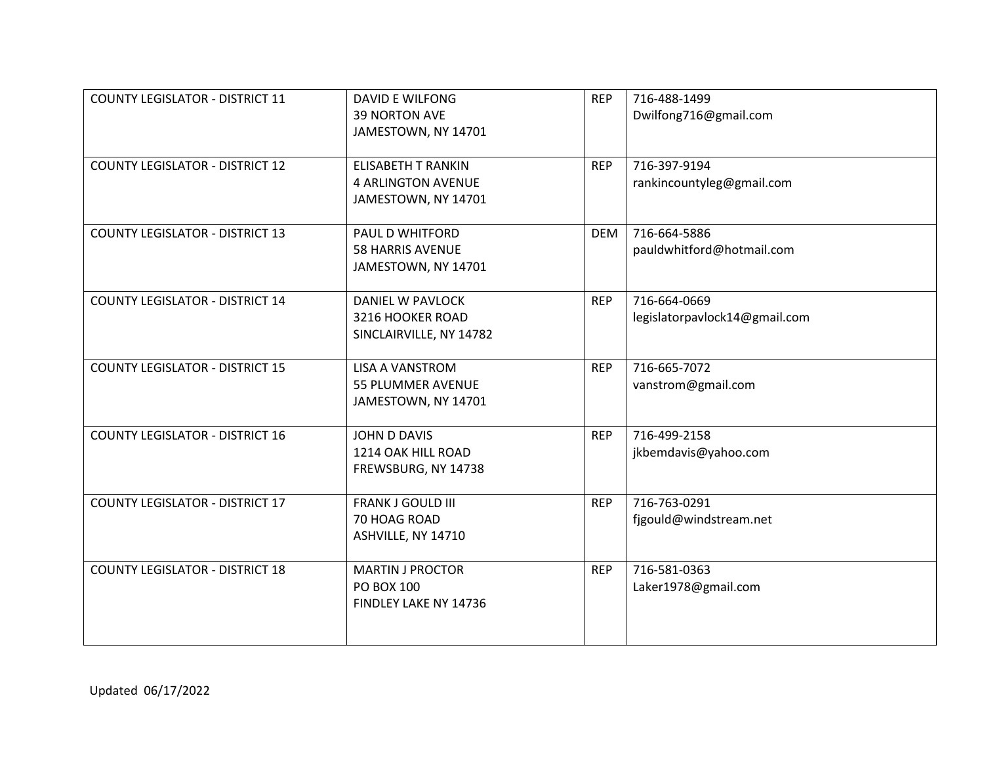| <b>COUNTY LEGISLATOR - DISTRICT 11</b> | <b>DAVID E WILFONG</b><br><b>39 NORTON AVE</b><br>JAMESTOWN, NY 14701         | <b>REP</b> | 716-488-1499<br>Dwilfong716@gmail.com         |
|----------------------------------------|-------------------------------------------------------------------------------|------------|-----------------------------------------------|
| <b>COUNTY LEGISLATOR - DISTRICT 12</b> | <b>ELISABETH T RANKIN</b><br><b>4 ARLINGTON AVENUE</b><br>JAMESTOWN, NY 14701 | <b>REP</b> | 716-397-9194<br>rankincountyleg@gmail.com     |
| <b>COUNTY LEGISLATOR - DISTRICT 13</b> | PAUL D WHITFORD<br><b>58 HARRIS AVENUE</b><br>JAMESTOWN, NY 14701             | <b>DEM</b> | 716-664-5886<br>pauldwhitford@hotmail.com     |
| <b>COUNTY LEGISLATOR - DISTRICT 14</b> | <b>DANIEL W PAVLOCK</b><br>3216 HOOKER ROAD<br>SINCLAIRVILLE, NY 14782        | <b>REP</b> | 716-664-0669<br>legislatorpavlock14@gmail.com |
| <b>COUNTY LEGISLATOR - DISTRICT 15</b> | <b>LISA A VANSTROM</b><br>55 PLUMMER AVENUE<br>JAMESTOWN, NY 14701            | <b>REP</b> | 716-665-7072<br>vanstrom@gmail.com            |
| <b>COUNTY LEGISLATOR - DISTRICT 16</b> | JOHN D DAVIS<br>1214 OAK HILL ROAD<br>FREWSBURG, NY 14738                     | <b>REP</b> | 716-499-2158<br>jkbemdavis@yahoo.com          |
| <b>COUNTY LEGISLATOR - DISTRICT 17</b> | <b>FRANK J GOULD III</b><br>70 HOAG ROAD<br>ASHVILLE, NY 14710                | <b>REP</b> | 716-763-0291<br>fjgould@windstream.net        |
| <b>COUNTY LEGISLATOR - DISTRICT 18</b> | <b>MARTIN J PROCTOR</b><br>PO BOX 100<br>FINDLEY LAKE NY 14736                | <b>REP</b> | 716-581-0363<br>Laker1978@gmail.com           |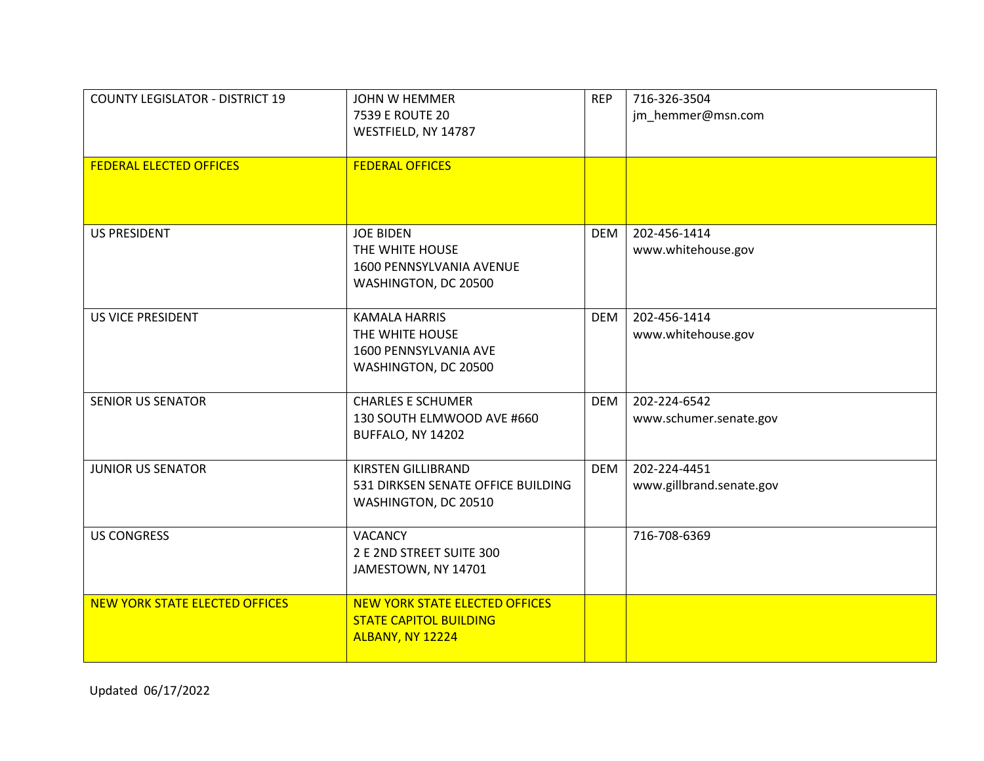| <b>COUNTY LEGISLATOR - DISTRICT 19</b><br><b>FEDERAL ELECTED OFFICES</b> | <b>JOHN W HEMMER</b><br>7539 E ROUTE 20<br>WESTFIELD, NY 14787<br><b>FEDERAL OFFICES</b>   | <b>REP</b> | 716-326-3504<br>jm_hemmer@msn.com        |
|--------------------------------------------------------------------------|--------------------------------------------------------------------------------------------|------------|------------------------------------------|
|                                                                          |                                                                                            |            |                                          |
| <b>US PRESIDENT</b>                                                      | <b>JOE BIDEN</b><br>THE WHITE HOUSE<br>1600 PENNSYLVANIA AVENUE<br>WASHINGTON, DC 20500    | <b>DEM</b> | 202-456-1414<br>www.whitehouse.gov       |
| <b>US VICE PRESIDENT</b>                                                 | <b>KAMALA HARRIS</b><br>THE WHITE HOUSE<br>1600 PENNSYLVANIA AVE<br>WASHINGTON, DC 20500   | <b>DEM</b> | 202-456-1414<br>www.whitehouse.gov       |
| <b>SENIOR US SENATOR</b>                                                 | <b>CHARLES E SCHUMER</b><br>130 SOUTH ELMWOOD AVE #660<br>BUFFALO, NY 14202                | <b>DEM</b> | 202-224-6542<br>www.schumer.senate.gov   |
| <b>JUNIOR US SENATOR</b>                                                 | <b>KIRSTEN GILLIBRAND</b><br>531 DIRKSEN SENATE OFFICE BUILDING<br>WASHINGTON, DC 20510    | <b>DEM</b> | 202-224-4451<br>www.gillbrand.senate.gov |
| <b>US CONGRESS</b>                                                       | <b>VACANCY</b><br>2 E 2ND STREET SUITE 300<br>JAMESTOWN, NY 14701                          |            | 716-708-6369                             |
| <b>NEW YORK STATE ELECTED OFFICES</b>                                    | <b>NEW YORK STATE ELECTED OFFICES</b><br><b>STATE CAPITOL BUILDING</b><br>ALBANY, NY 12224 |            |                                          |

Updated 06/17/2022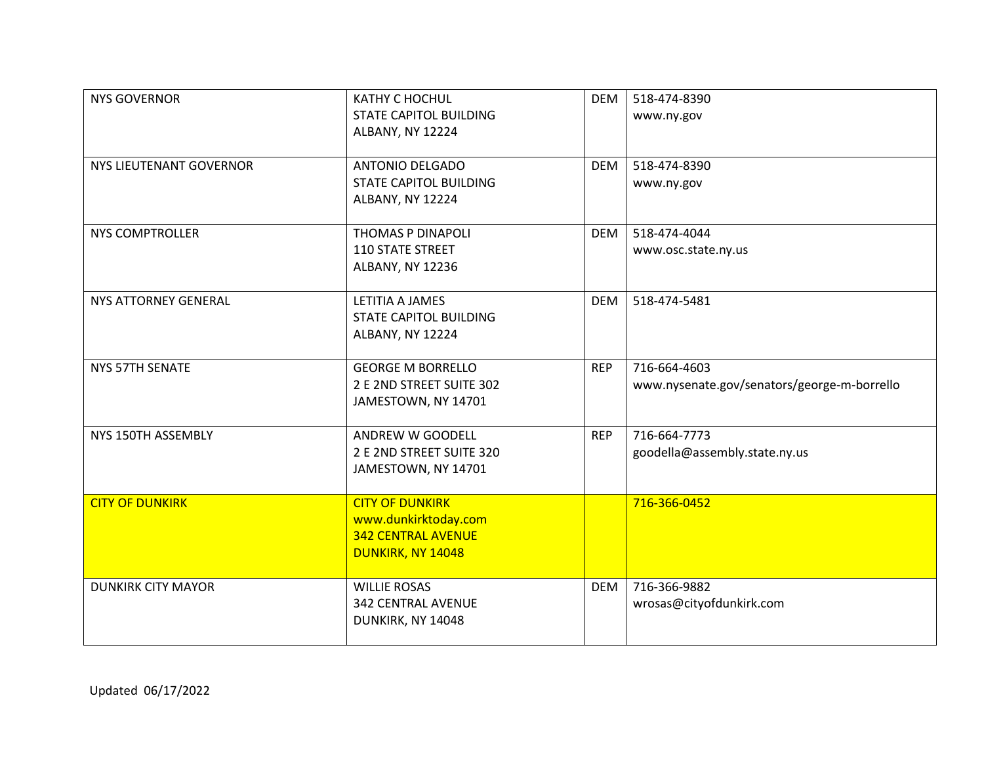| <b>NYS GOVERNOR</b>            | KATHY C HOCHUL<br><b>STATE CAPITOL BUILDING</b><br>ALBANY, NY 12224                              | <b>DEM</b> | 518-474-8390<br>www.ny.gov                                  |
|--------------------------------|--------------------------------------------------------------------------------------------------|------------|-------------------------------------------------------------|
| <b>NYS LIEUTENANT GOVERNOR</b> | <b>ANTONIO DELGADO</b><br><b>STATE CAPITOL BUILDING</b><br>ALBANY, NY 12224                      | <b>DEM</b> | 518-474-8390<br>www.ny.gov                                  |
| <b>NYS COMPTROLLER</b>         | THOMAS P DINAPOLI<br><b>110 STATE STREET</b><br>ALBANY, NY 12236                                 | <b>DEM</b> | 518-474-4044<br>www.osc.state.ny.us                         |
| <b>NYS ATTORNEY GENERAL</b>    | LETITIA A JAMES<br><b>STATE CAPITOL BUILDING</b><br>ALBANY, NY 12224                             | <b>DEM</b> | 518-474-5481                                                |
| NYS 57TH SENATE                | <b>GEORGE M BORRELLO</b><br>2 E 2ND STREET SUITE 302<br>JAMESTOWN, NY 14701                      | <b>REP</b> | 716-664-4603<br>www.nysenate.gov/senators/george-m-borrello |
| NYS 150TH ASSEMBLY             | ANDREW W GOODELL<br>2 E 2ND STREET SUITE 320<br>JAMESTOWN, NY 14701                              | <b>REP</b> | 716-664-7773<br>goodella@assembly.state.ny.us               |
| <b>CITY OF DUNKIRK</b>         | <b>CITY OF DUNKIRK</b><br>www.dunkirktoday.com<br><b>342 CENTRAL AVENUE</b><br>DUNKIRK, NY 14048 |            | 716-366-0452                                                |
| <b>DUNKIRK CITY MAYOR</b>      | <b>WILLIE ROSAS</b><br><b>342 CENTRAL AVENUE</b><br>DUNKIRK, NY 14048                            | <b>DEM</b> | 716-366-9882<br>wrosas@cityofdunkirk.com                    |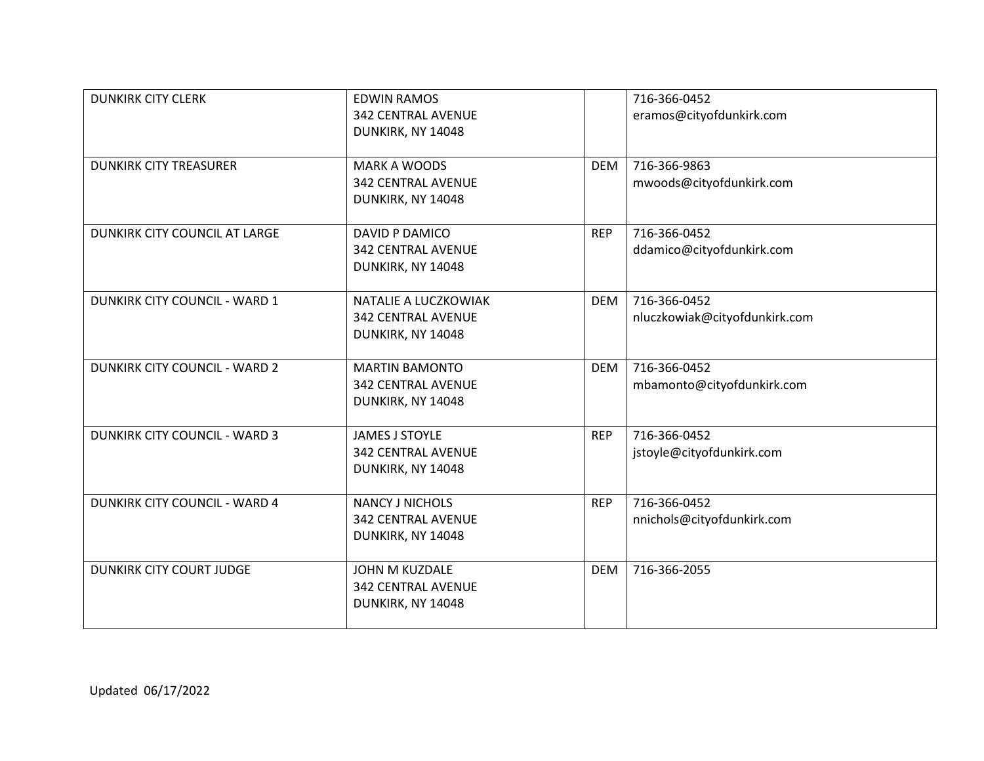| <b>DUNKIRK CITY CLERK</b>            | <b>EDWIN RAMOS</b>        |            | 716-366-0452                  |
|--------------------------------------|---------------------------|------------|-------------------------------|
|                                      | <b>342 CENTRAL AVENUE</b> |            | eramos@cityofdunkirk.com      |
|                                      | DUNKIRK, NY 14048         |            |                               |
|                                      |                           |            |                               |
| <b>DUNKIRK CITY TREASURER</b>        | <b>MARK A WOODS</b>       | <b>DEM</b> | 716-366-9863                  |
|                                      | <b>342 CENTRAL AVENUE</b> |            | mwoods@cityofdunkirk.com      |
|                                      | DUNKIRK, NY 14048         |            |                               |
|                                      |                           |            |                               |
| DUNKIRK CITY COUNCIL AT LARGE        | <b>DAVID P DAMICO</b>     | <b>REP</b> | 716-366-0452                  |
|                                      | <b>342 CENTRAL AVENUE</b> |            | ddamico@cityofdunkirk.com     |
|                                      | DUNKIRK, NY 14048         |            |                               |
|                                      |                           |            |                               |
| DUNKIRK CITY COUNCIL - WARD 1        | NATALIE A LUCZKOWIAK      | <b>DEM</b> | 716-366-0452                  |
|                                      | <b>342 CENTRAL AVENUE</b> |            | nluczkowiak@cityofdunkirk.com |
|                                      | DUNKIRK, NY 14048         |            |                               |
|                                      |                           |            |                               |
| <b>DUNKIRK CITY COUNCIL - WARD 2</b> | <b>MARTIN BAMONTO</b>     | <b>DEM</b> | 716-366-0452                  |
|                                      | <b>342 CENTRAL AVENUE</b> |            | mbamonto@cityofdunkirk.com    |
|                                      | DUNKIRK, NY 14048         |            |                               |
|                                      |                           |            |                               |
| <b>DUNKIRK CITY COUNCIL - WARD 3</b> | <b>JAMES J STOYLE</b>     | <b>REP</b> | 716-366-0452                  |
|                                      | <b>342 CENTRAL AVENUE</b> |            | jstoyle@cityofdunkirk.com     |
|                                      | DUNKIRK, NY 14048         |            |                               |
|                                      |                           |            |                               |
| <b>DUNKIRK CITY COUNCIL - WARD 4</b> | <b>NANCY J NICHOLS</b>    | <b>REP</b> | 716-366-0452                  |
|                                      | <b>342 CENTRAL AVENUE</b> |            | nnichols@cityofdunkirk.com    |
|                                      | DUNKIRK, NY 14048         |            |                               |
|                                      |                           |            |                               |
| <b>DUNKIRK CITY COURT JUDGE</b>      | JOHN M KUZDALE            | <b>DEM</b> | 716-366-2055                  |
|                                      | <b>342 CENTRAL AVENUE</b> |            |                               |
|                                      | DUNKIRK, NY 14048         |            |                               |
|                                      |                           |            |                               |
|                                      |                           |            |                               |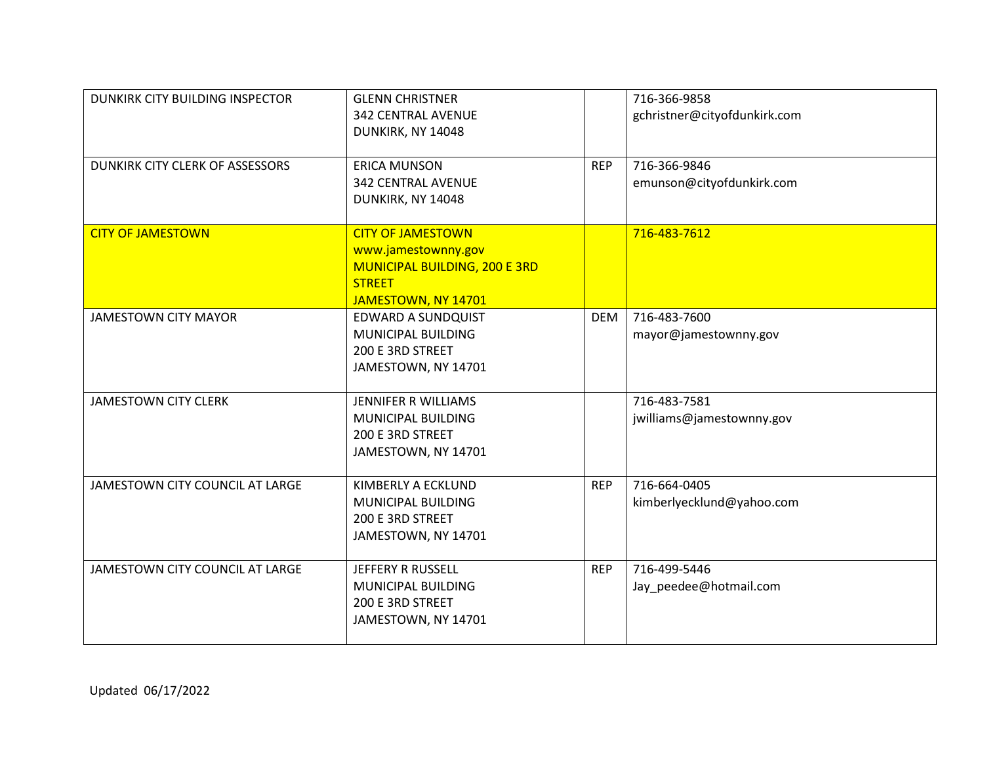| DUNKIRK CITY BUILDING INSPECTOR | <b>GLENN CHRISTNER</b><br><b>342 CENTRAL AVENUE</b><br>DUNKIRK, NY 14048                                                 |            | 716-366-9858<br>gchristner@cityofdunkirk.com |
|---------------------------------|--------------------------------------------------------------------------------------------------------------------------|------------|----------------------------------------------|
| DUNKIRK CITY CLERK OF ASSESSORS | <b>ERICA MUNSON</b><br><b>342 CENTRAL AVENUE</b><br>DUNKIRK, NY 14048                                                    | <b>REP</b> | 716-366-9846<br>emunson@cityofdunkirk.com    |
| <b>CITY OF JAMESTOWN</b>        | <b>CITY OF JAMESTOWN</b><br>www.jamestownny.gov<br>MUNICIPAL BUILDING, 200 E 3RD<br><b>STREET</b><br>JAMESTOWN, NY 14701 |            | 716-483-7612                                 |
| <b>JAMESTOWN CITY MAYOR</b>     | <b>EDWARD A SUNDQUIST</b><br>MUNICIPAL BUILDING<br>200 E 3RD STREET<br>JAMESTOWN, NY 14701                               | <b>DEM</b> | 716-483-7600<br>mayor@jamestownny.gov        |
| <b>JAMESTOWN CITY CLERK</b>     | JENNIFER R WILLIAMS<br>MUNICIPAL BUILDING<br>200 E 3RD STREET<br>JAMESTOWN, NY 14701                                     |            | 716-483-7581<br>jwilliams@jamestownny.gov    |
| JAMESTOWN CITY COUNCIL AT LARGE | KIMBERLY A ECKLUND<br>MUNICIPAL BUILDING<br>200 E 3RD STREET<br>JAMESTOWN, NY 14701                                      | <b>REP</b> | 716-664-0405<br>kimberlyecklund@yahoo.com    |
| JAMESTOWN CITY COUNCIL AT LARGE | JEFFERY R RUSSELL<br>MUNICIPAL BUILDING<br>200 E 3RD STREET<br>JAMESTOWN, NY 14701                                       | <b>REP</b> | 716-499-5446<br>Jay_peedee@hotmail.com       |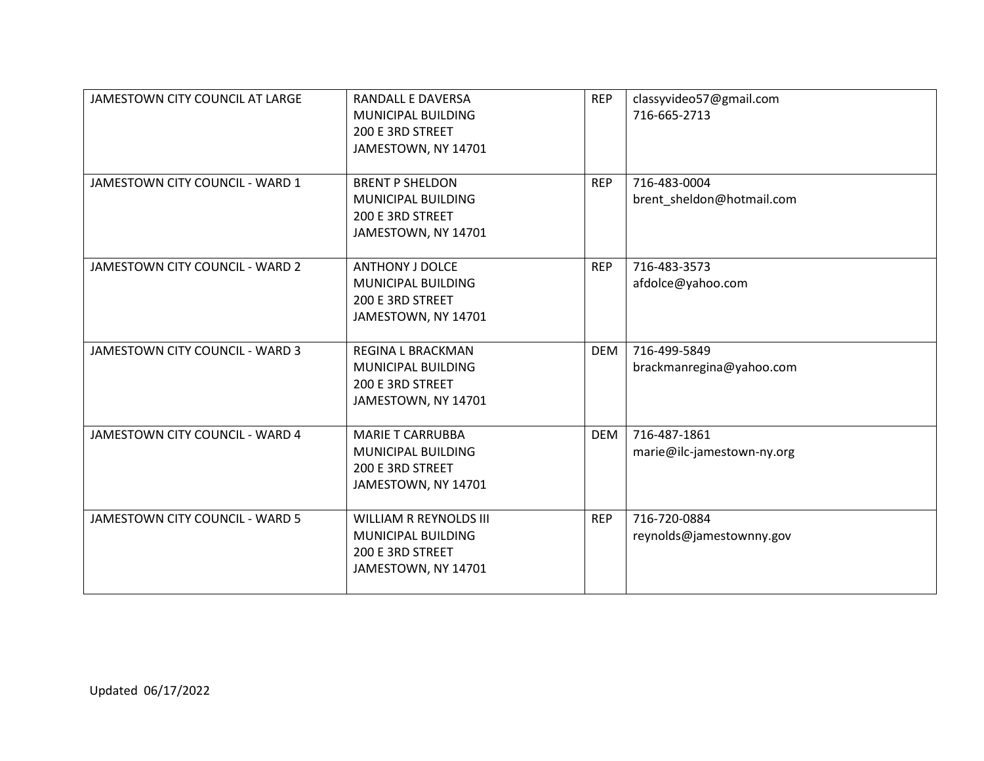| JAMESTOWN CITY COUNCIL AT LARGE        | <b>RANDALL E DAVERSA</b><br>MUNICIPAL BUILDING<br>200 E 3RD STREET<br>JAMESTOWN, NY 14701      | <b>REP</b> | classyvideo57@gmail.com<br>716-665-2713    |
|----------------------------------------|------------------------------------------------------------------------------------------------|------------|--------------------------------------------|
| JAMESTOWN CITY COUNCIL - WARD 1        | <b>BRENT P SHELDON</b><br>MUNICIPAL BUILDING<br>200 E 3RD STREET<br>JAMESTOWN, NY 14701        | <b>REP</b> | 716-483-0004<br>brent_sheldon@hotmail.com  |
| JAMESTOWN CITY COUNCIL - WARD 2        | <b>ANTHONY J DOLCE</b><br>MUNICIPAL BUILDING<br>200 E 3RD STREET<br>JAMESTOWN, NY 14701        | <b>REP</b> | 716-483-3573<br>afdolce@yahoo.com          |
| JAMESTOWN CITY COUNCIL - WARD 3        | <b>REGINA L BRACKMAN</b><br>MUNICIPAL BUILDING<br>200 E 3RD STREET<br>JAMESTOWN, NY 14701      | <b>DEM</b> | 716-499-5849<br>brackmanregina@yahoo.com   |
| JAMESTOWN CITY COUNCIL - WARD 4        | <b>MARIE T CARRUBBA</b><br>MUNICIPAL BUILDING<br>200 E 3RD STREET<br>JAMESTOWN, NY 14701       | <b>DEM</b> | 716-487-1861<br>marie@ilc-jamestown-ny.org |
| <b>JAMESTOWN CITY COUNCIL - WARD 5</b> | <b>WILLIAM R REYNOLDS III</b><br>MUNICIPAL BUILDING<br>200 E 3RD STREET<br>JAMESTOWN, NY 14701 | <b>REP</b> | 716-720-0884<br>reynolds@jamestownny.gov   |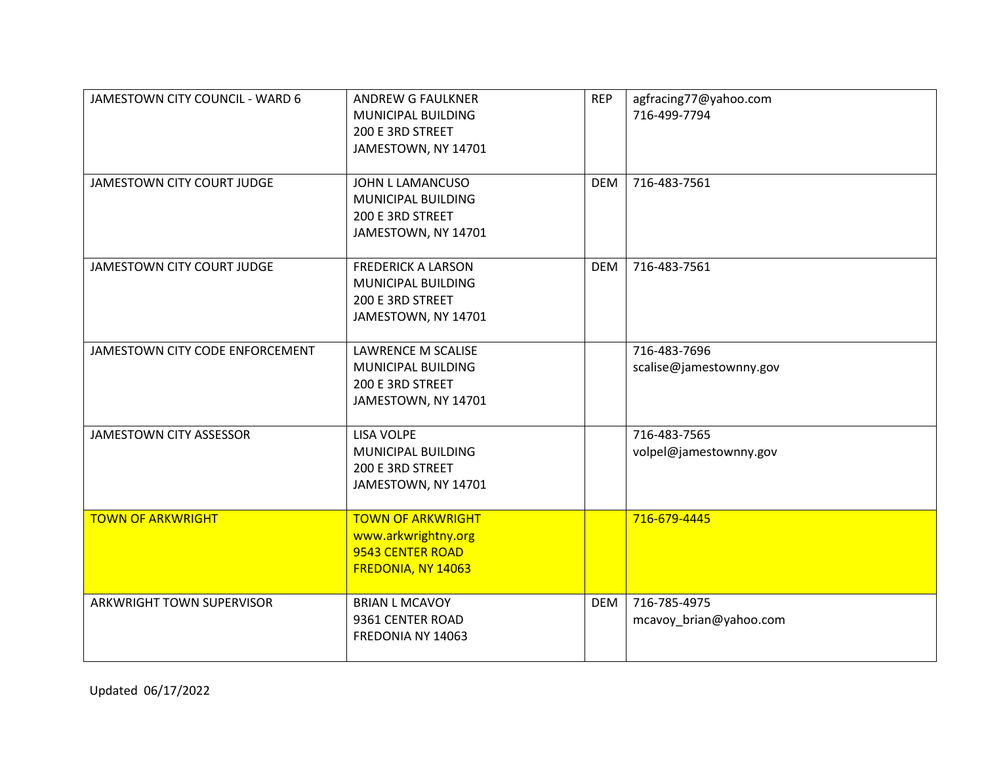| JAMESTOWN CITY COUNCIL - WARD 6 | <b>ANDREW G FAULKNER</b><br>MUNICIPAL BUILDING<br>200 E 3RD STREET<br>JAMESTOWN, NY 14701  | <b>REP</b> | agfracing77@yahoo.com<br>716-499-7794   |
|---------------------------------|--------------------------------------------------------------------------------------------|------------|-----------------------------------------|
| JAMESTOWN CITY COURT JUDGE      | JOHN L LAMANCUSO<br>MUNICIPAL BUILDING<br>200 E 3RD STREET<br>JAMESTOWN, NY 14701          | <b>DEM</b> | 716-483-7561                            |
| JAMESTOWN CITY COURT JUDGE      | <b>FREDERICK A LARSON</b><br>MUNICIPAL BUILDING<br>200 E 3RD STREET<br>JAMESTOWN, NY 14701 | <b>DEM</b> | 716-483-7561                            |
| JAMESTOWN CITY CODE ENFORCEMENT | <b>LAWRENCE M SCALISE</b><br>MUNICIPAL BUILDING<br>200 E 3RD STREET<br>JAMESTOWN, NY 14701 |            | 716-483-7696<br>scalise@jamestownny.gov |
| JAMESTOWN CITY ASSESSOR         | <b>LISA VOLPE</b><br>MUNICIPAL BUILDING<br>200 E 3RD STREET<br>JAMESTOWN, NY 14701         |            | 716-483-7565<br>volpel@jamestownny.gov  |
| <b>TOWN OF ARKWRIGHT</b>        | <b>TOWN OF ARKWRIGHT</b><br>www.arkwrightny.org<br>9543 CENTER ROAD<br>FREDONIA, NY 14063  |            | 716-679-4445                            |
| ARKWRIGHT TOWN SUPERVISOR       | <b>BRIAN L MCAVOY</b><br>9361 CENTER ROAD<br>FREDONIA NY 14063                             | <b>DEM</b> | 716-785-4975<br>mcavoy_brian@yahoo.com  |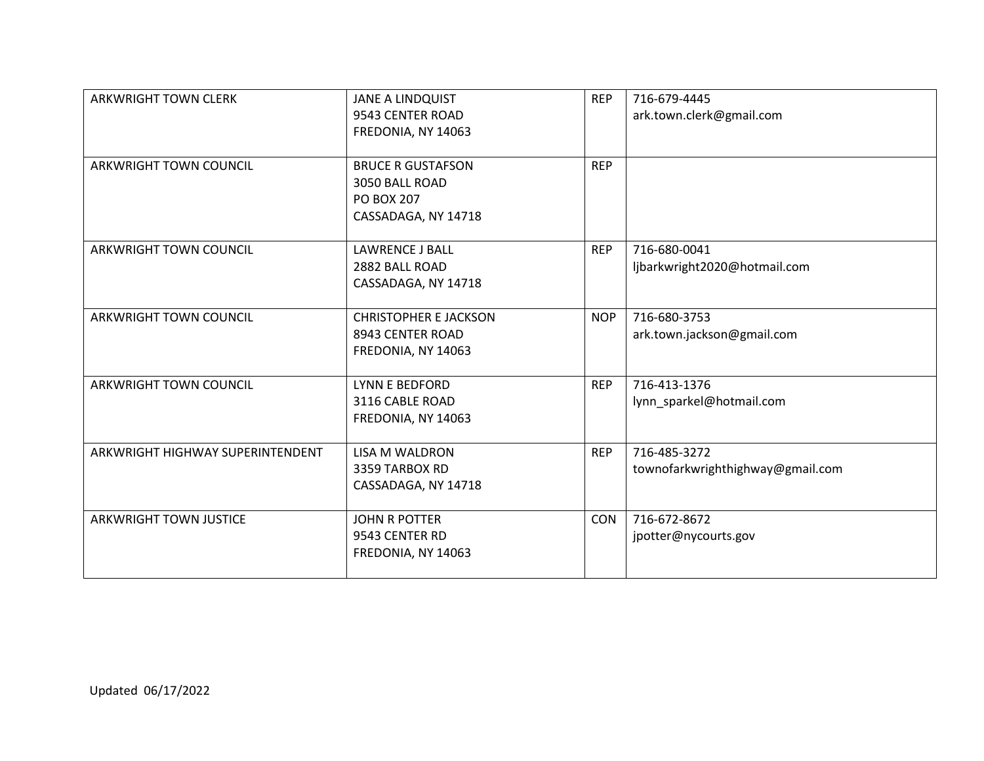| <b>ARKWRIGHT TOWN CLERK</b>      | <b>JANE A LINDQUIST</b><br>9543 CENTER ROAD<br>FREDONIA, NY 14063                      | <b>REP</b> | 716-679-4445<br>ark.town.clerk@gmail.com         |
|----------------------------------|----------------------------------------------------------------------------------------|------------|--------------------------------------------------|
| <b>ARKWRIGHT TOWN COUNCIL</b>    | <b>BRUCE R GUSTAFSON</b><br>3050 BALL ROAD<br><b>PO BOX 207</b><br>CASSADAGA, NY 14718 | <b>REP</b> |                                                  |
| ARKWRIGHT TOWN COUNCIL           | <b>LAWRENCE J BALL</b><br>2882 BALL ROAD<br>CASSADAGA, NY 14718                        | <b>REP</b> | 716-680-0041<br>ljbarkwright2020@hotmail.com     |
| ARKWRIGHT TOWN COUNCIL           | <b>CHRISTOPHER E JACKSON</b><br>8943 CENTER ROAD<br>FREDONIA, NY 14063                 | <b>NOP</b> | 716-680-3753<br>ark.town.jackson@gmail.com       |
| <b>ARKWRIGHT TOWN COUNCIL</b>    | LYNN E BEDFORD<br>3116 CABLE ROAD<br>FREDONIA, NY 14063                                | <b>REP</b> | 716-413-1376<br>lynn_sparkel@hotmail.com         |
| ARKWRIGHT HIGHWAY SUPERINTENDENT | <b>LISA M WALDRON</b><br>3359 TARBOX RD<br>CASSADAGA, NY 14718                         | <b>REP</b> | 716-485-3272<br>townofarkwrighthighway@gmail.com |
| <b>ARKWRIGHT TOWN JUSTICE</b>    | <b>JOHN R POTTER</b><br>9543 CENTER RD<br>FREDONIA, NY 14063                           | CON        | 716-672-8672<br>jpotter@nycourts.gov             |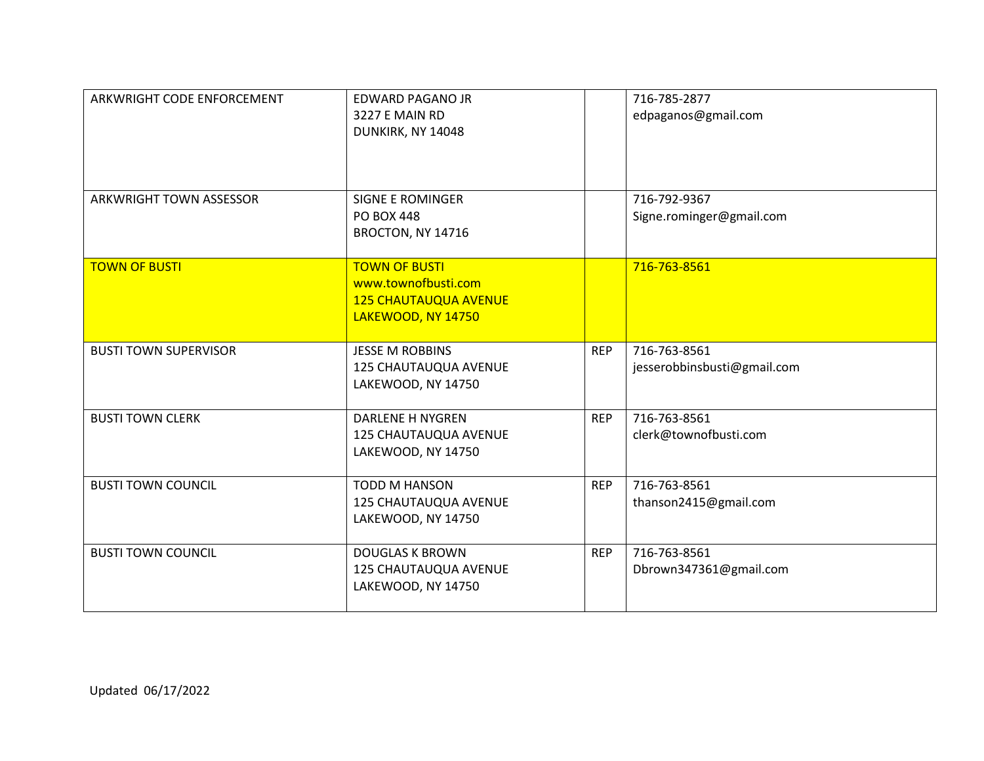| ARKWRIGHT CODE ENFORCEMENT     | <b>EDWARD PAGANO JR</b><br>3227 E MAIN RD<br>DUNKIRK, NY 14048                                    |            | 716-785-2877<br>edpaganos@gmail.com         |
|--------------------------------|---------------------------------------------------------------------------------------------------|------------|---------------------------------------------|
| <b>ARKWRIGHT TOWN ASSESSOR</b> | <b>SIGNE E ROMINGER</b><br><b>PO BOX 448</b><br>BROCTON, NY 14716                                 |            | 716-792-9367<br>Signe.rominger@gmail.com    |
| <b>TOWN OF BUSTI</b>           | <b>TOWN OF BUSTI</b><br>www.townofbusti.com<br><b>125 CHAUTAUQUA AVENUE</b><br>LAKEWOOD, NY 14750 |            | 716-763-8561                                |
| <b>BUSTI TOWN SUPERVISOR</b>   | <b>JESSE M ROBBINS</b><br>125 CHAUTAUQUA AVENUE<br>LAKEWOOD, NY 14750                             | <b>REP</b> | 716-763-8561<br>jesserobbinsbusti@gmail.com |
| <b>BUSTI TOWN CLERK</b>        | <b>DARLENE H NYGREN</b><br>125 CHAUTAUQUA AVENUE<br>LAKEWOOD, NY 14750                            | <b>REP</b> | 716-763-8561<br>clerk@townofbusti.com       |
| <b>BUSTI TOWN COUNCIL</b>      | TODD M HANSON<br>125 CHAUTAUQUA AVENUE<br>LAKEWOOD, NY 14750                                      | <b>REP</b> | 716-763-8561<br>thanson2415@gmail.com       |
| <b>BUSTI TOWN COUNCIL</b>      | <b>DOUGLAS K BROWN</b><br>125 CHAUTAUQUA AVENUE<br>LAKEWOOD, NY 14750                             | <b>REP</b> | 716-763-8561<br>Dbrown347361@gmail.com      |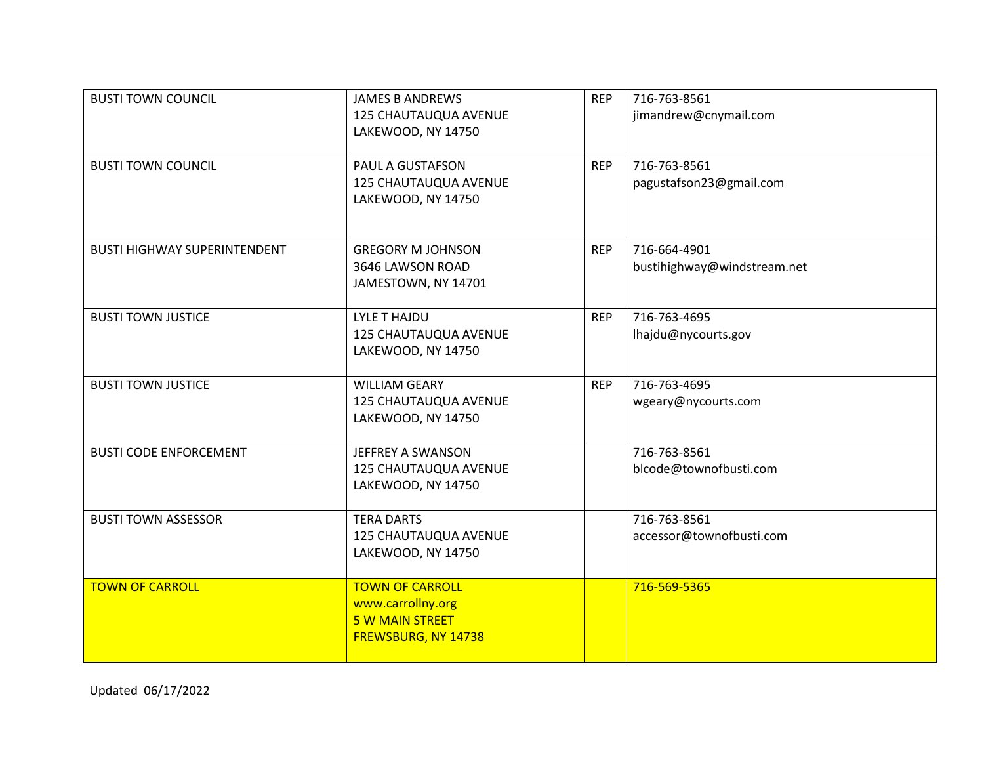| <b>BUSTI TOWN COUNCIL</b>           | <b>JAMES B ANDREWS</b><br>125 CHAUTAUQUA AVENUE<br>LAKEWOOD, NY 14750                        | <b>REP</b> | 716-763-8561<br>jimandrew@cnymail.com       |
|-------------------------------------|----------------------------------------------------------------------------------------------|------------|---------------------------------------------|
| <b>BUSTI TOWN COUNCIL</b>           | PAUL A GUSTAFSON<br>125 CHAUTAUQUA AVENUE<br>LAKEWOOD, NY 14750                              | <b>REP</b> | 716-763-8561<br>pagustafson23@gmail.com     |
| <b>BUSTI HIGHWAY SUPERINTENDENT</b> | <b>GREGORY M JOHNSON</b><br>3646 LAWSON ROAD<br>JAMESTOWN, NY 14701                          | <b>REP</b> | 716-664-4901<br>bustihighway@windstream.net |
| <b>BUSTI TOWN JUSTICE</b>           | <b>LYLE T HAJDU</b><br>125 CHAUTAUQUA AVENUE<br>LAKEWOOD, NY 14750                           | <b>REP</b> | 716-763-4695<br>lhajdu@nycourts.gov         |
| <b>BUSTI TOWN JUSTICE</b>           | <b>WILLIAM GEARY</b><br>125 CHAUTAUQUA AVENUE<br>LAKEWOOD, NY 14750                          | <b>REP</b> | 716-763-4695<br>wgeary@nycourts.com         |
| <b>BUSTI CODE ENFORCEMENT</b>       | JEFFREY A SWANSON<br>125 CHAUTAUQUA AVENUE<br>LAKEWOOD, NY 14750                             |            | 716-763-8561<br>blcode@townofbusti.com      |
| <b>BUSTI TOWN ASSESSOR</b>          | <b>TERA DARTS</b><br>125 CHAUTAUQUA AVENUE<br>LAKEWOOD, NY 14750                             |            | 716-763-8561<br>accessor@townofbusti.com    |
| <b>TOWN OF CARROLL</b>              | <b>TOWN OF CARROLL</b><br>www.carrollny.org<br><b>5 W MAIN STREET</b><br>FREWSBURG, NY 14738 |            | 716-569-5365                                |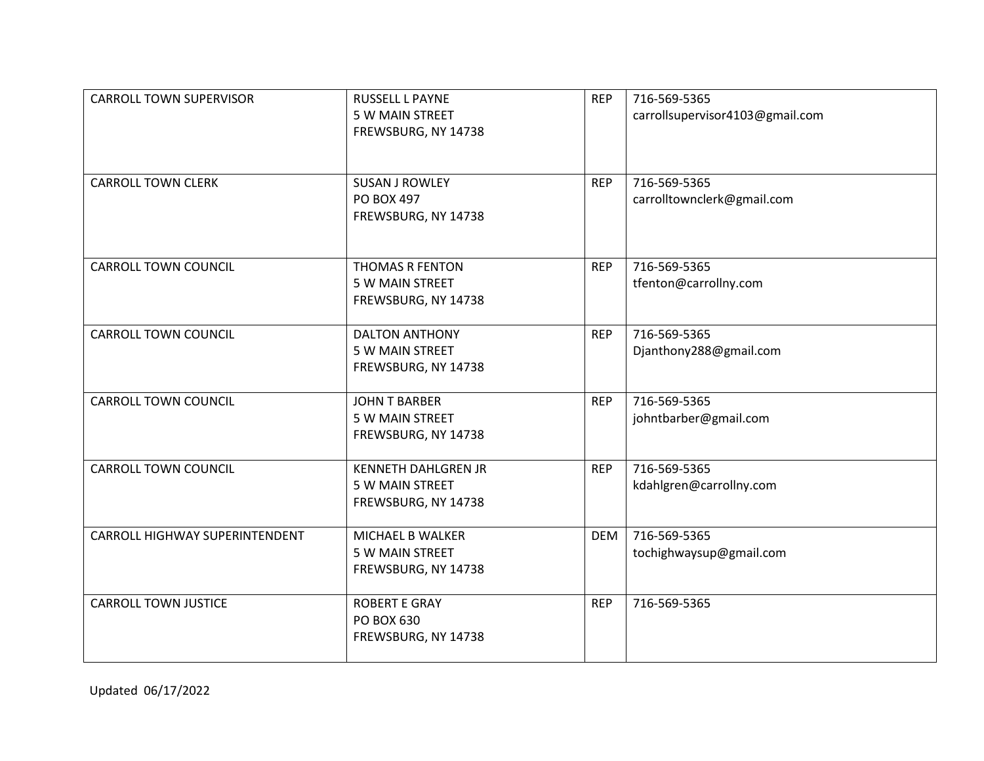| <b>CARROLL TOWN SUPERVISOR</b> | RUSSELL L PAYNE<br>5 W MAIN STREET<br>FREWSBURG, NY 14738            | <b>REP</b> | 716-569-5365<br>carrollsupervisor4103@gmail.com |
|--------------------------------|----------------------------------------------------------------------|------------|-------------------------------------------------|
| <b>CARROLL TOWN CLERK</b>      | <b>SUSAN J ROWLEY</b><br><b>PO BOX 497</b><br>FREWSBURG, NY 14738    | <b>REP</b> | 716-569-5365<br>carrolltownclerk@gmail.com      |
| <b>CARROLL TOWN COUNCIL</b>    | <b>THOMAS R FENTON</b><br>5 W MAIN STREET<br>FREWSBURG, NY 14738     | <b>REP</b> | 716-569-5365<br>tfenton@carrollny.com           |
| <b>CARROLL TOWN COUNCIL</b>    | <b>DALTON ANTHONY</b><br>5 W MAIN STREET<br>FREWSBURG, NY 14738      | <b>REP</b> | 716-569-5365<br>Djanthony288@gmail.com          |
| <b>CARROLL TOWN COUNCIL</b>    | <b>JOHN T BARBER</b><br>5 W MAIN STREET<br>FREWSBURG, NY 14738       | <b>REP</b> | 716-569-5365<br>johntbarber@gmail.com           |
| <b>CARROLL TOWN COUNCIL</b>    | <b>KENNETH DAHLGREN JR</b><br>5 W MAIN STREET<br>FREWSBURG, NY 14738 | <b>REP</b> | 716-569-5365<br>kdahlgren@carrollny.com         |
| CARROLL HIGHWAY SUPERINTENDENT | MICHAEL B WALKER<br>5 W MAIN STREET<br>FREWSBURG, NY 14738           | <b>DEM</b> | 716-569-5365<br>tochighwaysup@gmail.com         |
| <b>CARROLL TOWN JUSTICE</b>    | <b>ROBERT E GRAY</b><br>PO BOX 630<br>FREWSBURG, NY 14738            | <b>REP</b> | 716-569-5365                                    |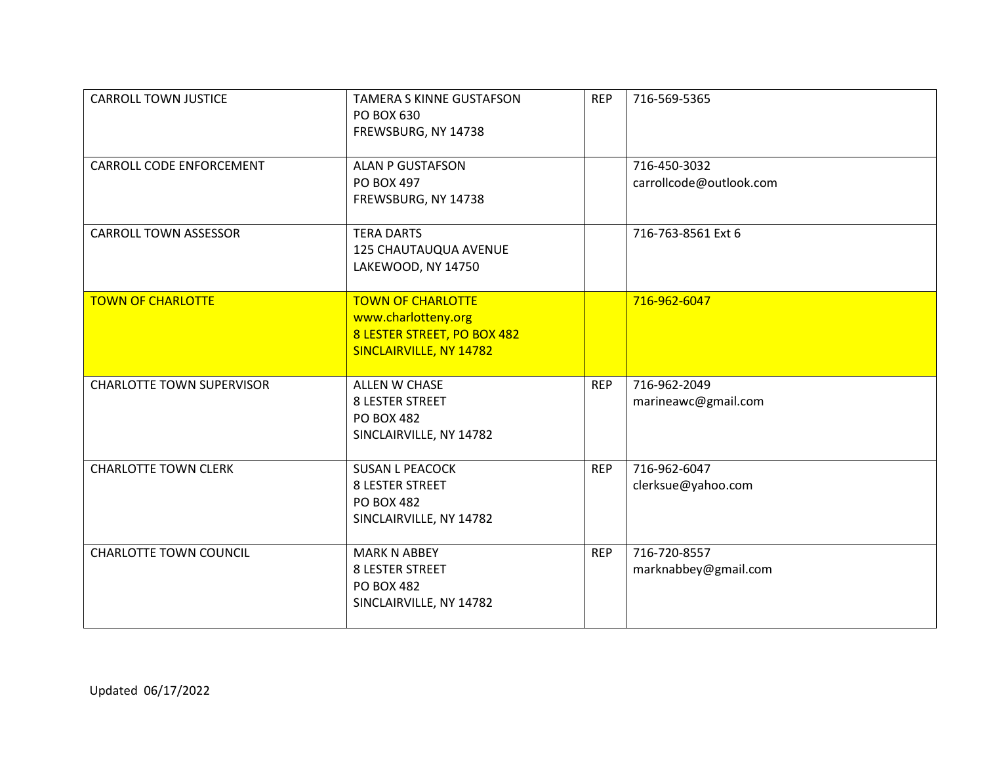| <b>CARROLL TOWN JUSTICE</b>      | <b>TAMERA S KINNE GUSTAFSON</b><br>PO BOX 630<br>FREWSBURG, NY 14738                                      | <b>REP</b> | 716-569-5365                            |
|----------------------------------|-----------------------------------------------------------------------------------------------------------|------------|-----------------------------------------|
| CARROLL CODE ENFORCEMENT         | <b>ALAN P GUSTAFSON</b><br><b>PO BOX 497</b><br>FREWSBURG, NY 14738                                       |            | 716-450-3032<br>carrollcode@outlook.com |
| <b>CARROLL TOWN ASSESSOR</b>     | <b>TERA DARTS</b><br>125 CHAUTAUQUA AVENUE<br>LAKEWOOD, NY 14750                                          |            | 716-763-8561 Ext 6                      |
| <b>TOWN OF CHARLOTTE</b>         | <b>TOWN OF CHARLOTTE</b><br>www.charlotteny.org<br>8 LESTER STREET, PO BOX 482<br>SINCLAIRVILLE, NY 14782 |            | 716-962-6047                            |
| <b>CHARLOTTE TOWN SUPERVISOR</b> | ALLEN W CHASE<br><b>8 LESTER STREET</b><br><b>PO BOX 482</b><br>SINCLAIRVILLE, NY 14782                   | <b>REP</b> | 716-962-2049<br>marineawc@gmail.com     |
| <b>CHARLOTTE TOWN CLERK</b>      | <b>SUSAN L PEACOCK</b><br><b>8 LESTER STREET</b><br><b>PO BOX 482</b><br>SINCLAIRVILLE, NY 14782          | <b>REP</b> | 716-962-6047<br>clerksue@yahoo.com      |
| <b>CHARLOTTE TOWN COUNCIL</b>    | <b>MARK N ABBEY</b><br><b>8 LESTER STREET</b><br><b>PO BOX 482</b><br>SINCLAIRVILLE, NY 14782             | <b>REP</b> | 716-720-8557<br>marknabbey@gmail.com    |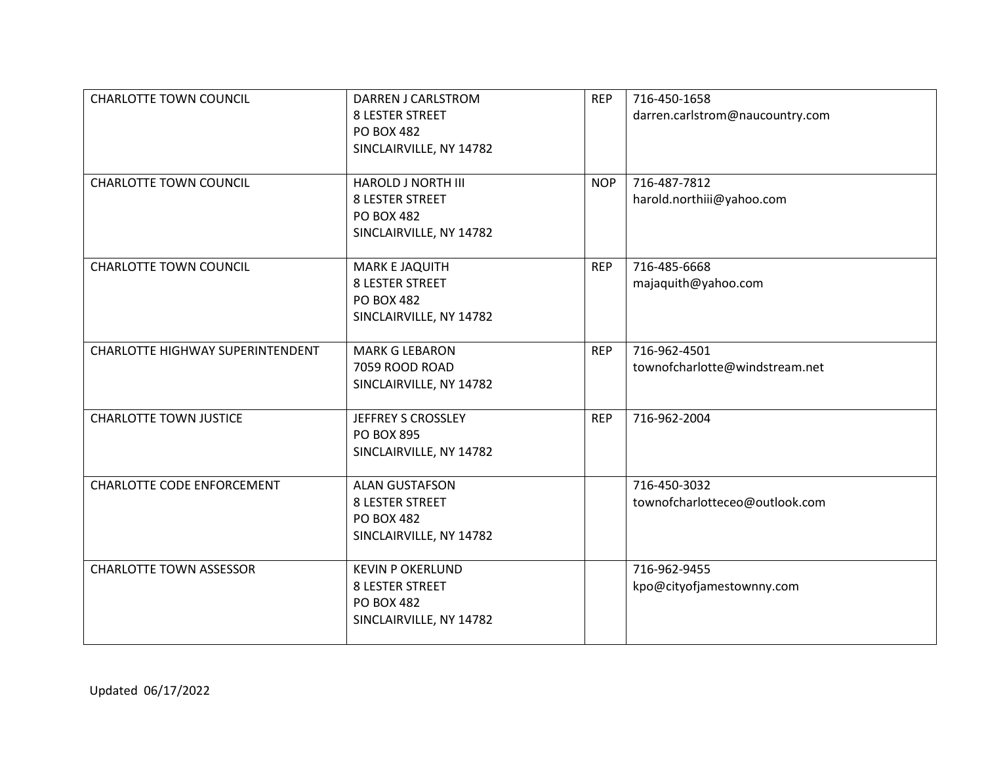| <b>CHARLOTTE TOWN COUNCIL</b>     | <b>DARREN J CARLSTROM</b><br><b>8 LESTER STREET</b><br><b>PO BOX 482</b><br>SINCLAIRVILLE, NY 14782 | <b>REP</b> | 716-450-1658<br>darren.carlstrom@naucountry.com |
|-----------------------------------|-----------------------------------------------------------------------------------------------------|------------|-------------------------------------------------|
| <b>CHARLOTTE TOWN COUNCIL</b>     | <b>HAROLD J NORTH III</b><br><b>8 LESTER STREET</b><br><b>PO BOX 482</b><br>SINCLAIRVILLE, NY 14782 | <b>NOP</b> | 716-487-7812<br>harold.northiii@yahoo.com       |
| <b>CHARLOTTE TOWN COUNCIL</b>     | MARK E JAQUITH<br><b>8 LESTER STREET</b><br><b>PO BOX 482</b><br>SINCLAIRVILLE, NY 14782            | <b>REP</b> | 716-485-6668<br>majaquith@yahoo.com             |
| CHARLOTTE HIGHWAY SUPERINTENDENT  | <b>MARK G LEBARON</b><br>7059 ROOD ROAD<br>SINCLAIRVILLE, NY 14782                                  | <b>REP</b> | 716-962-4501<br>townofcharlotte@windstream.net  |
| <b>CHARLOTTE TOWN JUSTICE</b>     | JEFFREY S CROSSLEY<br><b>PO BOX 895</b><br>SINCLAIRVILLE, NY 14782                                  | <b>REP</b> | 716-962-2004                                    |
| <b>CHARLOTTE CODE ENFORCEMENT</b> | <b>ALAN GUSTAFSON</b><br><b>8 LESTER STREET</b><br><b>PO BOX 482</b><br>SINCLAIRVILLE, NY 14782     |            | 716-450-3032<br>townofcharlotteceo@outlook.com  |
| <b>CHARLOTTE TOWN ASSESSOR</b>    | <b>KEVIN P OKERLUND</b><br><b>8 LESTER STREET</b><br><b>PO BOX 482</b><br>SINCLAIRVILLE, NY 14782   |            | 716-962-9455<br>kpo@cityofjamestownny.com       |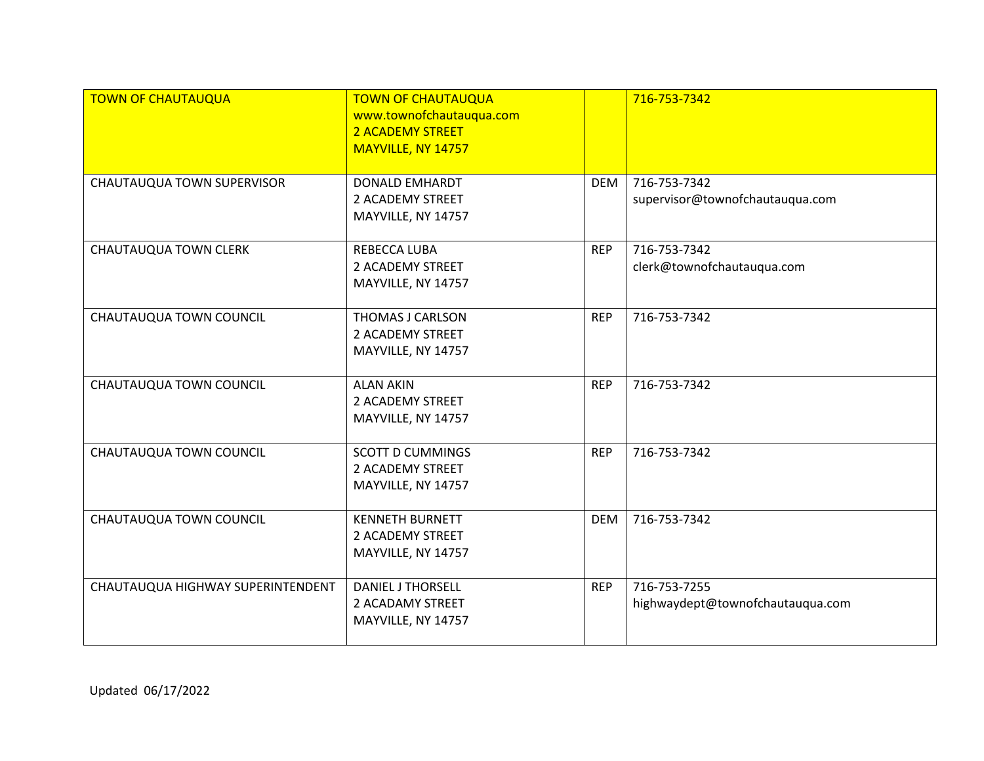| <b>TOWN OF CHAUTAUQUA</b>         | <b>TOWN OF CHAUTAUQUA</b><br>www.townofchautauqua.com<br>2 ACADEMY STREET<br>MAYVILLE, NY 14757 |            | 716-753-7342                                     |
|-----------------------------------|-------------------------------------------------------------------------------------------------|------------|--------------------------------------------------|
| CHAUTAUQUA TOWN SUPERVISOR        | <b>DONALD EMHARDT</b><br>2 ACADEMY STREET<br>MAYVILLE, NY 14757                                 | <b>DEM</b> | 716-753-7342<br>supervisor@townofchautauqua.com  |
| <b>CHAUTAUQUA TOWN CLERK</b>      | REBECCA LUBA<br>2 ACADEMY STREET<br>MAYVILLE, NY 14757                                          | <b>REP</b> | 716-753-7342<br>clerk@townofchautauqua.com       |
| CHAUTAUQUA TOWN COUNCIL           | THOMAS J CARLSON<br>2 ACADEMY STREET<br>MAYVILLE, NY 14757                                      | <b>REP</b> | 716-753-7342                                     |
| CHAUTAUQUA TOWN COUNCIL           | <b>ALAN AKIN</b><br>2 ACADEMY STREET<br>MAYVILLE, NY 14757                                      | <b>REP</b> | 716-753-7342                                     |
| CHAUTAUQUA TOWN COUNCIL           | <b>SCOTT D CUMMINGS</b><br>2 ACADEMY STREET<br>MAYVILLE, NY 14757                               | <b>REP</b> | 716-753-7342                                     |
| CHAUTAUQUA TOWN COUNCIL           | <b>KENNETH BURNETT</b><br>2 ACADEMY STREET<br>MAYVILLE, NY 14757                                | <b>DEM</b> | 716-753-7342                                     |
| CHAUTAUQUA HIGHWAY SUPERINTENDENT | <b>DANIEL J THORSELL</b><br>2 ACADAMY STREET<br>MAYVILLE, NY 14757                              | <b>REP</b> | 716-753-7255<br>highwaydept@townofchautauqua.com |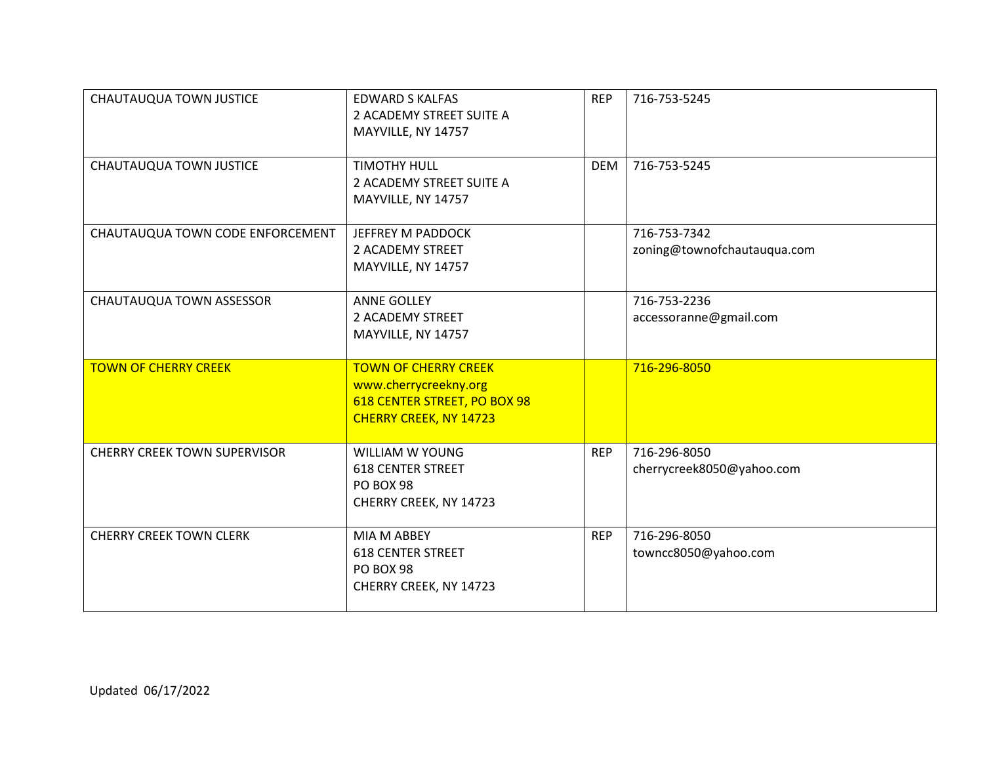| CHAUTAUQUA TOWN JUSTICE             | <b>EDWARD S KALFAS</b><br>2 ACADEMY STREET SUITE A<br>MAYVILLE, NY 14757                                              | <b>REP</b> | 716-753-5245                                |
|-------------------------------------|-----------------------------------------------------------------------------------------------------------------------|------------|---------------------------------------------|
| CHAUTAUQUA TOWN JUSTICE             | <b>TIMOTHY HULL</b><br>2 ACADEMY STREET SUITE A<br>MAYVILLE, NY 14757                                                 | <b>DEM</b> | 716-753-5245                                |
| CHAUTAUQUA TOWN CODE ENFORCEMENT    | JEFFREY M PADDOCK<br>2 ACADEMY STREET<br>MAYVILLE, NY 14757                                                           |            | 716-753-7342<br>zoning@townofchautauqua.com |
| CHAUTAUQUA TOWN ASSESSOR            | <b>ANNE GOLLEY</b><br>2 ACADEMY STREET<br>MAYVILLE, NY 14757                                                          |            | 716-753-2236<br>accessoranne@gmail.com      |
| <b>TOWN OF CHERRY CREEK</b>         | <b>TOWN OF CHERRY CREEK</b><br>www.cherrycreekny.org<br>618 CENTER STREET, PO BOX 98<br><b>CHERRY CREEK, NY 14723</b> |            | 716-296-8050                                |
| <b>CHERRY CREEK TOWN SUPERVISOR</b> | <b>WILLIAM W YOUNG</b><br><b>618 CENTER STREET</b><br><b>PO BOX 98</b><br>CHERRY CREEK, NY 14723                      | <b>REP</b> | 716-296-8050<br>cherrycreek8050@yahoo.com   |
| <b>CHERRY CREEK TOWN CLERK</b>      | MIA M ABBEY<br><b>618 CENTER STREET</b><br>PO BOX 98<br>CHERRY CREEK, NY 14723                                        | <b>REP</b> | 716-296-8050<br>towncc8050@yahoo.com        |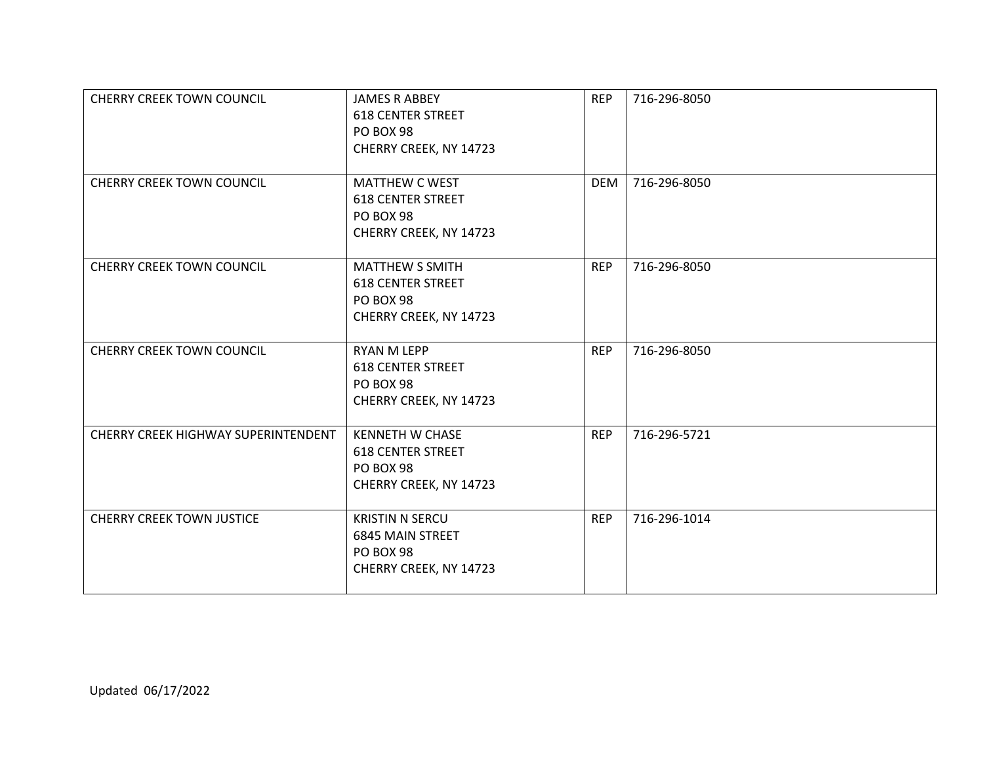| <b>CHERRY CREEK TOWN COUNCIL</b>    | <b>JAMES R ABBEY</b><br><b>618 CENTER STREET</b><br><b>PO BOX 98</b><br>CHERRY CREEK, NY 14723   | <b>REP</b> | 716-296-8050 |
|-------------------------------------|--------------------------------------------------------------------------------------------------|------------|--------------|
| <b>CHERRY CREEK TOWN COUNCIL</b>    | <b>MATTHEW C WEST</b><br><b>618 CENTER STREET</b><br><b>PO BOX 98</b><br>CHERRY CREEK, NY 14723  | <b>DEM</b> | 716-296-8050 |
| <b>CHERRY CREEK TOWN COUNCIL</b>    | <b>MATTHEW S SMITH</b><br><b>618 CENTER STREET</b><br><b>PO BOX 98</b><br>CHERRY CREEK, NY 14723 | <b>REP</b> | 716-296-8050 |
| <b>CHERRY CREEK TOWN COUNCIL</b>    | <b>RYAN M LEPP</b><br><b>618 CENTER STREET</b><br><b>PO BOX 98</b><br>CHERRY CREEK, NY 14723     | <b>REP</b> | 716-296-8050 |
| CHERRY CREEK HIGHWAY SUPERINTENDENT | <b>KENNETH W CHASE</b><br><b>618 CENTER STREET</b><br><b>PO BOX 98</b><br>CHERRY CREEK, NY 14723 | <b>REP</b> | 716-296-5721 |
| <b>CHERRY CREEK TOWN JUSTICE</b>    | <b>KRISTIN N SERCU</b><br><b>6845 MAIN STREET</b><br><b>PO BOX 98</b><br>CHERRY CREEK, NY 14723  | <b>REP</b> | 716-296-1014 |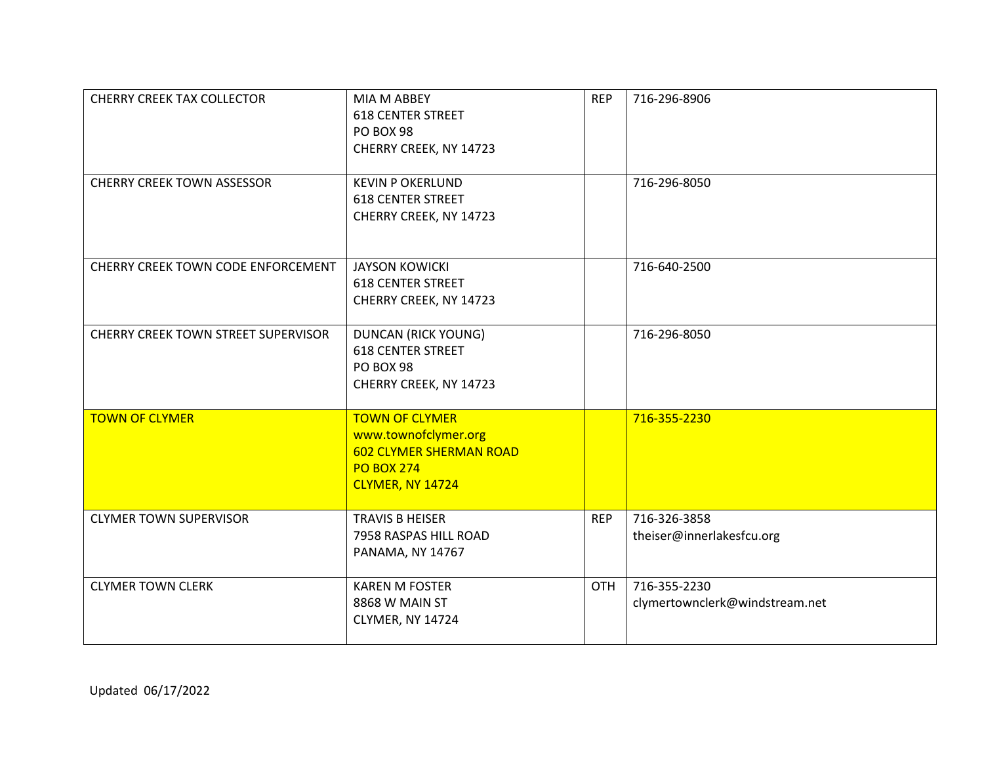| <b>CHERRY CREEK TAX COLLECTOR</b>   | MIA M ABBEY<br><b>618 CENTER STREET</b><br>PO BOX 98<br>CHERRY CREEK, NY 14723                                           | <b>REP</b> | 716-296-8906                                   |
|-------------------------------------|--------------------------------------------------------------------------------------------------------------------------|------------|------------------------------------------------|
| <b>CHERRY CREEK TOWN ASSESSOR</b>   | <b>KEVIN P OKERLUND</b><br><b>618 CENTER STREET</b><br>CHERRY CREEK, NY 14723                                            |            | 716-296-8050                                   |
| CHERRY CREEK TOWN CODE ENFORCEMENT  | <b>JAYSON KOWICKI</b><br><b>618 CENTER STREET</b><br>CHERRY CREEK, NY 14723                                              |            | 716-640-2500                                   |
| CHERRY CREEK TOWN STREET SUPERVISOR | <b>DUNCAN (RICK YOUNG)</b><br><b>618 CENTER STREET</b><br>PO BOX 98<br>CHERRY CREEK, NY 14723                            |            | 716-296-8050                                   |
| <b>TOWN OF CLYMER</b>               | <b>TOWN OF CLYMER</b><br>www.townofclymer.org<br><b>602 CLYMER SHERMAN ROAD</b><br><b>PO BOX 274</b><br>CLYMER, NY 14724 |            | 716-355-2230                                   |
| <b>CLYMER TOWN SUPERVISOR</b>       | <b>TRAVIS B HEISER</b><br>7958 RASPAS HILL ROAD<br>PANAMA, NY 14767                                                      | <b>REP</b> | 716-326-3858<br>theiser@innerlakesfcu.org      |
| <b>CLYMER TOWN CLERK</b>            | <b>KAREN M FOSTER</b><br>8868 W MAIN ST<br>CLYMER, NY 14724                                                              | OTH        | 716-355-2230<br>clymertownclerk@windstream.net |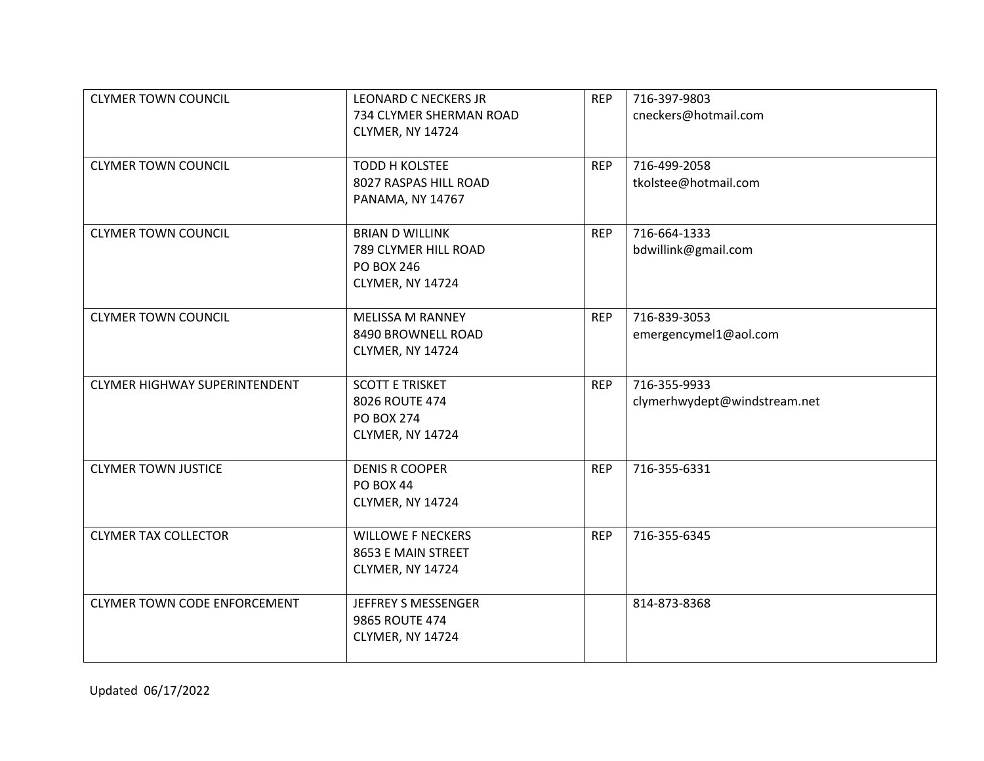| <b>CLYMER TOWN COUNCIL</b>           | <b>LEONARD C NECKERS JR</b>           | <b>REP</b> | 716-397-9803                 |
|--------------------------------------|---------------------------------------|------------|------------------------------|
|                                      | 734 CLYMER SHERMAN ROAD               |            | cneckers@hotmail.com         |
|                                      | CLYMER, NY 14724                      |            |                              |
| <b>CLYMER TOWN COUNCIL</b>           | <b>TODD H KOLSTEE</b>                 | <b>REP</b> | 716-499-2058                 |
|                                      | 8027 RASPAS HILL ROAD                 |            | tkolstee@hotmail.com         |
|                                      | <b>PANAMA, NY 14767</b>               |            |                              |
|                                      |                                       |            |                              |
| <b>CLYMER TOWN COUNCIL</b>           | <b>BRIAN D WILLINK</b>                | <b>REP</b> | 716-664-1333                 |
|                                      | 789 CLYMER HILL ROAD                  |            | bdwillink@gmail.com          |
|                                      | <b>PO BOX 246</b><br>CLYMER, NY 14724 |            |                              |
|                                      |                                       |            |                              |
| <b>CLYMER TOWN COUNCIL</b>           | <b>MELISSA M RANNEY</b>               | <b>REP</b> | 716-839-3053                 |
|                                      | 8490 BROWNELL ROAD                    |            | emergencymel1@aol.com        |
|                                      | CLYMER, NY 14724                      |            |                              |
| <b>CLYMER HIGHWAY SUPERINTENDENT</b> | <b>SCOTT E TRISKET</b>                | <b>REP</b> | 716-355-9933                 |
|                                      | 8026 ROUTE 474                        |            | clymerhwydept@windstream.net |
|                                      | <b>PO BOX 274</b>                     |            |                              |
|                                      | CLYMER, NY 14724                      |            |                              |
|                                      |                                       |            |                              |
| <b>CLYMER TOWN JUSTICE</b>           | <b>DENIS R COOPER</b>                 | <b>REP</b> | 716-355-6331                 |
|                                      | <b>PO BOX 44</b>                      |            |                              |
|                                      | CLYMER, NY 14724                      |            |                              |
| <b>CLYMER TAX COLLECTOR</b>          | <b>WILLOWE F NECKERS</b>              | <b>REP</b> | 716-355-6345                 |
|                                      | 8653 E MAIN STREET                    |            |                              |
|                                      | CLYMER, NY 14724                      |            |                              |
|                                      |                                       |            |                              |
| <b>CLYMER TOWN CODE ENFORCEMENT</b>  | JEFFREY S MESSENGER                   |            | 814-873-8368                 |
|                                      | 9865 ROUTE 474                        |            |                              |
|                                      | CLYMER, NY 14724                      |            |                              |
|                                      |                                       |            |                              |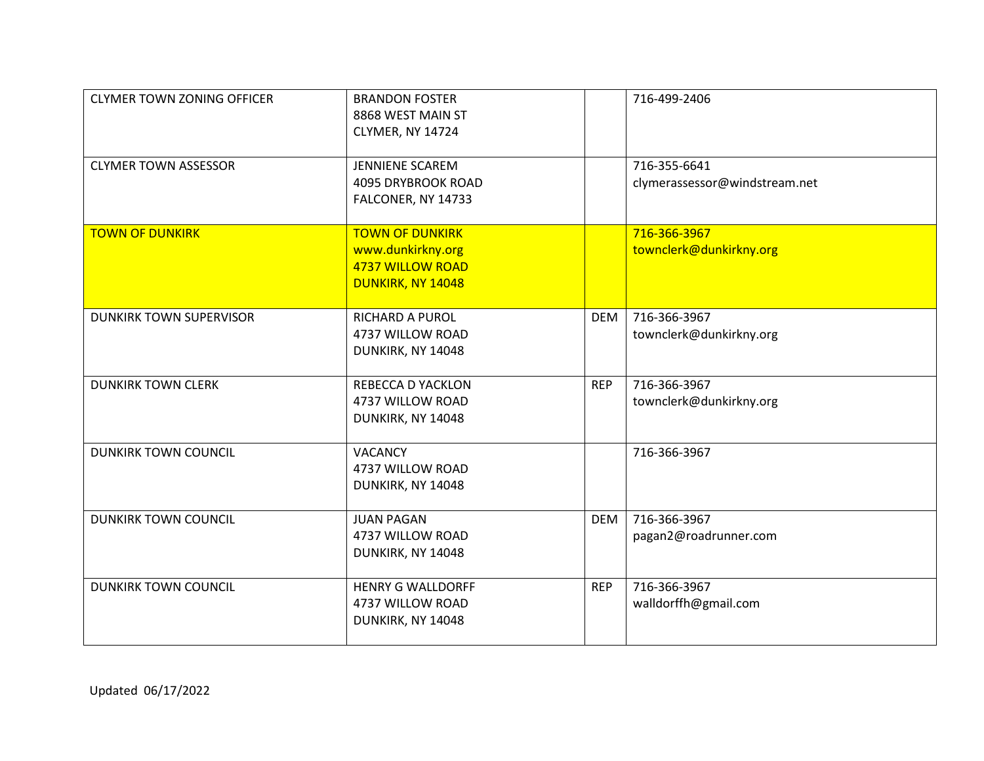| <b>CLYMER TOWN ZONING OFFICER</b> | <b>BRANDON FOSTER</b><br>8868 WEST MAIN ST<br>CLYMER, NY 14724                              |            | 716-499-2406                                  |
|-----------------------------------|---------------------------------------------------------------------------------------------|------------|-----------------------------------------------|
| <b>CLYMER TOWN ASSESSOR</b>       | <b>JENNIENE SCAREM</b><br>4095 DRYBROOK ROAD<br>FALCONER, NY 14733                          |            | 716-355-6641<br>clymerassessor@windstream.net |
| <b>TOWN OF DUNKIRK</b>            | <b>TOWN OF DUNKIRK</b><br>www.dunkirkny.org<br><b>4737 WILLOW ROAD</b><br>DUNKIRK, NY 14048 |            | 716-366-3967<br>townclerk@dunkirkny.org       |
| <b>DUNKIRK TOWN SUPERVISOR</b>    | <b>RICHARD A PUROL</b><br>4737 WILLOW ROAD<br>DUNKIRK, NY 14048                             | <b>DEM</b> | 716-366-3967<br>townclerk@dunkirkny.org       |
| <b>DUNKIRK TOWN CLERK</b>         | <b>REBECCA D YACKLON</b><br>4737 WILLOW ROAD<br>DUNKIRK, NY 14048                           | <b>REP</b> | 716-366-3967<br>townclerk@dunkirkny.org       |
| <b>DUNKIRK TOWN COUNCIL</b>       | <b>VACANCY</b><br>4737 WILLOW ROAD<br>DUNKIRK, NY 14048                                     |            | 716-366-3967                                  |
| <b>DUNKIRK TOWN COUNCIL</b>       | <b>JUAN PAGAN</b><br>4737 WILLOW ROAD<br>DUNKIRK, NY 14048                                  | <b>DEM</b> | 716-366-3967<br>pagan2@roadrunner.com         |
| <b>DUNKIRK TOWN COUNCIL</b>       | <b>HENRY G WALLDORFF</b><br>4737 WILLOW ROAD<br>DUNKIRK, NY 14048                           | <b>REP</b> | 716-366-3967<br>walldorffh@gmail.com          |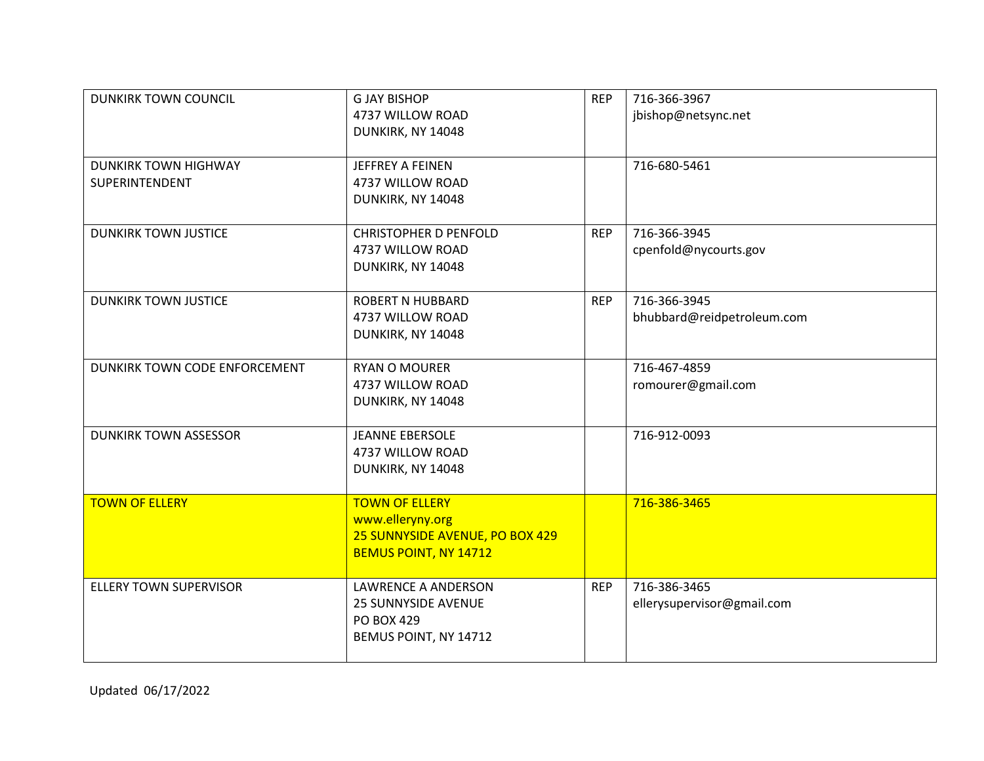| <b>DUNKIRK TOWN COUNCIL</b>                   | <b>G JAY BISHOP</b><br>4737 WILLOW ROAD<br>DUNKIRK, NY 14048                                          | <b>REP</b> | 716-366-3967<br>jbishop@netsync.net        |
|-----------------------------------------------|-------------------------------------------------------------------------------------------------------|------------|--------------------------------------------|
| <b>DUNKIRK TOWN HIGHWAY</b><br>SUPERINTENDENT | JEFFREY A FEINEN<br>4737 WILLOW ROAD<br>DUNKIRK, NY 14048                                             |            | 716-680-5461                               |
| <b>DUNKIRK TOWN JUSTICE</b>                   | <b>CHRISTOPHER D PENFOLD</b><br>4737 WILLOW ROAD<br>DUNKIRK, NY 14048                                 | <b>REP</b> | 716-366-3945<br>cpenfold@nycourts.gov      |
| <b>DUNKIRK TOWN JUSTICE</b>                   | <b>ROBERT N HUBBARD</b><br>4737 WILLOW ROAD<br>DUNKIRK, NY 14048                                      | <b>REP</b> | 716-366-3945<br>bhubbard@reidpetroleum.com |
| DUNKIRK TOWN CODE ENFORCEMENT                 | <b>RYAN O MOURER</b><br>4737 WILLOW ROAD<br>DUNKIRK, NY 14048                                         |            | 716-467-4859<br>romourer@gmail.com         |
| <b>DUNKIRK TOWN ASSESSOR</b>                  | <b>JEANNE EBERSOLE</b><br>4737 WILLOW ROAD<br>DUNKIRK, NY 14048                                       |            | 716-912-0093                               |
| <b>TOWN OF ELLERY</b>                         | <b>TOWN OF ELLERY</b><br>www.elleryny.org<br>25 SUNNYSIDE AVENUE, PO BOX 429<br>BEMUS POINT, NY 14712 |            | 716-386-3465                               |
| ELLERY TOWN SUPERVISOR                        | <b>LAWRENCE A ANDERSON</b><br><b>25 SUNNYSIDE AVENUE</b><br>PO BOX 429<br>BEMUS POINT, NY 14712       | <b>REP</b> | 716-386-3465<br>ellerysupervisor@gmail.com |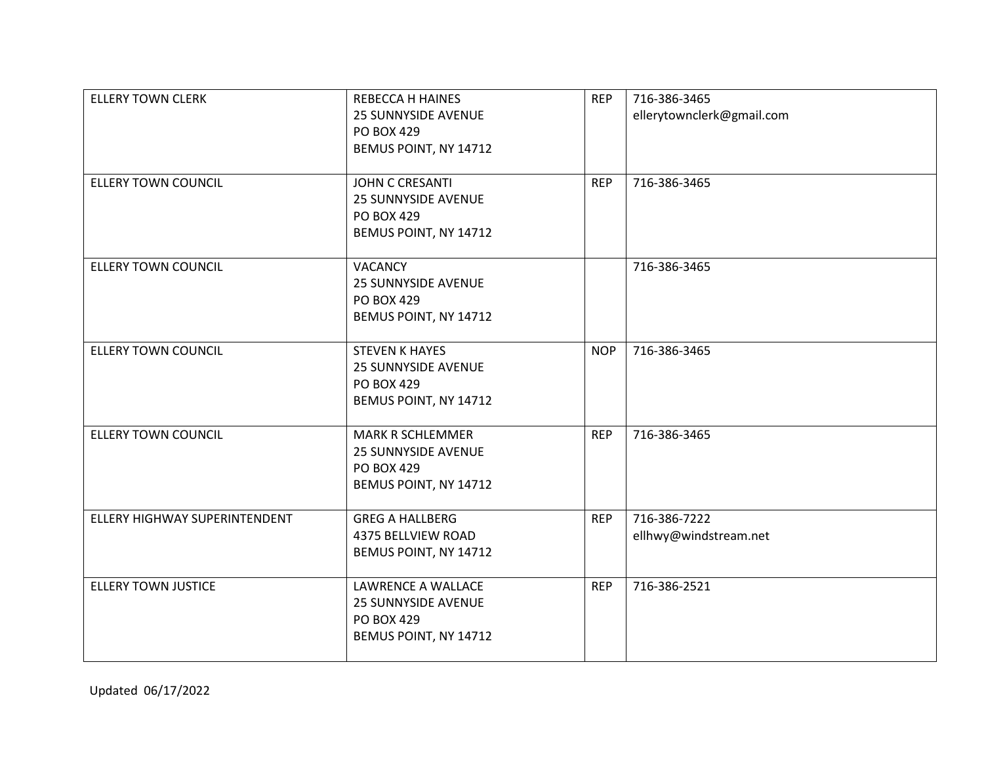| <b>ELLERY TOWN CLERK</b>      | <b>REBECCA H HAINES</b><br><b>25 SUNNYSIDE AVENUE</b><br>PO BOX 429<br>BEMUS POINT, NY 14712   | <b>REP</b> | 716-386-3465<br>ellerytownclerk@gmail.com |
|-------------------------------|------------------------------------------------------------------------------------------------|------------|-------------------------------------------|
| <b>ELLERY TOWN COUNCIL</b>    | <b>JOHN C CRESANTI</b><br><b>25 SUNNYSIDE AVENUE</b><br>PO BOX 429<br>BEMUS POINT, NY 14712    | <b>REP</b> | 716-386-3465                              |
| <b>ELLERY TOWN COUNCIL</b>    | <b>VACANCY</b><br><b>25 SUNNYSIDE AVENUE</b><br>PO BOX 429<br>BEMUS POINT, NY 14712            |            | 716-386-3465                              |
| <b>ELLERY TOWN COUNCIL</b>    | <b>STEVEN K HAYES</b><br><b>25 SUNNYSIDE AVENUE</b><br>PO BOX 429<br>BEMUS POINT, NY 14712     | <b>NOP</b> | 716-386-3465                              |
| <b>ELLERY TOWN COUNCIL</b>    | <b>MARK R SCHLEMMER</b><br><b>25 SUNNYSIDE AVENUE</b><br>PO BOX 429<br>BEMUS POINT, NY 14712   | <b>REP</b> | 716-386-3465                              |
| ELLERY HIGHWAY SUPERINTENDENT | <b>GREG A HALLBERG</b><br>4375 BELLVIEW ROAD<br>BEMUS POINT, NY 14712                          | <b>REP</b> | 716-386-7222<br>ellhwy@windstream.net     |
| <b>ELLERY TOWN JUSTICE</b>    | LAWRENCE A WALLACE<br><b>25 SUNNYSIDE AVENUE</b><br><b>PO BOX 429</b><br>BEMUS POINT, NY 14712 | <b>REP</b> | 716-386-2521                              |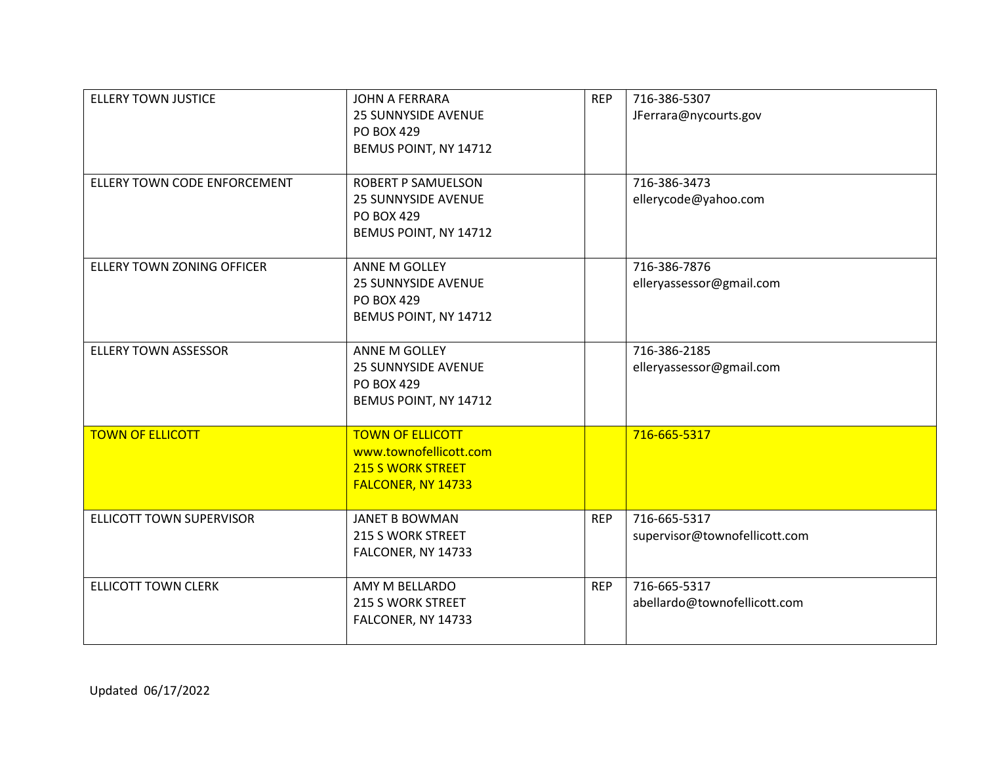| <b>ELLERY TOWN JUSTICE</b>   | JOHN A FERRARA<br><b>25 SUNNYSIDE AVENUE</b><br><b>PO BOX 429</b><br>BEMUS POINT, NY 14712            | <b>REP</b> | 716-386-5307<br>JFerrara@nycourts.gov         |
|------------------------------|-------------------------------------------------------------------------------------------------------|------------|-----------------------------------------------|
| ELLERY TOWN CODE ENFORCEMENT | <b>ROBERT P SAMUELSON</b><br><b>25 SUNNYSIDE AVENUE</b><br><b>PO BOX 429</b><br>BEMUS POINT, NY 14712 |            | 716-386-3473<br>ellerycode@yahoo.com          |
| ELLERY TOWN ZONING OFFICER   | ANNE M GOLLEY<br><b>25 SUNNYSIDE AVENUE</b><br><b>PO BOX 429</b><br>BEMUS POINT, NY 14712             |            | 716-386-7876<br>elleryassessor@gmail.com      |
| <b>ELLERY TOWN ASSESSOR</b>  | ANNE M GOLLEY<br><b>25 SUNNYSIDE AVENUE</b><br><b>PO BOX 429</b><br>BEMUS POINT, NY 14712             |            | 716-386-2185<br>elleryassessor@gmail.com      |
| <b>TOWN OF ELLICOTT</b>      | <b>TOWN OF ELLICOTT</b><br>www.townofellicott.com<br>215 S WORK STREET<br>FALCONER, NY 14733          |            | 716-665-5317                                  |
| ELLICOTT TOWN SUPERVISOR     | <b>JANET B BOWMAN</b><br>215 S WORK STREET<br>FALCONER, NY 14733                                      | <b>REP</b> | 716-665-5317<br>supervisor@townofellicott.com |
| <b>ELLICOTT TOWN CLERK</b>   | AMY M BELLARDO<br>215 S WORK STREET<br>FALCONER, NY 14733                                             | <b>REP</b> | 716-665-5317<br>abellardo@townofellicott.com  |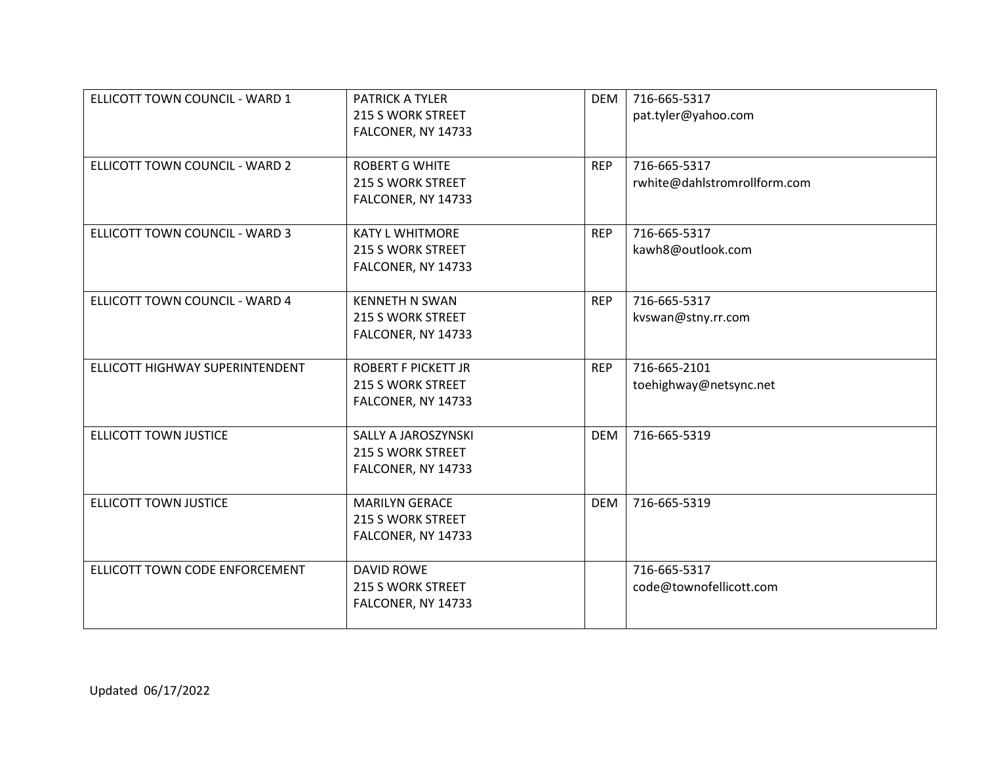| ELLICOTT TOWN COUNCIL - WARD 1  | <b>PATRICK A TYLER</b><br>215 S WORK STREET<br>FALCONER, NY 14733     | <b>DEM</b> | 716-665-5317<br>pat.tyler@yahoo.com          |
|---------------------------------|-----------------------------------------------------------------------|------------|----------------------------------------------|
| ELLICOTT TOWN COUNCIL - WARD 2  | <b>ROBERT G WHITE</b><br>215 S WORK STREET<br>FALCONER, NY 14733      | <b>REP</b> | 716-665-5317<br>rwhite@dahlstromrollform.com |
| ELLICOTT TOWN COUNCIL - WARD 3  | <b>KATY L WHITMORE</b><br>215 S WORK STREET<br>FALCONER, NY 14733     | <b>REP</b> | 716-665-5317<br>kawh8@outlook.com            |
| ELLICOTT TOWN COUNCIL - WARD 4  | <b>KENNETH N SWAN</b><br>215 S WORK STREET<br>FALCONER, NY 14733      | <b>REP</b> | 716-665-5317<br>kvswan@stny.rr.com           |
| ELLICOTT HIGHWAY SUPERINTENDENT | <b>ROBERT F PICKETT JR</b><br>215 S WORK STREET<br>FALCONER, NY 14733 | <b>REP</b> | 716-665-2101<br>toehighway@netsync.net       |
| <b>ELLICOTT TOWN JUSTICE</b>    | SALLY A JAROSZYNSKI<br>215 S WORK STREET<br>FALCONER, NY 14733        | <b>DEM</b> | 716-665-5319                                 |
| <b>ELLICOTT TOWN JUSTICE</b>    | <b>MARILYN GERACE</b><br>215 S WORK STREET<br>FALCONER, NY 14733      | <b>DEM</b> | 716-665-5319                                 |
| ELLICOTT TOWN CODE ENFORCEMENT  | <b>DAVID ROWE</b><br>215 S WORK STREET<br>FALCONER, NY 14733          |            | 716-665-5317<br>code@townofellicott.com      |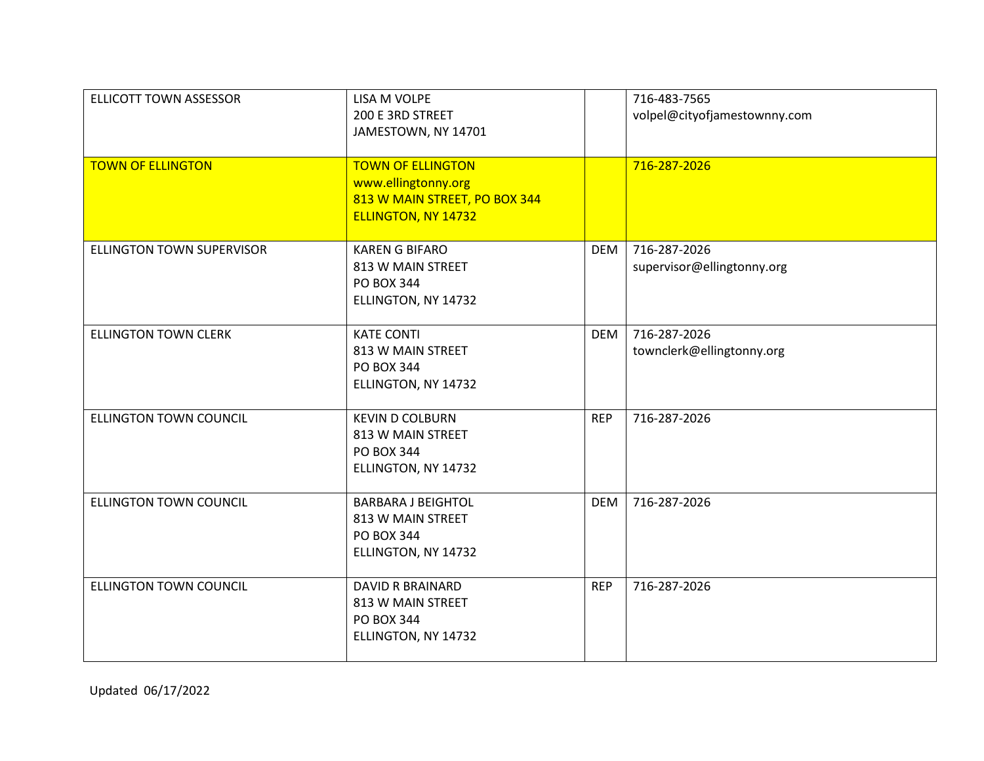| <b>ELLICOTT TOWN ASSESSOR</b> | LISA M VOLPE<br>200 E 3RD STREET<br>JAMESTOWN, NY 14701                                                        |            | 716-483-7565<br>volpel@cityofjamestownny.com |
|-------------------------------|----------------------------------------------------------------------------------------------------------------|------------|----------------------------------------------|
| <b>TOWN OF ELLINGTON</b>      | <b>TOWN OF ELLINGTON</b><br>www.ellingtonny.org<br>813 W MAIN STREET, PO BOX 344<br><b>ELLINGTON, NY 14732</b> |            | 716-287-2026                                 |
| ELLINGTON TOWN SUPERVISOR     | <b>KAREN G BIFARO</b><br>813 W MAIN STREET<br>PO BOX 344<br>ELLINGTON, NY 14732                                | <b>DEM</b> | 716-287-2026<br>supervisor@ellingtonny.org   |
| <b>ELLINGTON TOWN CLERK</b>   | <b>KATE CONTI</b><br>813 W MAIN STREET<br>PO BOX 344<br>ELLINGTON, NY 14732                                    | <b>DEM</b> | 716-287-2026<br>townclerk@ellingtonny.org    |
| ELLINGTON TOWN COUNCIL        | <b>KEVIN D COLBURN</b><br>813 W MAIN STREET<br>PO BOX 344<br>ELLINGTON, NY 14732                               | <b>REP</b> | 716-287-2026                                 |
| <b>ELLINGTON TOWN COUNCIL</b> | <b>BARBARA J BEIGHTOL</b><br>813 W MAIN STREET<br><b>PO BOX 344</b><br>ELLINGTON, NY 14732                     | <b>DEM</b> | 716-287-2026                                 |
| <b>ELLINGTON TOWN COUNCIL</b> | <b>DAVID R BRAINARD</b><br>813 W MAIN STREET<br>PO BOX 344<br>ELLINGTON, NY 14732                              | <b>REP</b> | 716-287-2026                                 |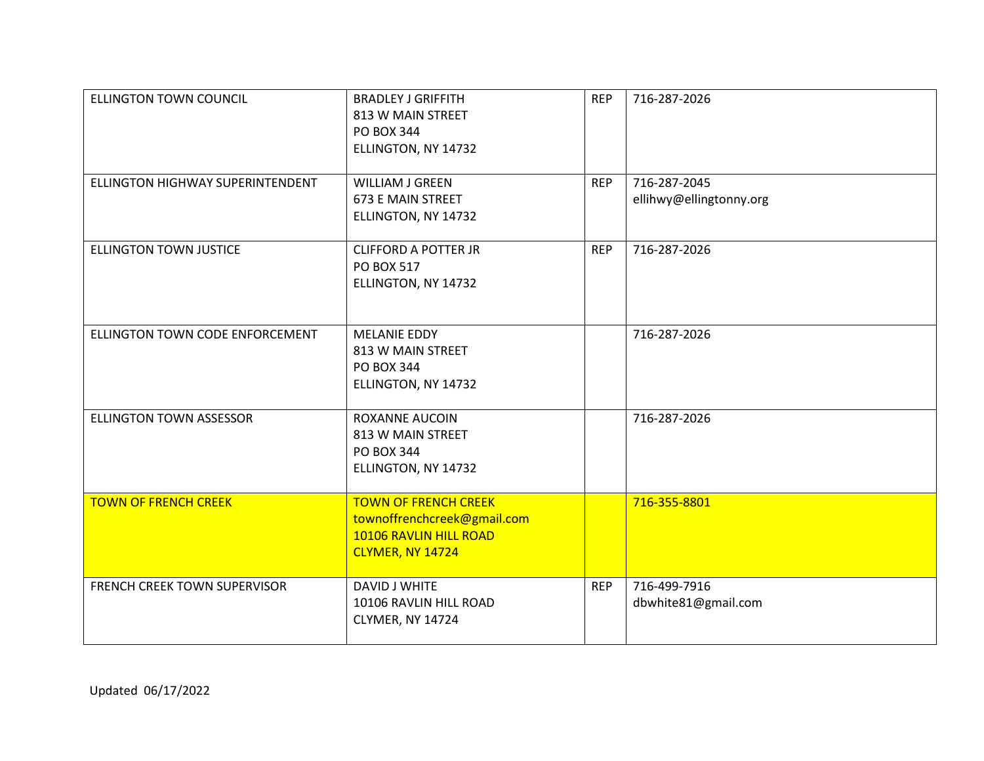| <b>ELLINGTON TOWN COUNCIL</b>    | <b>BRADLEY J GRIFFITH</b><br>813 W MAIN STREET<br><b>PO BOX 344</b><br>ELLINGTON, NY 14732               | <b>REP</b> | 716-287-2026                            |
|----------------------------------|----------------------------------------------------------------------------------------------------------|------------|-----------------------------------------|
| ELLINGTON HIGHWAY SUPERINTENDENT | WILLIAM J GREEN<br><b>673 E MAIN STREET</b><br>ELLINGTON, NY 14732                                       | <b>REP</b> | 716-287-2045<br>ellihwy@ellingtonny.org |
| <b>ELLINGTON TOWN JUSTICE</b>    | <b>CLIFFORD A POTTER JR</b><br>PO BOX 517<br>ELLINGTON, NY 14732                                         | <b>REP</b> | 716-287-2026                            |
| ELLINGTON TOWN CODE ENFORCEMENT  | <b>MELANIE EDDY</b><br>813 W MAIN STREET<br><b>PO BOX 344</b><br>ELLINGTON, NY 14732                     |            | 716-287-2026                            |
| <b>ELLINGTON TOWN ASSESSOR</b>   | <b>ROXANNE AUCOIN</b><br>813 W MAIN STREET<br><b>PO BOX 344</b><br>ELLINGTON, NY 14732                   |            | 716-287-2026                            |
| <b>TOWN OF FRENCH CREEK</b>      | <b>TOWN OF FRENCH CREEK</b><br>townoffrenchcreek@gmail.com<br>10106 RAVLIN HILL ROAD<br>CLYMER, NY 14724 |            | 716-355-8801                            |
| FRENCH CREEK TOWN SUPERVISOR     | DAVID J WHITE<br>10106 RAVLIN HILL ROAD<br>CLYMER, NY 14724                                              | <b>REP</b> | 716-499-7916<br>dbwhite81@gmail.com     |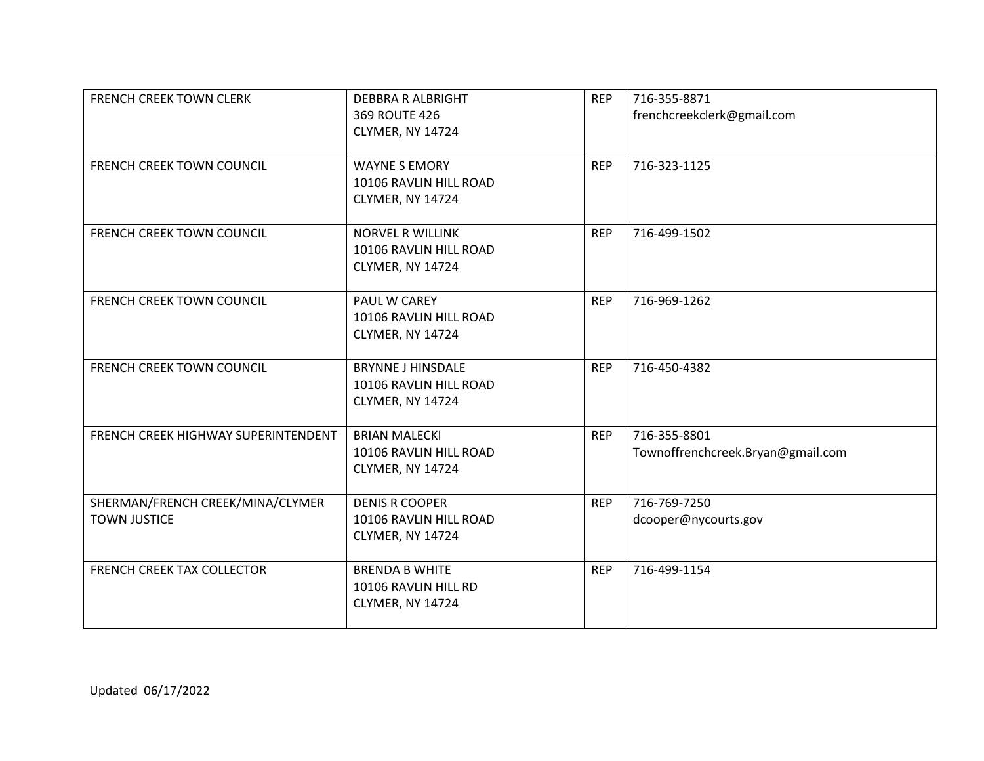| <b>FRENCH CREEK TOWN CLERK</b>                          | <b>DEBBRA R ALBRIGHT</b><br>369 ROUTE 426<br>CLYMER, NY 14724          | <b>REP</b> | 716-355-8871<br>frenchcreekclerk@gmail.com        |
|---------------------------------------------------------|------------------------------------------------------------------------|------------|---------------------------------------------------|
| <b>FRENCH CREEK TOWN COUNCIL</b>                        | <b>WAYNE S EMORY</b><br>10106 RAVLIN HILL ROAD<br>CLYMER, NY 14724     | <b>REP</b> | 716-323-1125                                      |
| <b>FRENCH CREEK TOWN COUNCIL</b>                        | <b>NORVEL R WILLINK</b><br>10106 RAVLIN HILL ROAD<br>CLYMER, NY 14724  | <b>REP</b> | 716-499-1502                                      |
| <b>FRENCH CREEK TOWN COUNCIL</b>                        | PAUL W CAREY<br>10106 RAVLIN HILL ROAD<br>CLYMER, NY 14724             | <b>REP</b> | 716-969-1262                                      |
| FRENCH CREEK TOWN COUNCIL                               | <b>BRYNNE J HINSDALE</b><br>10106 RAVLIN HILL ROAD<br>CLYMER, NY 14724 | <b>REP</b> | 716-450-4382                                      |
| FRENCH CREEK HIGHWAY SUPERINTENDENT                     | <b>BRIAN MALECKI</b><br>10106 RAVLIN HILL ROAD<br>CLYMER, NY 14724     | <b>REP</b> | 716-355-8801<br>Townoffrenchcreek.Bryan@gmail.com |
| SHERMAN/FRENCH CREEK/MINA/CLYMER<br><b>TOWN JUSTICE</b> | <b>DENIS R COOPER</b><br>10106 RAVLIN HILL ROAD<br>CLYMER, NY 14724    | <b>REP</b> | 716-769-7250<br>dcooper@nycourts.gov              |
| <b>FRENCH CREEK TAX COLLECTOR</b>                       | <b>BRENDA B WHITE</b><br>10106 RAVLIN HILL RD<br>CLYMER, NY 14724      | <b>REP</b> | 716-499-1154                                      |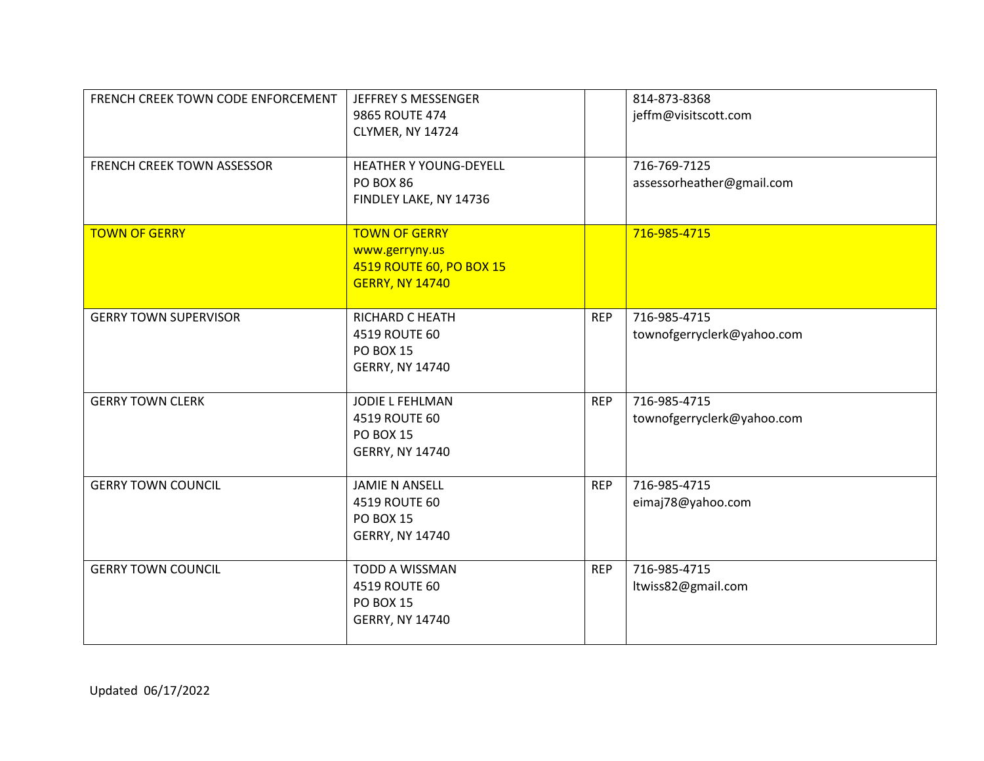| FRENCH CREEK TOWN CODE ENFORCEMENT | JEFFREY S MESSENGER<br>9865 ROUTE 474<br>CLYMER, NY 14724                                    |            | 814-873-8368<br>jeffm@visitscott.com       |
|------------------------------------|----------------------------------------------------------------------------------------------|------------|--------------------------------------------|
| FRENCH CREEK TOWN ASSESSOR         | HEATHER Y YOUNG-DEYELL<br>PO BOX 86<br>FINDLEY LAKE, NY 14736                                |            | 716-769-7125<br>assessorheather@gmail.com  |
| <b>TOWN OF GERRY</b>               | <b>TOWN OF GERRY</b><br>www.gerryny.us<br>4519 ROUTE 60, PO BOX 15<br><b>GERRY, NY 14740</b> |            | 716-985-4715                               |
| <b>GERRY TOWN SUPERVISOR</b>       | RICHARD C HEATH<br>4519 ROUTE 60<br><b>PO BOX 15</b><br><b>GERRY, NY 14740</b>               | <b>REP</b> | 716-985-4715<br>townofgerryclerk@yahoo.com |
| <b>GERRY TOWN CLERK</b>            | JODIE L FEHLMAN<br>4519 ROUTE 60<br><b>PO BOX 15</b><br><b>GERRY, NY 14740</b>               | <b>REP</b> | 716-985-4715<br>townofgerryclerk@yahoo.com |
| <b>GERRY TOWN COUNCIL</b>          | <b>JAMIE N ANSELL</b><br>4519 ROUTE 60<br><b>PO BOX 15</b><br><b>GERRY, NY 14740</b>         | <b>REP</b> | 716-985-4715<br>eimaj78@yahoo.com          |
| <b>GERRY TOWN COUNCIL</b>          | TODD A WISSMAN<br>4519 ROUTE 60<br><b>PO BOX 15</b><br><b>GERRY, NY 14740</b>                | <b>REP</b> | 716-985-4715<br>ltwiss82@gmail.com         |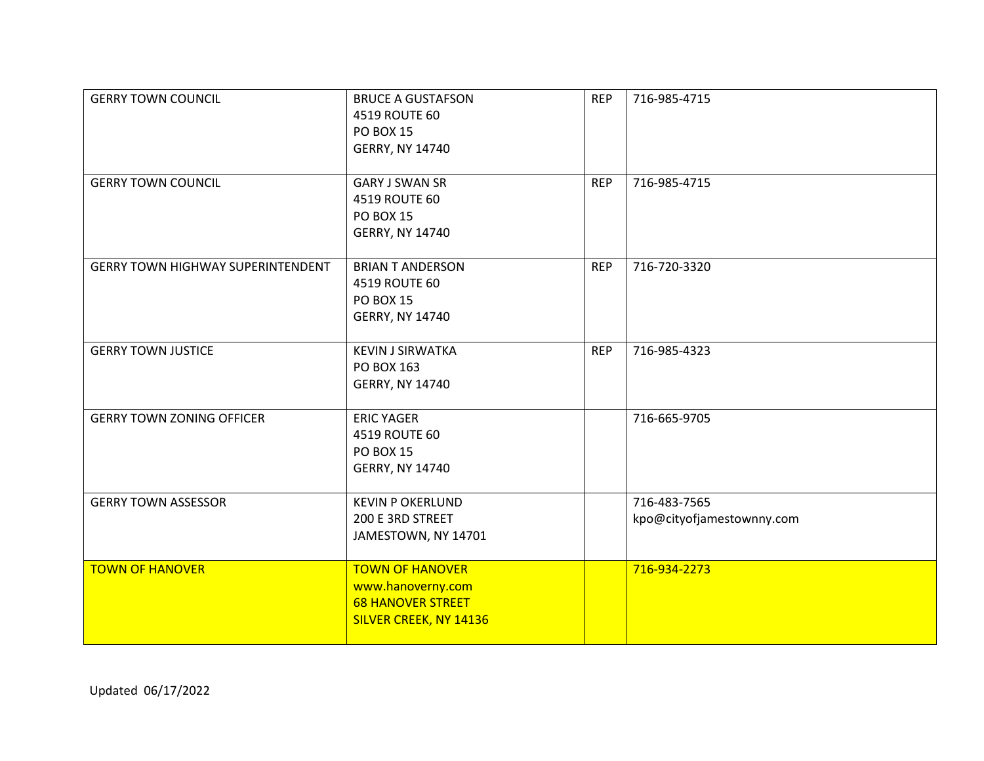| <b>GERRY TOWN COUNCIL</b>                | <b>BRUCE A GUSTAFSON</b><br>4519 ROUTE 60<br><b>PO BOX 15</b><br><b>GERRY, NY 14740</b>           | <b>REP</b> | 716-985-4715                              |
|------------------------------------------|---------------------------------------------------------------------------------------------------|------------|-------------------------------------------|
| <b>GERRY TOWN COUNCIL</b>                | <b>GARY J SWAN SR</b><br>4519 ROUTE 60<br><b>PO BOX 15</b><br><b>GERRY, NY 14740</b>              | <b>REP</b> | 716-985-4715                              |
| <b>GERRY TOWN HIGHWAY SUPERINTENDENT</b> | <b>BRIAN T ANDERSON</b><br>4519 ROUTE 60<br><b>PO BOX 15</b><br><b>GERRY, NY 14740</b>            | <b>REP</b> | 716-720-3320                              |
| <b>GERRY TOWN JUSTICE</b>                | <b>KEVIN J SIRWATKA</b><br>PO BOX 163<br><b>GERRY, NY 14740</b>                                   | <b>REP</b> | 716-985-4323                              |
| <b>GERRY TOWN ZONING OFFICER</b>         | <b>ERIC YAGER</b><br>4519 ROUTE 60<br><b>PO BOX 15</b><br><b>GERRY, NY 14740</b>                  |            | 716-665-9705                              |
| <b>GERRY TOWN ASSESSOR</b>               | <b>KEVIN P OKERLUND</b><br>200 E 3RD STREET<br>JAMESTOWN, NY 14701                                |            | 716-483-7565<br>kpo@cityofjamestownny.com |
| <b>TOWN OF HANOVER</b>                   | <b>TOWN OF HANOVER</b><br>www.hanoverny.com<br><b>68 HANOVER STREET</b><br>SILVER CREEK, NY 14136 |            | 716-934-2273                              |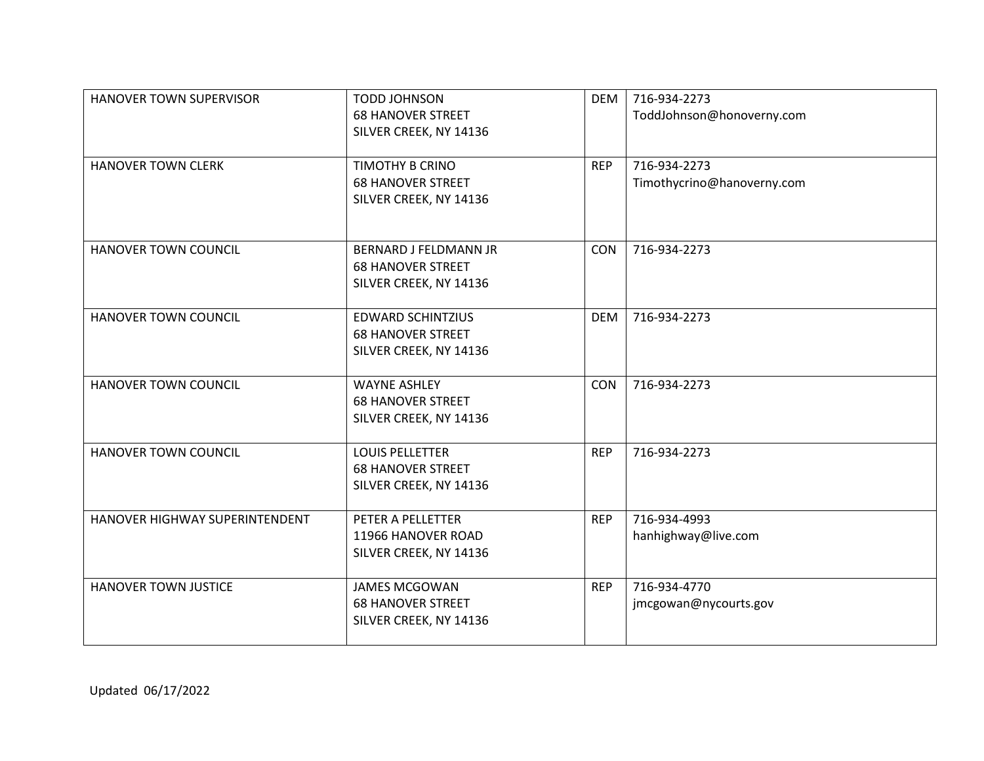| HANOVER TOWN SUPERVISOR        | <b>TODD JOHNSON</b><br><b>68 HANOVER STREET</b><br>SILVER CREEK, NY 14136          | <b>DEM</b> | 716-934-2273<br>ToddJohnson@honoverny.com  |
|--------------------------------|------------------------------------------------------------------------------------|------------|--------------------------------------------|
| <b>HANOVER TOWN CLERK</b>      | TIMOTHY B CRINO<br><b>68 HANOVER STREET</b><br>SILVER CREEK, NY 14136              | <b>REP</b> | 716-934-2273<br>Timothycrino@hanoverny.com |
| <b>HANOVER TOWN COUNCIL</b>    | <b>BERNARD J FELDMANN JR</b><br><b>68 HANOVER STREET</b><br>SILVER CREEK, NY 14136 | <b>CON</b> | 716-934-2273                               |
| <b>HANOVER TOWN COUNCIL</b>    | <b>EDWARD SCHINTZIUS</b><br><b>68 HANOVER STREET</b><br>SILVER CREEK, NY 14136     | <b>DEM</b> | 716-934-2273                               |
| <b>HANOVER TOWN COUNCIL</b>    | <b>WAYNE ASHLEY</b><br><b>68 HANOVER STREET</b><br>SILVER CREEK, NY 14136          | CON        | 716-934-2273                               |
| <b>HANOVER TOWN COUNCIL</b>    | <b>LOUIS PELLETTER</b><br><b>68 HANOVER STREET</b><br>SILVER CREEK, NY 14136       | <b>REP</b> | 716-934-2273                               |
| HANOVER HIGHWAY SUPERINTENDENT | PETER A PELLETTER<br>11966 HANOVER ROAD<br>SILVER CREEK, NY 14136                  | <b>REP</b> | 716-934-4993<br>hanhighway@live.com        |
| <b>HANOVER TOWN JUSTICE</b>    | <b>JAMES MCGOWAN</b><br><b>68 HANOVER STREET</b><br>SILVER CREEK, NY 14136         | <b>REP</b> | 716-934-4770<br>jmcgowan@nycourts.gov      |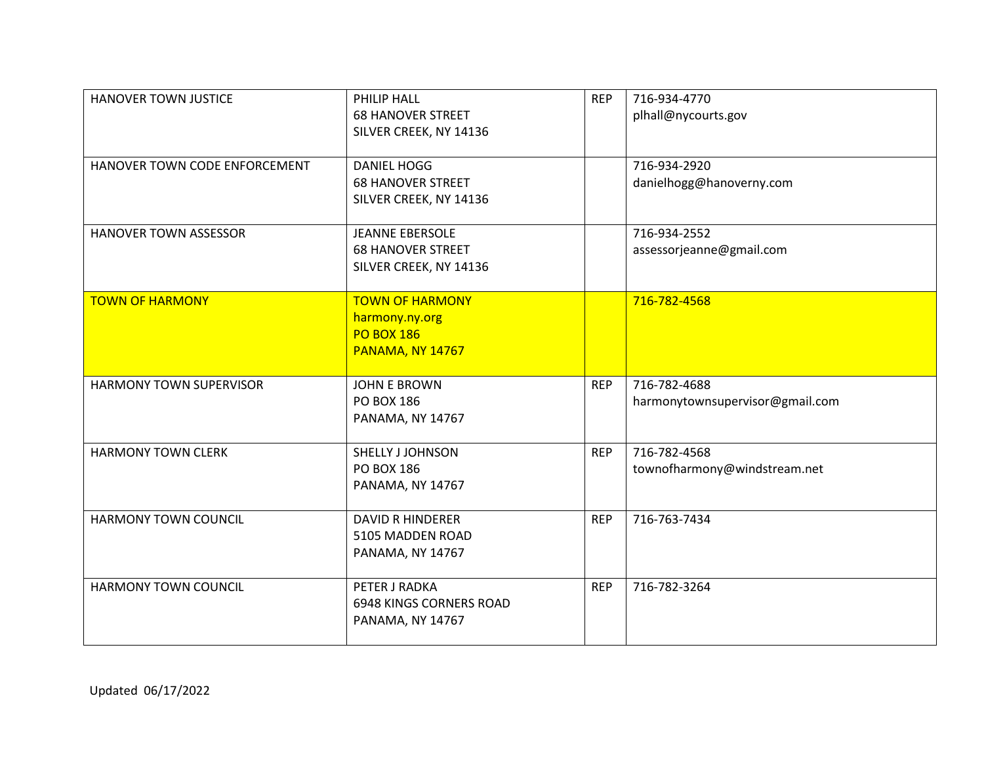| <b>HANOVER TOWN JUSTICE</b>    | PHILIP HALL<br><b>68 HANOVER STREET</b><br>SILVER CREEK, NY 14136                 | <b>REP</b> | 716-934-4770<br>plhall@nycourts.gov             |
|--------------------------------|-----------------------------------------------------------------------------------|------------|-------------------------------------------------|
| HANOVER TOWN CODE ENFORCEMENT  | <b>DANIEL HOGG</b><br><b>68 HANOVER STREET</b><br>SILVER CREEK, NY 14136          |            | 716-934-2920<br>danielhogg@hanoverny.com        |
| <b>HANOVER TOWN ASSESSOR</b>   | <b>JEANNE EBERSOLE</b><br><b>68 HANOVER STREET</b><br>SILVER CREEK, NY 14136      |            | 716-934-2552<br>assessorjeanne@gmail.com        |
| <b>TOWN OF HARMONY</b>         | <b>TOWN OF HARMONY</b><br>harmony.ny.org<br><b>PO BOX 186</b><br>PANAMA, NY 14767 |            | 716-782-4568                                    |
| <b>HARMONY TOWN SUPERVISOR</b> | <b>JOHN E BROWN</b><br>PO BOX 186<br><b>PANAMA, NY 14767</b>                      | <b>REP</b> | 716-782-4688<br>harmonytownsupervisor@gmail.com |
| <b>HARMONY TOWN CLERK</b>      | SHELLY J JOHNSON<br>PO BOX 186<br><b>PANAMA, NY 14767</b>                         | <b>REP</b> | 716-782-4568<br>townofharmony@windstream.net    |
| <b>HARMONY TOWN COUNCIL</b>    | <b>DAVID R HINDERER</b><br>5105 MADDEN ROAD<br><b>PANAMA, NY 14767</b>            | <b>REP</b> | 716-763-7434                                    |
| <b>HARMONY TOWN COUNCIL</b>    | PETER J RADKA<br><b>6948 KINGS CORNERS ROAD</b><br><b>PANAMA, NY 14767</b>        | <b>REP</b> | 716-782-3264                                    |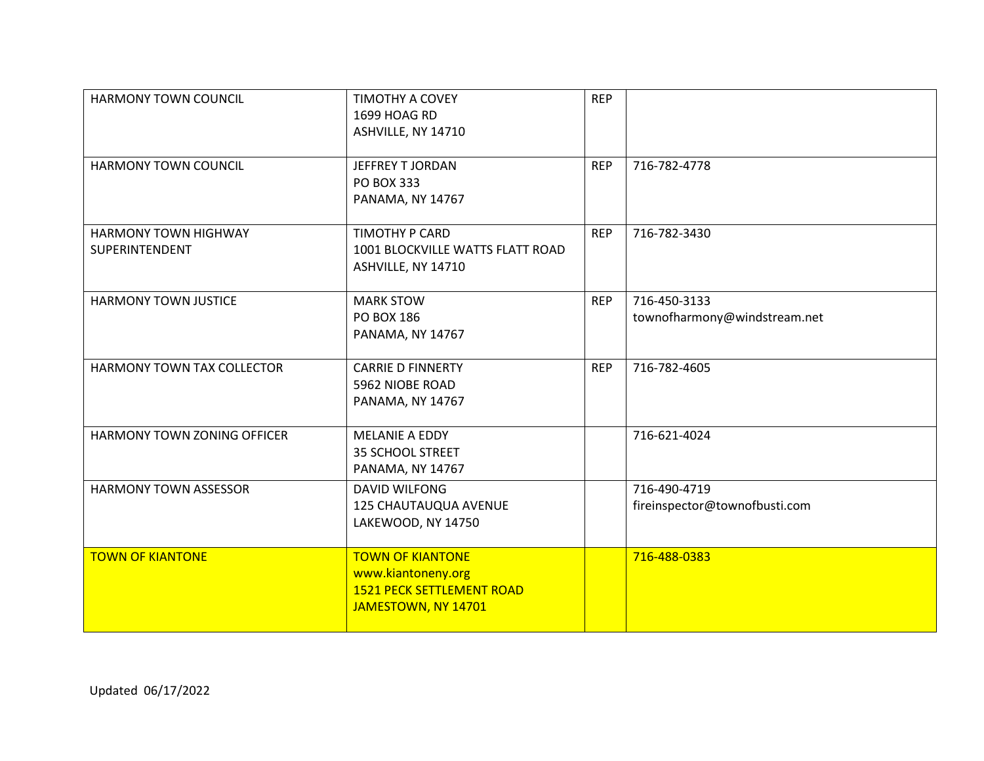| <b>HARMONY TOWN COUNCIL</b>            | TIMOTHY A COVEY<br>1699 HOAG RD<br>ASHVILLE, NY 14710                                                    | <b>REP</b> |                                               |
|----------------------------------------|----------------------------------------------------------------------------------------------------------|------------|-----------------------------------------------|
| <b>HARMONY TOWN COUNCIL</b>            | JEFFREY T JORDAN<br>PO BOX 333<br><b>PANAMA, NY 14767</b>                                                | <b>REP</b> | 716-782-4778                                  |
| HARMONY TOWN HIGHWAY<br>SUPERINTENDENT | TIMOTHY P CARD<br>1001 BLOCKVILLE WATTS FLATT ROAD<br>ASHVILLE, NY 14710                                 | <b>REP</b> | 716-782-3430                                  |
| <b>HARMONY TOWN JUSTICE</b>            | <b>MARK STOW</b><br><b>PO BOX 186</b><br><b>PANAMA, NY 14767</b>                                         | <b>REP</b> | 716-450-3133<br>townofharmony@windstream.net  |
| HARMONY TOWN TAX COLLECTOR             | <b>CARRIE D FINNERTY</b><br>5962 NIOBE ROAD<br>PANAMA, NY 14767                                          | <b>REP</b> | 716-782-4605                                  |
| <b>HARMONY TOWN ZONING OFFICER</b>     | <b>MELANIE A EDDY</b><br>35 SCHOOL STREET<br>PANAMA, NY 14767                                            |            | 716-621-4024                                  |
| <b>HARMONY TOWN ASSESSOR</b>           | <b>DAVID WILFONG</b><br>125 CHAUTAUQUA AVENUE<br>LAKEWOOD, NY 14750                                      |            | 716-490-4719<br>fireinspector@townofbusti.com |
| <b>TOWN OF KIANTONE</b>                | <b>TOWN OF KIANTONE</b><br>www.kiantoneny.org<br><b>1521 PECK SETTLEMENT ROAD</b><br>JAMESTOWN, NY 14701 |            | 716-488-0383                                  |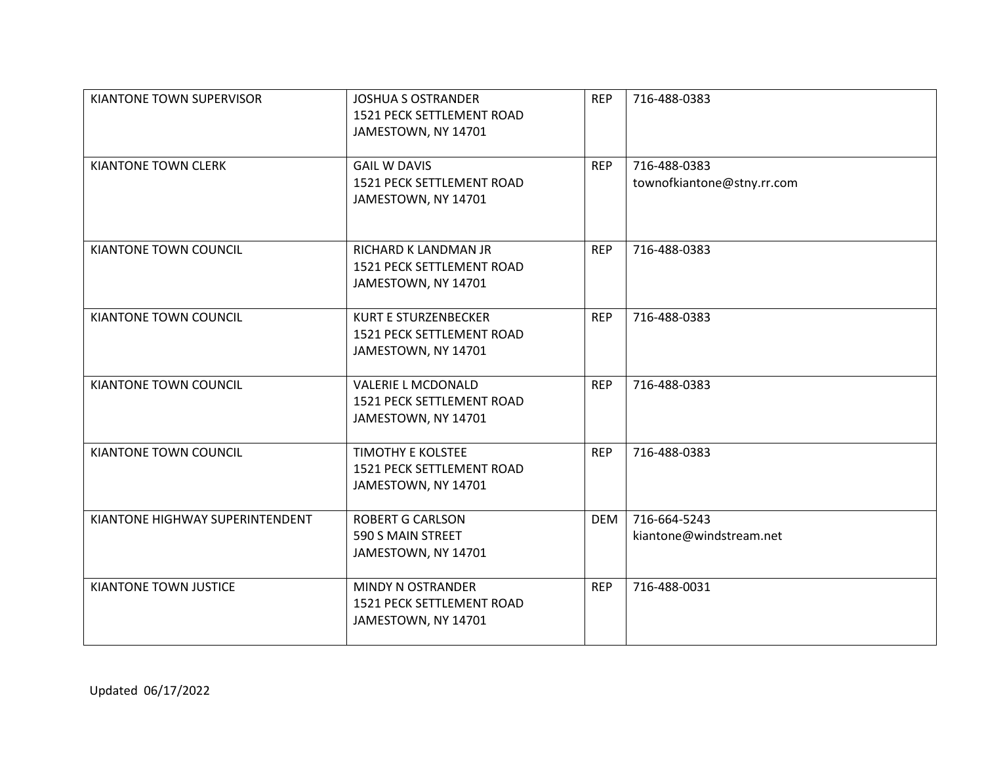| KIANTONE TOWN SUPERVISOR        | <b>JOSHUA S OSTRANDER</b><br>1521 PECK SETTLEMENT ROAD<br>JAMESTOWN, NY 14701   | <b>REP</b> | 716-488-0383                               |
|---------------------------------|---------------------------------------------------------------------------------|------------|--------------------------------------------|
| <b>KIANTONE TOWN CLERK</b>      | <b>GAIL W DAVIS</b><br>1521 PECK SETTLEMENT ROAD<br>JAMESTOWN, NY 14701         | <b>REP</b> | 716-488-0383<br>townofkiantone@stny.rr.com |
| KIANTONE TOWN COUNCIL           | RICHARD K LANDMAN JR<br>1521 PECK SETTLEMENT ROAD<br>JAMESTOWN, NY 14701        | <b>REP</b> | 716-488-0383                               |
| KIANTONE TOWN COUNCIL           | <b>KURT E STURZENBECKER</b><br>1521 PECK SETTLEMENT ROAD<br>JAMESTOWN, NY 14701 | <b>REP</b> | 716-488-0383                               |
| KIANTONE TOWN COUNCIL           | <b>VALERIE L MCDONALD</b><br>1521 PECK SETTLEMENT ROAD<br>JAMESTOWN, NY 14701   | <b>REP</b> | 716-488-0383                               |
| KIANTONE TOWN COUNCIL           | <b>TIMOTHY E KOLSTEE</b><br>1521 PECK SETTLEMENT ROAD<br>JAMESTOWN, NY 14701    | <b>REP</b> | 716-488-0383                               |
| KIANTONE HIGHWAY SUPERINTENDENT | <b>ROBERT G CARLSON</b><br>590 S MAIN STREET<br>JAMESTOWN, NY 14701             | <b>DEM</b> | 716-664-5243<br>kiantone@windstream.net    |
| KIANTONE TOWN JUSTICE           | MINDY N OSTRANDER<br>1521 PECK SETTLEMENT ROAD<br>JAMESTOWN, NY 14701           | <b>REP</b> | 716-488-0031                               |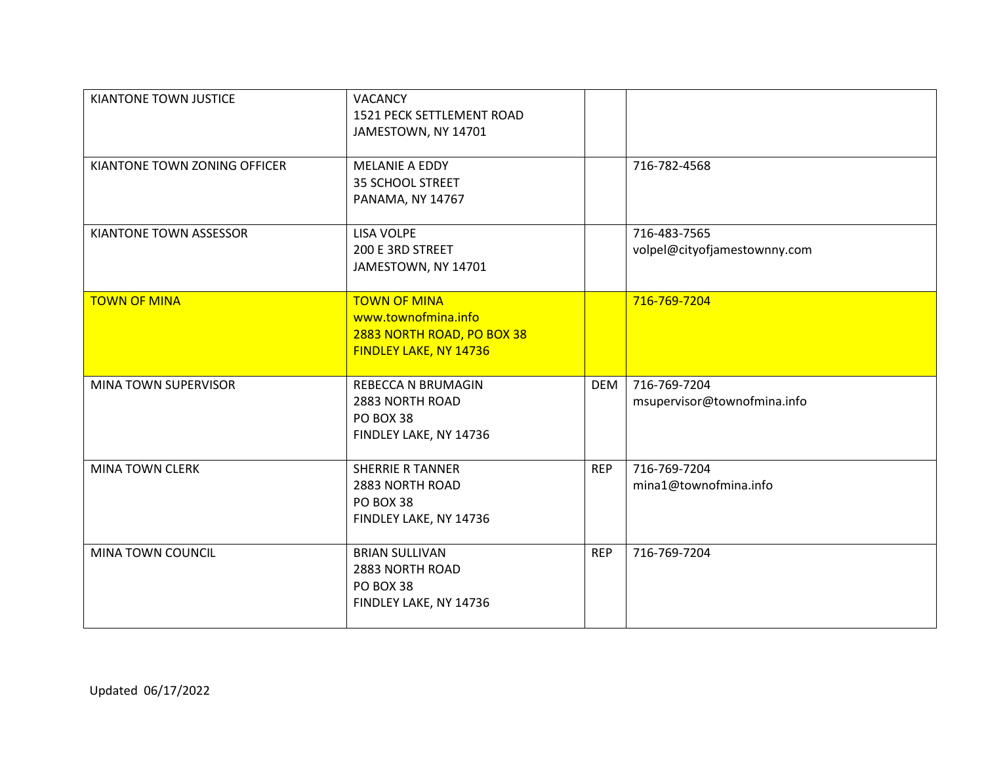| KIANTONE TOWN JUSTICE        | <b>VACANCY</b><br>1521 PECK SETTLEMENT ROAD<br>JAMESTOWN, NY 14701                                 |            |                                              |
|------------------------------|----------------------------------------------------------------------------------------------------|------------|----------------------------------------------|
| KIANTONE TOWN ZONING OFFICER | MELANIE A EDDY<br>35 SCHOOL STREET<br><b>PANAMA, NY 14767</b>                                      |            | 716-782-4568                                 |
| KIANTONE TOWN ASSESSOR       | <b>LISA VOLPE</b><br>200 E 3RD STREET<br>JAMESTOWN, NY 14701                                       |            | 716-483-7565<br>volpel@cityofjamestownny.com |
| <b>TOWN OF MINA</b>          | <b>TOWN OF MINA</b><br>www.townofmina.info<br>2883 NORTH ROAD, PO BOX 38<br>FINDLEY LAKE, NY 14736 |            | 716-769-7204                                 |
| MINA TOWN SUPERVISOR         | REBECCA N BRUMAGIN<br>2883 NORTH ROAD<br>PO BOX 38<br>FINDLEY LAKE, NY 14736                       | <b>DEM</b> | 716-769-7204<br>msupervisor@townofmina.info  |
| <b>MINA TOWN CLERK</b>       | <b>SHERRIE R TANNER</b><br>2883 NORTH ROAD<br>PO BOX 38<br>FINDLEY LAKE, NY 14736                  | <b>REP</b> | 716-769-7204<br>mina1@townofmina.info        |
| MINA TOWN COUNCIL            | <b>BRIAN SULLIVAN</b><br>2883 NORTH ROAD<br>PO BOX 38<br>FINDLEY LAKE, NY 14736                    | <b>REP</b> | 716-769-7204                                 |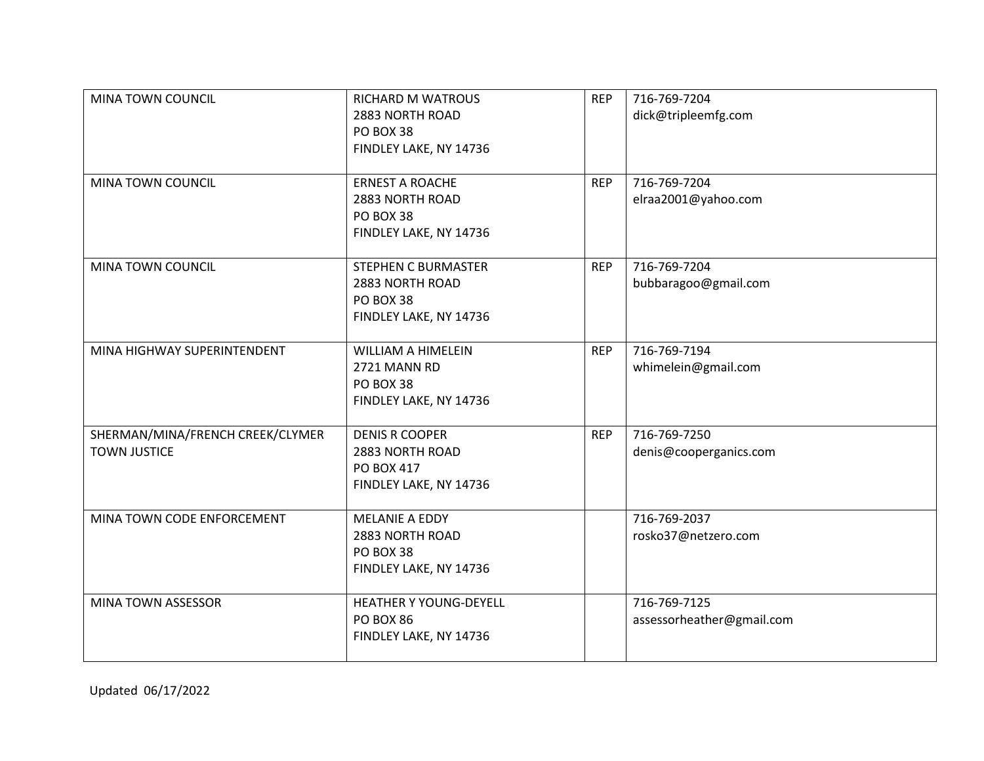| MINA TOWN COUNCIL<br>MINA TOWN COUNCIL                  | <b>RICHARD M WATROUS</b><br>2883 NORTH ROAD<br>PO BOX 38<br>FINDLEY LAKE, NY 14736<br><b>ERNEST A ROACHE</b> | <b>REP</b><br><b>REP</b> | 716-769-7204<br>dick@tripleemfg.com<br>716-769-7204 |
|---------------------------------------------------------|--------------------------------------------------------------------------------------------------------------|--------------------------|-----------------------------------------------------|
|                                                         | 2883 NORTH ROAD<br>PO BOX 38<br>FINDLEY LAKE, NY 14736                                                       |                          | elraa2001@yahoo.com                                 |
| MINA TOWN COUNCIL                                       | <b>STEPHEN C BURMASTER</b><br>2883 NORTH ROAD<br>PO BOX 38<br>FINDLEY LAKE, NY 14736                         | <b>REP</b>               | 716-769-7204<br>bubbaragoo@gmail.com                |
| MINA HIGHWAY SUPERINTENDENT                             | <b>WILLIAM A HIMELEIN</b><br>2721 MANN RD<br>PO BOX 38<br>FINDLEY LAKE, NY 14736                             | <b>REP</b>               | 716-769-7194<br>whimelein@gmail.com                 |
| SHERMAN/MINA/FRENCH CREEK/CLYMER<br><b>TOWN JUSTICE</b> | <b>DENIS R COOPER</b><br>2883 NORTH ROAD<br>PO BOX 417<br>FINDLEY LAKE, NY 14736                             | <b>REP</b>               | 716-769-7250<br>denis@cooperganics.com              |
| MINA TOWN CODE ENFORCEMENT                              | <b>MELANIE A EDDY</b><br>2883 NORTH ROAD<br>PO BOX 38<br>FINDLEY LAKE, NY 14736                              |                          | 716-769-2037<br>rosko37@netzero.com                 |
| MINA TOWN ASSESSOR                                      | <b>HEATHER Y YOUNG-DEYELL</b><br><b>PO BOX 86</b><br>FINDLEY LAKE, NY 14736                                  |                          | 716-769-7125<br>assessorheather@gmail.com           |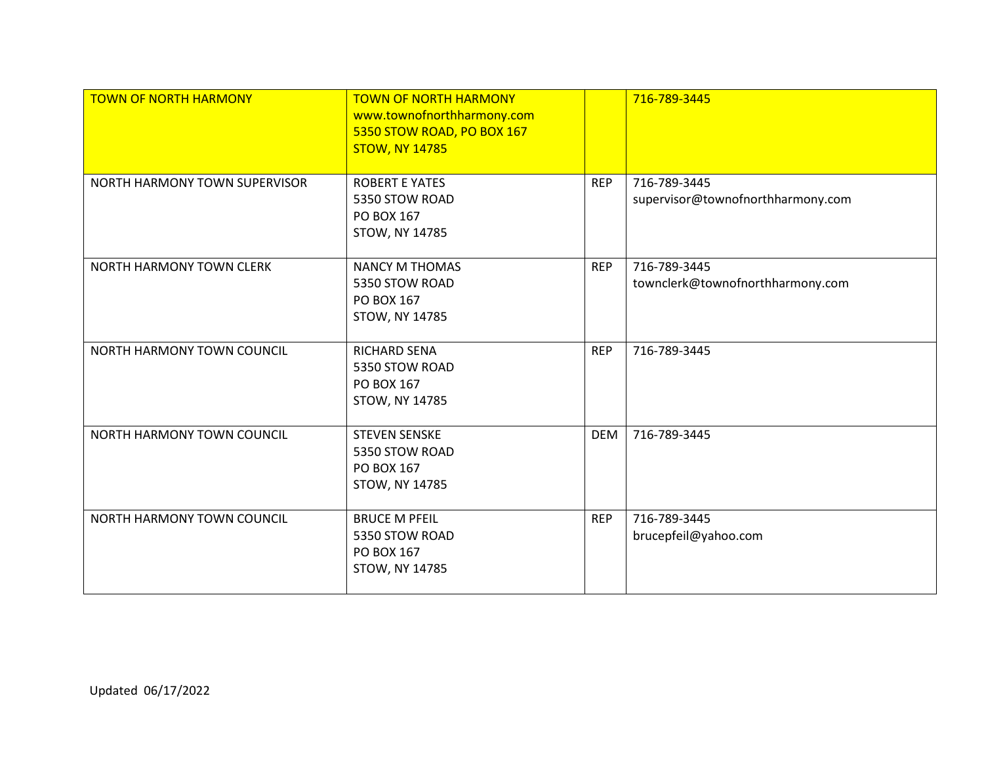| <b>TOWN OF NORTH HARMONY</b>  | <b>TOWN OF NORTH HARMONY</b><br>www.townofnorthharmony.com<br>5350 STOW ROAD, PO BOX 167<br><b>STOW, NY 14785</b> |            | 716-789-3445                                      |
|-------------------------------|-------------------------------------------------------------------------------------------------------------------|------------|---------------------------------------------------|
| NORTH HARMONY TOWN SUPERVISOR | <b>ROBERT E YATES</b><br>5350 STOW ROAD<br>PO BOX 167<br><b>STOW, NY 14785</b>                                    | <b>REP</b> | 716-789-3445<br>supervisor@townofnorthharmony.com |
| NORTH HARMONY TOWN CLERK      | <b>NANCY M THOMAS</b><br>5350 STOW ROAD<br>PO BOX 167<br>STOW, NY 14785                                           | <b>REP</b> | 716-789-3445<br>townclerk@townofnorthharmony.com  |
| NORTH HARMONY TOWN COUNCIL    | RICHARD SENA<br>5350 STOW ROAD<br>PO BOX 167<br><b>STOW, NY 14785</b>                                             | <b>REP</b> | 716-789-3445                                      |
| NORTH HARMONY TOWN COUNCIL    | <b>STEVEN SENSKE</b><br>5350 STOW ROAD<br>PO BOX 167<br>STOW, NY 14785                                            | <b>DEM</b> | 716-789-3445                                      |
| NORTH HARMONY TOWN COUNCIL    | <b>BRUCE M PFEIL</b><br>5350 STOW ROAD<br>PO BOX 167<br><b>STOW, NY 14785</b>                                     | <b>REP</b> | 716-789-3445<br>brucepfeil@yahoo.com              |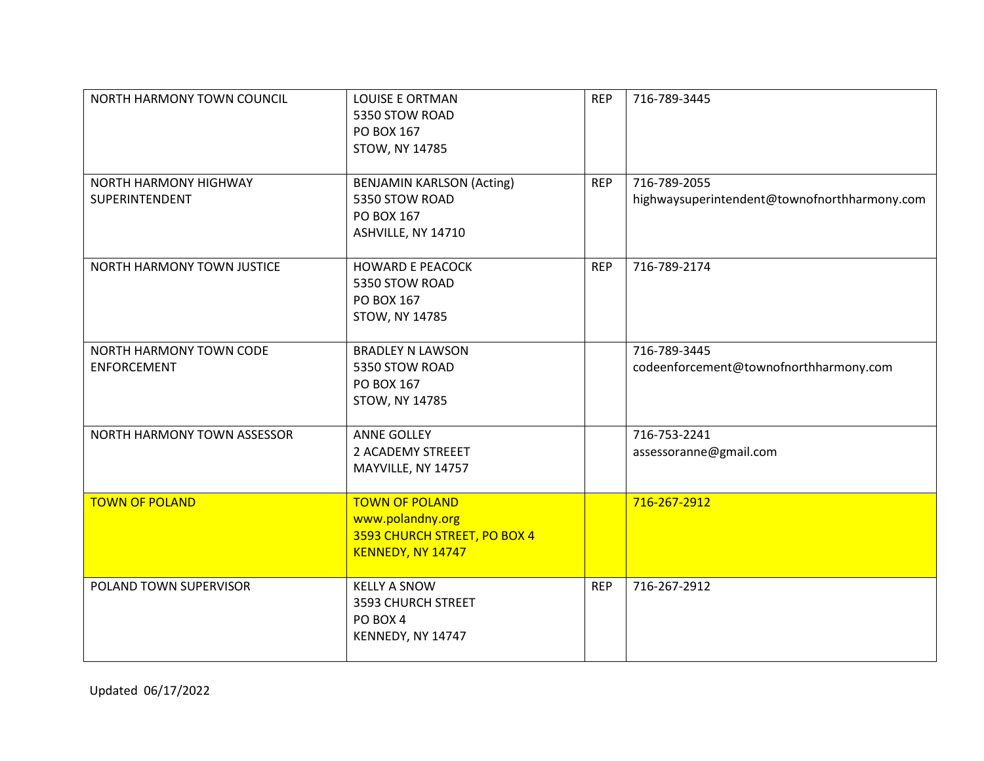| NORTH HARMONY TOWN COUNCIL                    | <b>LOUISE E ORTMAN</b><br>5350 STOW ROAD<br>PO BOX 167<br>STOW, NY 14785                       | <b>REP</b> | 716-789-3445                                                 |
|-----------------------------------------------|------------------------------------------------------------------------------------------------|------------|--------------------------------------------------------------|
| NORTH HARMONY HIGHWAY<br>SUPERINTENDENT       | <b>BENJAMIN KARLSON (Acting)</b><br>5350 STOW ROAD<br>PO BOX 167<br>ASHVILLE, NY 14710         | <b>REP</b> | 716-789-2055<br>highwaysuperintendent@townofnorthharmony.com |
| NORTH HARMONY TOWN JUSTICE                    | <b>HOWARD E PEACOCK</b><br>5350 STOW ROAD<br>PO BOX 167<br><b>STOW, NY 14785</b>               | <b>REP</b> | 716-789-2174                                                 |
| NORTH HARMONY TOWN CODE<br><b>ENFORCEMENT</b> | <b>BRADLEY N LAWSON</b><br>5350 STOW ROAD<br>PO BOX 167<br><b>STOW, NY 14785</b>               |            | 716-789-3445<br>codeenforcement@townofnorthharmony.com       |
| NORTH HARMONY TOWN ASSESSOR                   | <b>ANNE GOLLEY</b><br>2 ACADEMY STREEET<br>MAYVILLE, NY 14757                                  |            | 716-753-2241<br>assessoranne@gmail.com                       |
| <b>TOWN OF POLAND</b>                         | <b>TOWN OF POLAND</b><br>www.polandny.org<br>3593 CHURCH STREET, PO BOX 4<br>KENNEDY, NY 14747 |            | 716-267-2912                                                 |
| POLAND TOWN SUPERVISOR                        | <b>KELLY A SNOW</b><br>3593 CHURCH STREET<br>PO BOX 4<br>KENNEDY, NY 14747                     | <b>REP</b> | 716-267-2912                                                 |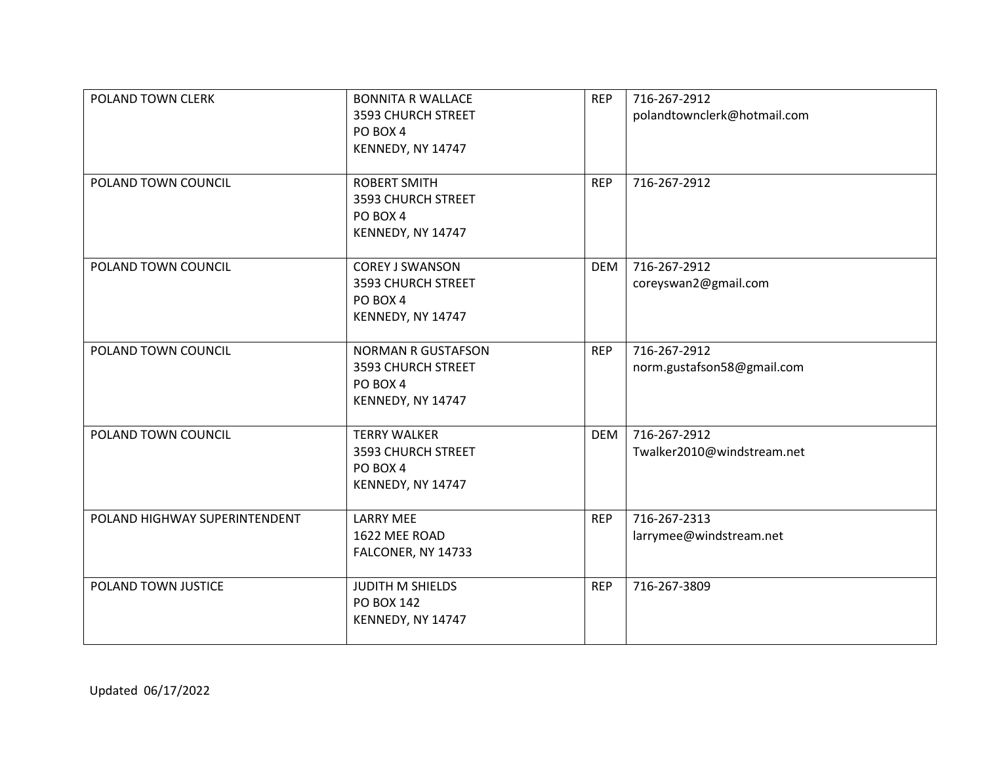| POLAND TOWN CLERK             | <b>BONNITA R WALLACE</b><br>3593 CHURCH STREET<br>PO BOX 4<br>KENNEDY, NY 14747  | <b>REP</b> | 716-267-2912<br>polandtownclerk@hotmail.com |
|-------------------------------|----------------------------------------------------------------------------------|------------|---------------------------------------------|
| POLAND TOWN COUNCIL           | <b>ROBERT SMITH</b><br>3593 CHURCH STREET<br>PO BOX 4<br>KENNEDY, NY 14747       | <b>REP</b> | 716-267-2912                                |
| POLAND TOWN COUNCIL           | <b>COREY J SWANSON</b><br>3593 CHURCH STREET<br>PO BOX 4<br>KENNEDY, NY 14747    | <b>DEM</b> | 716-267-2912<br>coreyswan2@gmail.com        |
| POLAND TOWN COUNCIL           | <b>NORMAN R GUSTAFSON</b><br>3593 CHURCH STREET<br>PO BOX 4<br>KENNEDY, NY 14747 | <b>REP</b> | 716-267-2912<br>norm.gustafson58@gmail.com  |
| POLAND TOWN COUNCIL           | <b>TERRY WALKER</b><br>3593 CHURCH STREET<br>PO BOX 4<br>KENNEDY, NY 14747       | <b>DEM</b> | 716-267-2912<br>Twalker2010@windstream.net  |
| POLAND HIGHWAY SUPERINTENDENT | <b>LARRY MEE</b><br>1622 MEE ROAD<br>FALCONER, NY 14733                          | <b>REP</b> | 716-267-2313<br>larrymee@windstream.net     |
| POLAND TOWN JUSTICE           | JUDITH M SHIELDS<br>PO BOX 142<br>KENNEDY, NY 14747                              | <b>REP</b> | 716-267-3809                                |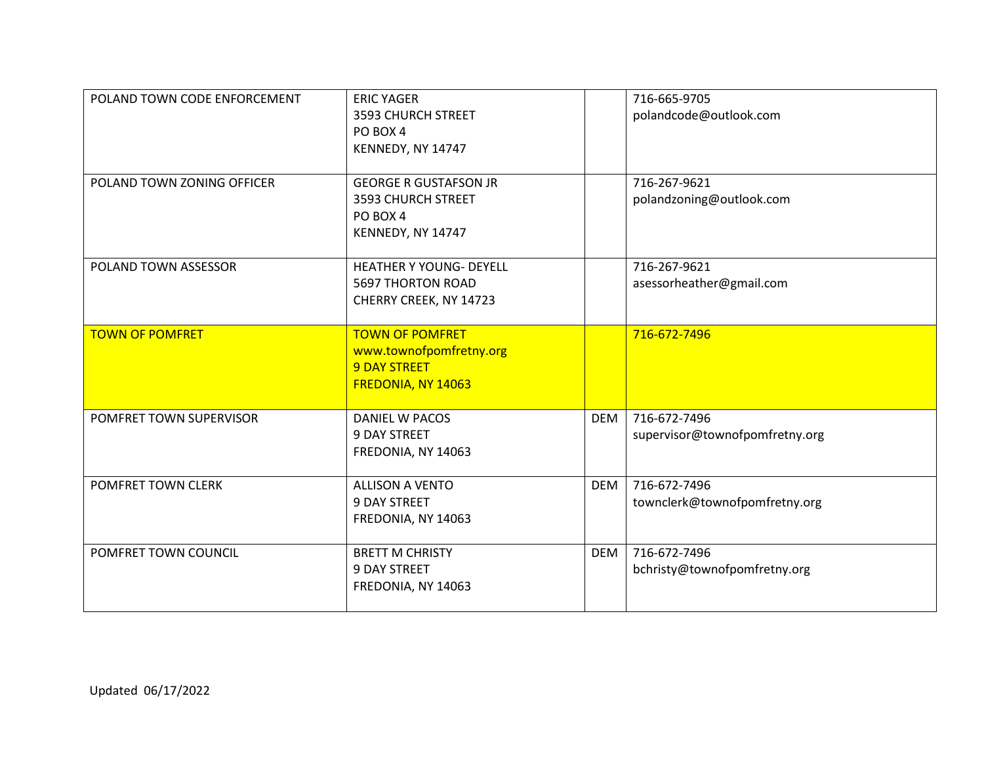| POLAND TOWN CODE ENFORCEMENT | <b>ERIC YAGER</b><br>3593 CHURCH STREET<br>PO BOX 4<br>KENNEDY, NY 14747                       |            | 716-665-9705<br>polandcode@outlook.com         |
|------------------------------|------------------------------------------------------------------------------------------------|------------|------------------------------------------------|
| POLAND TOWN ZONING OFFICER   | <b>GEORGE R GUSTAFSON JR</b><br>3593 CHURCH STREET<br>PO BOX 4<br>KENNEDY, NY 14747            |            | 716-267-9621<br>polandzoning@outlook.com       |
| POLAND TOWN ASSESSOR         | <b>HEATHER Y YOUNG- DEYELL</b><br><b>5697 THORTON ROAD</b><br>CHERRY CREEK, NY 14723           |            | 716-267-9621<br>asessorheather@gmail.com       |
| <b>TOWN OF POMFRET</b>       | <b>TOWN OF POMFRET</b><br>www.townofpomfretny.org<br><b>9 DAY STREET</b><br>FREDONIA, NY 14063 |            | 716-672-7496                                   |
| POMFRET TOWN SUPERVISOR      | <b>DANIEL W PACOS</b><br>9 DAY STREET<br>FREDONIA, NY 14063                                    | <b>DEM</b> | 716-672-7496<br>supervisor@townofpomfretny.org |
| POMFRET TOWN CLERK           | <b>ALLISON A VENTO</b><br><b>9 DAY STREET</b><br>FREDONIA, NY 14063                            | <b>DEM</b> | 716-672-7496<br>townclerk@townofpomfretny.org  |
| POMFRET TOWN COUNCIL         | <b>BRETT M CHRISTY</b><br>9 DAY STREET<br>FREDONIA, NY 14063                                   | <b>DEM</b> | 716-672-7496<br>bchristy@townofpomfretny.org   |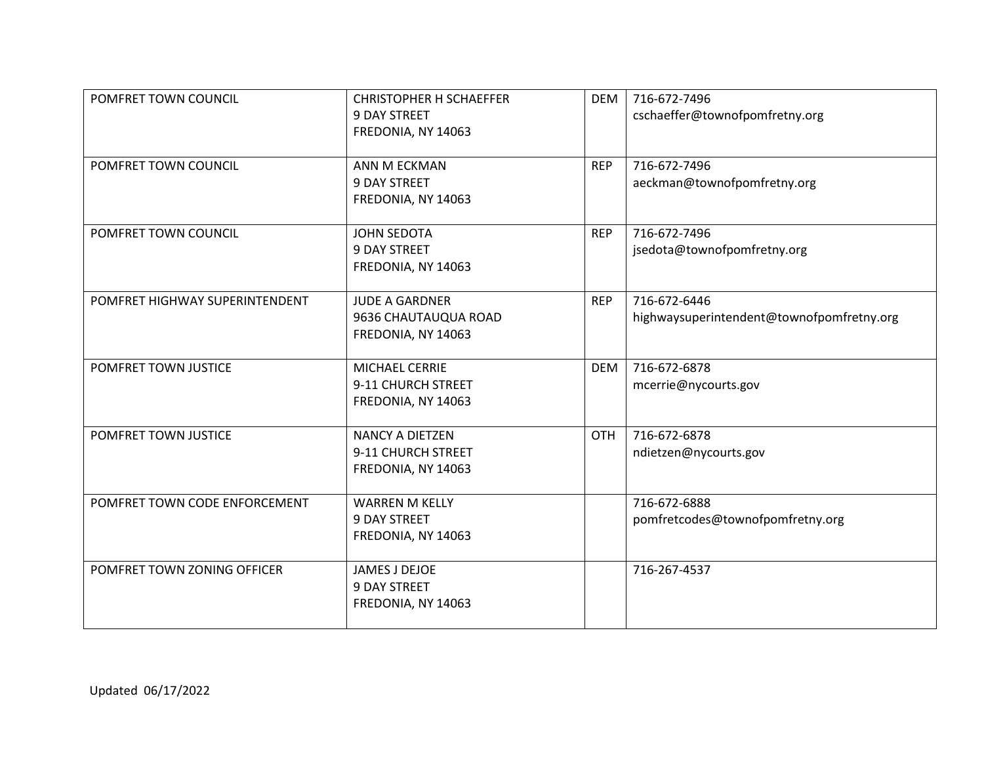| POMFRET TOWN COUNCIL           | <b>CHRISTOPHER H SCHAEFFER</b><br><b>9 DAY STREET</b><br>FREDONIA, NY 14063 | <b>DEM</b> | 716-672-7496<br>cschaeffer@townofpomfretny.org            |
|--------------------------------|-----------------------------------------------------------------------------|------------|-----------------------------------------------------------|
| POMFRET TOWN COUNCIL           | ANN M ECKMAN<br><b>9 DAY STREET</b><br>FREDONIA, NY 14063                   | <b>REP</b> | 716-672-7496<br>aeckman@townofpomfretny.org               |
| POMFRET TOWN COUNCIL           | <b>JOHN SEDOTA</b><br><b>9 DAY STREET</b><br>FREDONIA, NY 14063             | <b>REP</b> | 716-672-7496<br>jsedota@townofpomfretny.org               |
| POMFRET HIGHWAY SUPERINTENDENT | <b>JUDE A GARDNER</b><br>9636 CHAUTAUQUA ROAD<br>FREDONIA, NY 14063         | <b>REP</b> | 716-672-6446<br>highwaysuperintendent@townofpomfretny.org |
| POMFRET TOWN JUSTICE           | MICHAEL CERRIE<br>9-11 CHURCH STREET<br>FREDONIA, NY 14063                  | <b>DEM</b> | 716-672-6878<br>mcerrie@nycourts.gov                      |
| POMFRET TOWN JUSTICE           | <b>NANCY A DIETZEN</b><br>9-11 CHURCH STREET<br>FREDONIA, NY 14063          | <b>OTH</b> | 716-672-6878<br>ndietzen@nycourts.gov                     |
| POMFRET TOWN CODE ENFORCEMENT  | <b>WARREN M KELLY</b><br><b>9 DAY STREET</b><br>FREDONIA, NY 14063          |            | 716-672-6888<br>pomfretcodes@townofpomfretny.org          |
| POMFRET TOWN ZONING OFFICER    | JAMES J DEJOE<br>9 DAY STREET<br>FREDONIA, NY 14063                         |            | 716-267-4537                                              |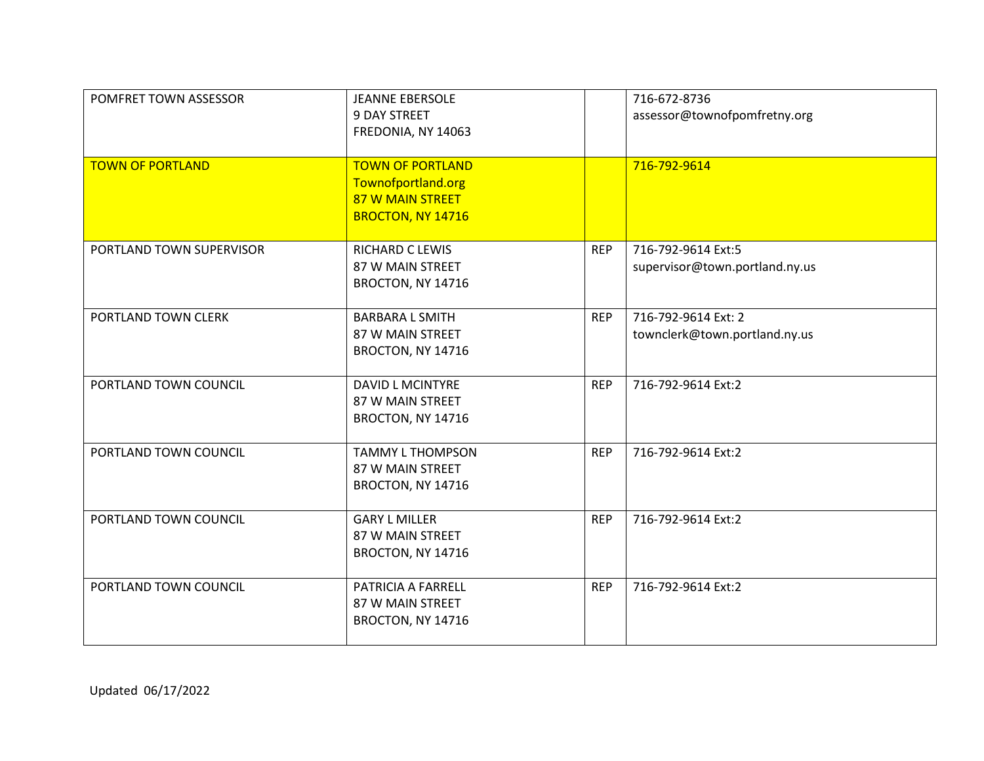| POMFRET TOWN ASSESSOR    | <b>JEANNE EBERSOLE</b><br><b>9 DAY STREET</b><br>FREDONIA, NY 14063                    |            | 716-672-8736<br>assessor@townofpomfretny.org         |
|--------------------------|----------------------------------------------------------------------------------------|------------|------------------------------------------------------|
| <b>TOWN OF PORTLAND</b>  | <b>TOWN OF PORTLAND</b><br>Townofportland.org<br>87 W MAIN STREET<br>BROCTON, NY 14716 |            | 716-792-9614                                         |
| PORTLAND TOWN SUPERVISOR | RICHARD C LEWIS<br>87 W MAIN STREET<br>BROCTON, NY 14716                               | <b>REP</b> | 716-792-9614 Ext:5<br>supervisor@town.portland.ny.us |
| PORTLAND TOWN CLERK      | <b>BARBARA L SMITH</b><br>87 W MAIN STREET<br>BROCTON, NY 14716                        | <b>REP</b> | 716-792-9614 Ext: 2<br>townclerk@town.portland.ny.us |
| PORTLAND TOWN COUNCIL    | <b>DAVID L MCINTYRE</b><br>87 W MAIN STREET<br>BROCTON, NY 14716                       | <b>REP</b> | 716-792-9614 Ext:2                                   |
| PORTLAND TOWN COUNCIL    | <b>TAMMY L THOMPSON</b><br>87 W MAIN STREET<br>BROCTON, NY 14716                       | <b>REP</b> | 716-792-9614 Ext:2                                   |
| PORTLAND TOWN COUNCIL    | <b>GARY L MILLER</b><br>87 W MAIN STREET<br>BROCTON, NY 14716                          | <b>REP</b> | 716-792-9614 Ext:2                                   |
| PORTLAND TOWN COUNCIL    | PATRICIA A FARRELL<br>87 W MAIN STREET<br>BROCTON, NY 14716                            | <b>REP</b> | 716-792-9614 Ext:2                                   |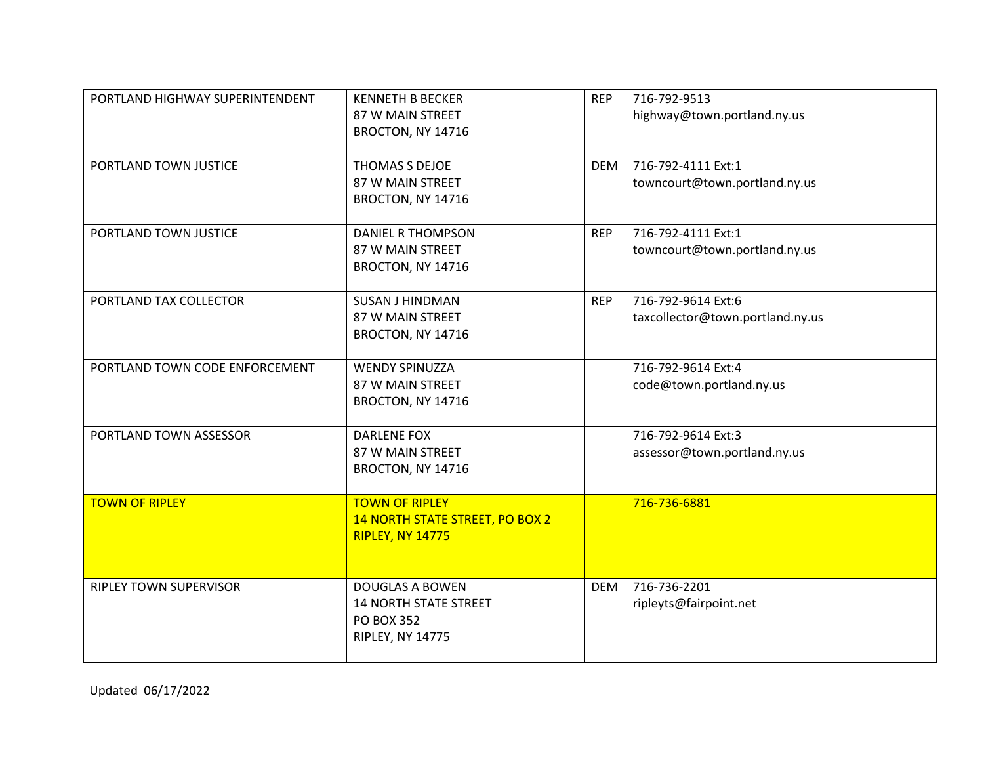| PORTLAND HIGHWAY SUPERINTENDENT | <b>KENNETH B BECKER</b><br>87 W MAIN STREET<br>BROCTON, NY 14716                                       | <b>REP</b> | 716-792-9513<br>highway@town.portland.ny.us            |
|---------------------------------|--------------------------------------------------------------------------------------------------------|------------|--------------------------------------------------------|
| PORTLAND TOWN JUSTICE           | THOMAS S DEJOE<br>87 W MAIN STREET<br>BROCTON, NY 14716                                                | <b>DEM</b> | 716-792-4111 Ext:1<br>towncourt@town.portland.ny.us    |
| PORTLAND TOWN JUSTICE           | <b>DANIEL R THOMPSON</b><br>87 W MAIN STREET<br>BROCTON, NY 14716                                      | <b>REP</b> | 716-792-4111 Ext:1<br>towncourt@town.portland.ny.us    |
| PORTLAND TAX COLLECTOR          | <b>SUSAN J HINDMAN</b><br>87 W MAIN STREET<br>BROCTON, NY 14716                                        | <b>REP</b> | 716-792-9614 Ext:6<br>taxcollector@town.portland.ny.us |
| PORTLAND TOWN CODE ENFORCEMENT  | <b>WENDY SPINUZZA</b><br>87 W MAIN STREET<br>BROCTON, NY 14716                                         |            | 716-792-9614 Ext:4<br>code@town.portland.ny.us         |
| PORTLAND TOWN ASSESSOR          | <b>DARLENE FOX</b><br>87 W MAIN STREET<br>BROCTON, NY 14716                                            |            | 716-792-9614 Ext:3<br>assessor@town.portland.ny.us     |
| <b>TOWN OF RIPLEY</b>           | <b>TOWN OF RIPLEY</b><br>14 NORTH STATE STREET, PO BOX 2<br><b>RIPLEY, NY 14775</b>                    |            | 716-736-6881                                           |
| RIPLEY TOWN SUPERVISOR          | <b>DOUGLAS A BOWEN</b><br><b>14 NORTH STATE STREET</b><br><b>PO BOX 352</b><br><b>RIPLEY, NY 14775</b> | <b>DEM</b> | 716-736-2201<br>ripleyts@fairpoint.net                 |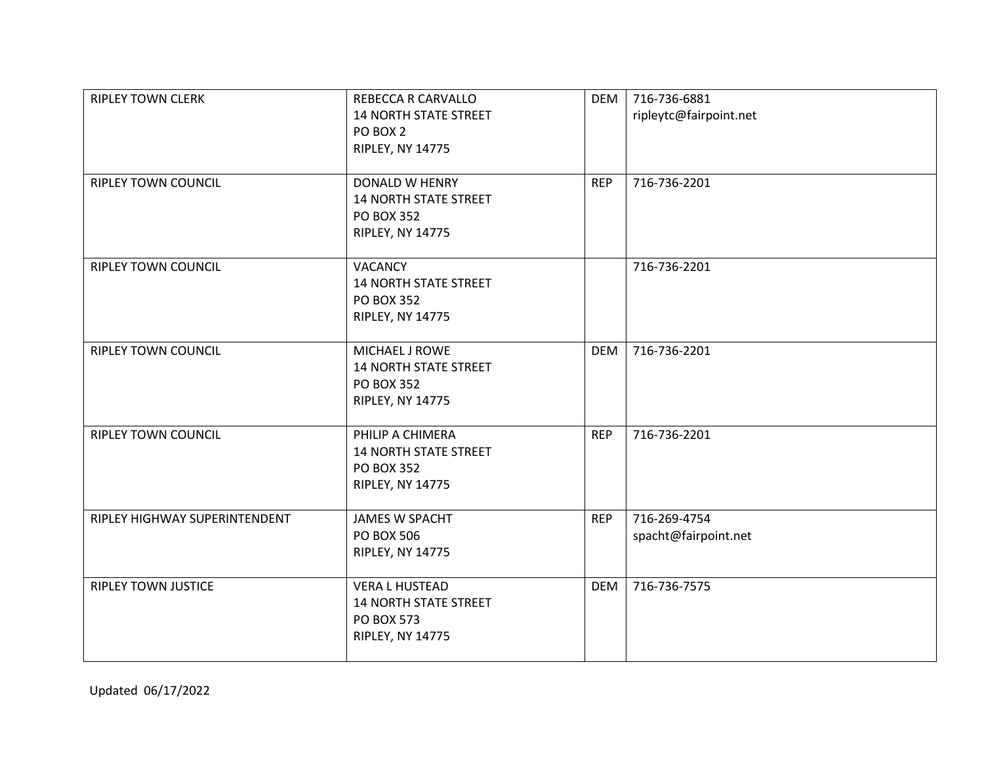| <b>RIPLEY TOWN CLERK</b>      | REBECCA R CARVALLO<br><b>14 NORTH STATE STREET</b><br>PO BOX 2<br><b>RIPLEY, NY 14775</b>             | <b>DEM</b> | 716-736-6881<br>ripleytc@fairpoint.net |
|-------------------------------|-------------------------------------------------------------------------------------------------------|------------|----------------------------------------|
| <b>RIPLEY TOWN COUNCIL</b>    | <b>DONALD W HENRY</b><br><b>14 NORTH STATE STREET</b><br><b>PO BOX 352</b><br><b>RIPLEY, NY 14775</b> | <b>REP</b> | 716-736-2201                           |
| <b>RIPLEY TOWN COUNCIL</b>    | <b>VACANCY</b><br><b>14 NORTH STATE STREET</b><br><b>PO BOX 352</b><br><b>RIPLEY, NY 14775</b>        |            | 716-736-2201                           |
| <b>RIPLEY TOWN COUNCIL</b>    | MICHAEL J ROWE<br><b>14 NORTH STATE STREET</b><br><b>PO BOX 352</b><br><b>RIPLEY, NY 14775</b>        | <b>DEM</b> | 716-736-2201                           |
| <b>RIPLEY TOWN COUNCIL</b>    | PHILIP A CHIMERA<br><b>14 NORTH STATE STREET</b><br><b>PO BOX 352</b><br><b>RIPLEY, NY 14775</b>      | <b>REP</b> | 716-736-2201                           |
| RIPLEY HIGHWAY SUPERINTENDENT | <b>JAMES W SPACHT</b><br><b>PO BOX 506</b><br><b>RIPLEY, NY 14775</b>                                 | <b>REP</b> | 716-269-4754<br>spacht@fairpoint.net   |
| <b>RIPLEY TOWN JUSTICE</b>    | <b>VERA L HUSTEAD</b><br><b>14 NORTH STATE STREET</b><br><b>PO BOX 573</b><br><b>RIPLEY, NY 14775</b> | <b>DEM</b> | 716-736-7575                           |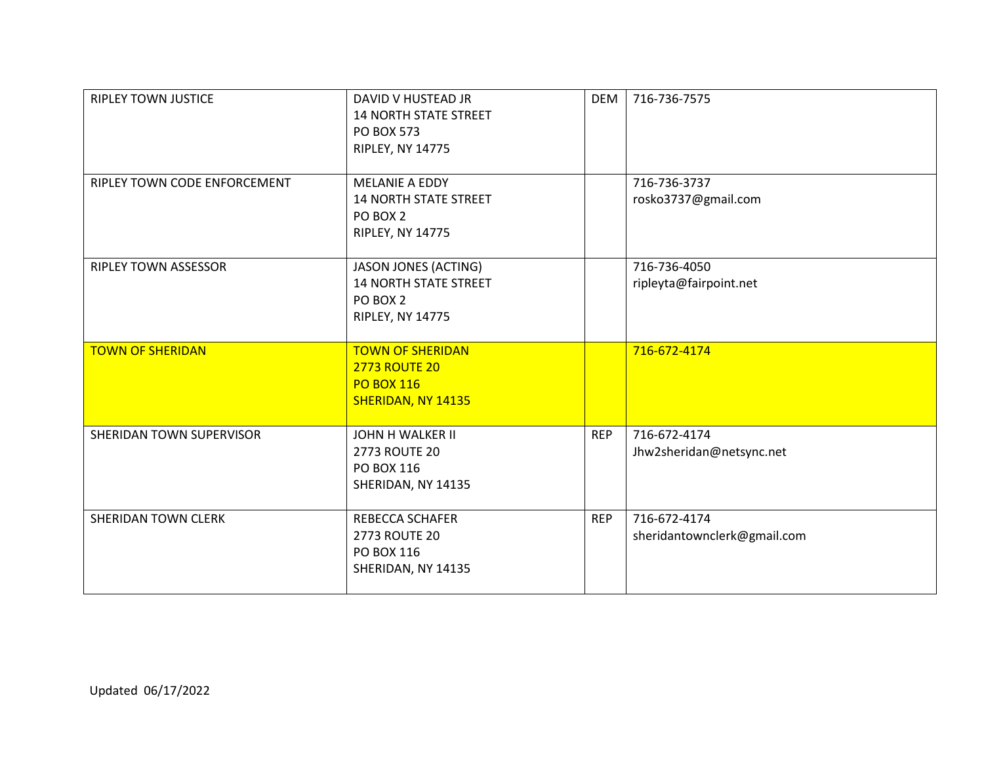| <b>RIPLEY TOWN JUSTICE</b>   | DAVID V HUSTEAD JR<br><b>14 NORTH STATE STREET</b><br><b>PO BOX 573</b><br><b>RIPLEY, NY 14775</b> | <b>DEM</b> | 716-736-7575                                |
|------------------------------|----------------------------------------------------------------------------------------------------|------------|---------------------------------------------|
| RIPLEY TOWN CODE ENFORCEMENT | MELANIE A EDDY<br><b>14 NORTH STATE STREET</b><br>PO BOX 2<br><b>RIPLEY, NY 14775</b>              |            | 716-736-3737<br>rosko3737@gmail.com         |
| RIPLEY TOWN ASSESSOR         | JASON JONES (ACTING)<br><b>14 NORTH STATE STREET</b><br>PO BOX 2<br><b>RIPLEY, NY 14775</b>        |            | 716-736-4050<br>ripleyta@fairpoint.net      |
| <b>TOWN OF SHERIDAN</b>      | <b>TOWN OF SHERIDAN</b><br><b>2773 ROUTE 20</b><br><b>PO BOX 116</b><br>SHERIDAN, NY 14135         |            | 716-672-4174                                |
| SHERIDAN TOWN SUPERVISOR     | <b>JOHN H WALKER II</b><br>2773 ROUTE 20<br>PO BOX 116<br>SHERIDAN, NY 14135                       | <b>REP</b> | 716-672-4174<br>Jhw2sheridan@netsync.net    |
| SHERIDAN TOWN CLERK          | <b>REBECCA SCHAFER</b><br>2773 ROUTE 20<br>PO BOX 116<br>SHERIDAN, NY 14135                        | <b>REP</b> | 716-672-4174<br>sheridantownclerk@gmail.com |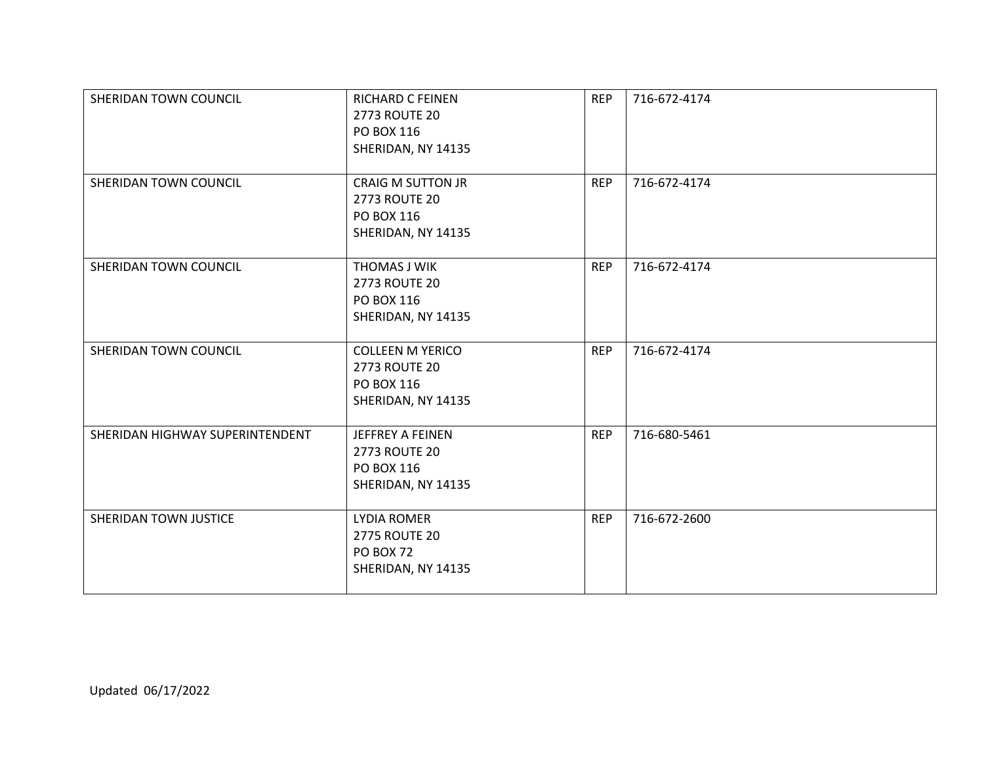| SHERIDAN TOWN COUNCIL           | <b>RICHARD C FEINEN</b><br>2773 ROUTE 20<br>PO BOX 116<br>SHERIDAN, NY 14135         | <b>REP</b> | 716-672-4174 |
|---------------------------------|--------------------------------------------------------------------------------------|------------|--------------|
| SHERIDAN TOWN COUNCIL           | <b>CRAIG M SUTTON JR</b><br>2773 ROUTE 20<br>PO BOX 116<br>SHERIDAN, NY 14135        | <b>REP</b> | 716-672-4174 |
| SHERIDAN TOWN COUNCIL           | THOMAS J WIK<br>2773 ROUTE 20<br>PO BOX 116<br>SHERIDAN, NY 14135                    | <b>REP</b> | 716-672-4174 |
| SHERIDAN TOWN COUNCIL           | <b>COLLEEN M YERICO</b><br>2773 ROUTE 20<br>PO BOX 116<br>SHERIDAN, NY 14135         | <b>REP</b> | 716-672-4174 |
| SHERIDAN HIGHWAY SUPERINTENDENT | <b>JEFFREY A FEINEN</b><br><b>2773 ROUTE 20</b><br>PO BOX 116<br>SHERIDAN, NY 14135  | <b>REP</b> | 716-680-5461 |
| SHERIDAN TOWN JUSTICE           | <b>LYDIA ROMER</b><br><b>2775 ROUTE 20</b><br><b>PO BOX 72</b><br>SHERIDAN, NY 14135 | <b>REP</b> | 716-672-2600 |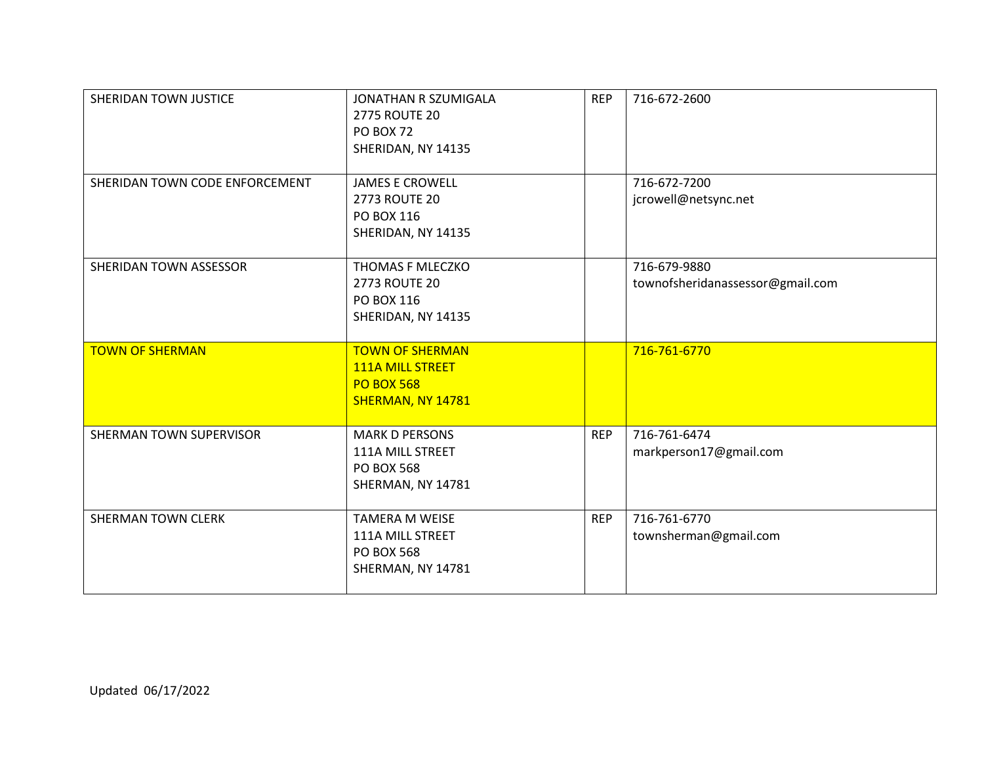| SHERIDAN TOWN JUSTICE          | JONATHAN R SZUMIGALA<br>2775 ROUTE 20<br><b>PO BOX 72</b><br>SHERIDAN, NY 14135             | <b>REP</b> | 716-672-2600                                     |
|--------------------------------|---------------------------------------------------------------------------------------------|------------|--------------------------------------------------|
| SHERIDAN TOWN CODE ENFORCEMENT | <b>JAMES E CROWELL</b><br>2773 ROUTE 20<br>PO BOX 116<br>SHERIDAN, NY 14135                 |            | 716-672-7200<br>jcrowell@netsync.net             |
| SHERIDAN TOWN ASSESSOR         | THOMAS F MLECZKO<br>2773 ROUTE 20<br>PO BOX 116<br>SHERIDAN, NY 14135                       |            | 716-679-9880<br>townofsheridanassessor@gmail.com |
| <b>TOWN OF SHERMAN</b>         | <b>TOWN OF SHERMAN</b><br><b>111A MILL STREET</b><br><b>PO BOX 568</b><br>SHERMAN, NY 14781 |            | 716-761-6770                                     |
| SHERMAN TOWN SUPERVISOR        | <b>MARK D PERSONS</b><br>111A MILL STREET<br><b>PO BOX 568</b><br>SHERMAN, NY 14781         | <b>REP</b> | 716-761-6474<br>markperson17@gmail.com           |
| <b>SHERMAN TOWN CLERK</b>      | <b>TAMERA M WEISE</b><br>111A MILL STREET<br><b>PO BOX 568</b><br>SHERMAN, NY 14781         | <b>REP</b> | 716-761-6770<br>townsherman@gmail.com            |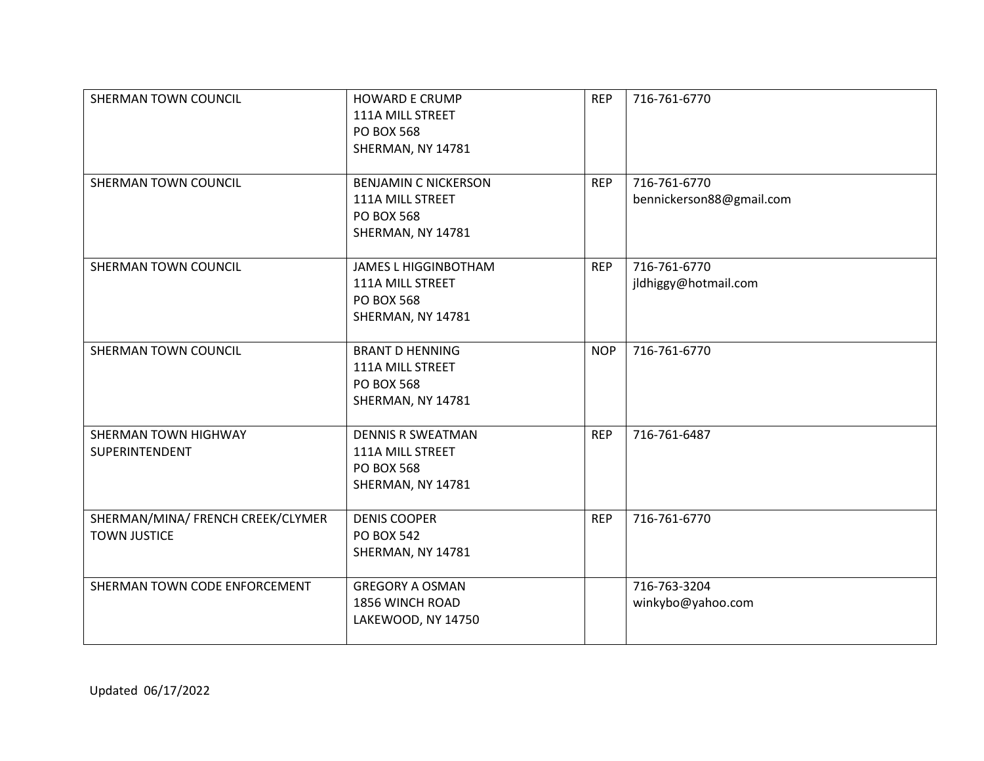| SHERMAN TOWN COUNCIL                                     | <b>HOWARD E CRUMP</b><br>111A MILL STREET<br><b>PO BOX 568</b><br>SHERMAN, NY 14781       | <b>REP</b> | 716-761-6770                             |
|----------------------------------------------------------|-------------------------------------------------------------------------------------------|------------|------------------------------------------|
| SHERMAN TOWN COUNCIL                                     | <b>BENJAMIN C NICKERSON</b><br>111A MILL STREET<br><b>PO BOX 568</b><br>SHERMAN, NY 14781 | <b>REP</b> | 716-761-6770<br>bennickerson88@gmail.com |
| SHERMAN TOWN COUNCIL                                     | <b>JAMES L HIGGINBOTHAM</b><br>111A MILL STREET<br><b>PO BOX 568</b><br>SHERMAN, NY 14781 | <b>REP</b> | 716-761-6770<br>jldhiggy@hotmail.com     |
| SHERMAN TOWN COUNCIL                                     | <b>BRANT D HENNING</b><br>111A MILL STREET<br><b>PO BOX 568</b><br>SHERMAN, NY 14781      | <b>NOP</b> | 716-761-6770                             |
| SHERMAN TOWN HIGHWAY<br>SUPERINTENDENT                   | <b>DENNIS R SWEATMAN</b><br>111A MILL STREET<br><b>PO BOX 568</b><br>SHERMAN, NY 14781    | <b>REP</b> | 716-761-6487                             |
| SHERMAN/MINA/ FRENCH CREEK/CLYMER<br><b>TOWN JUSTICE</b> | <b>DENIS COOPER</b><br><b>PO BOX 542</b><br>SHERMAN, NY 14781                             | <b>REP</b> | 716-761-6770                             |
| SHERMAN TOWN CODE ENFORCEMENT                            | <b>GREGORY A OSMAN</b><br>1856 WINCH ROAD<br>LAKEWOOD, NY 14750                           |            | 716-763-3204<br>winkybo@yahoo.com        |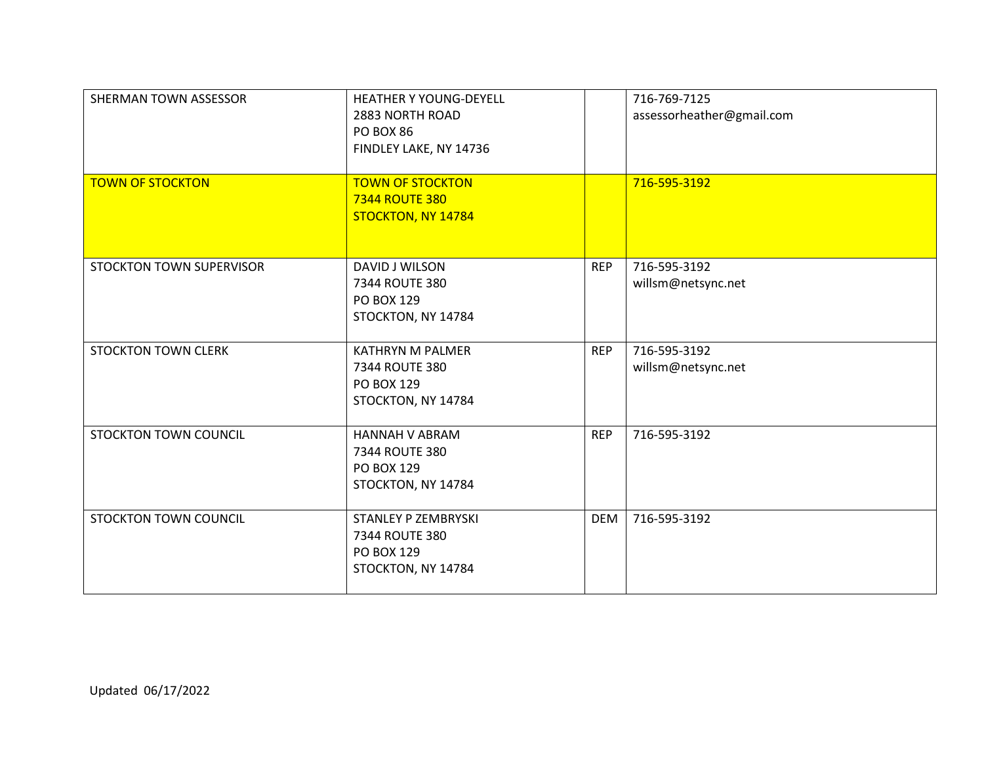| SHERMAN TOWN ASSESSOR           | <b>HEATHER Y YOUNG-DEYELL</b><br>2883 NORTH ROAD<br><b>PO BOX 86</b><br>FINDLEY LAKE, NY 14736 |            | 716-769-7125<br>assessorheather@gmail.com |
|---------------------------------|------------------------------------------------------------------------------------------------|------------|-------------------------------------------|
| <b>TOWN OF STOCKTON</b>         | <b>TOWN OF STOCKTON</b><br><b>7344 ROUTE 380</b><br>STOCKTON, NY 14784                         |            | 716-595-3192                              |
| <b>STOCKTON TOWN SUPERVISOR</b> | DAVID J WILSON<br>7344 ROUTE 380<br>PO BOX 129<br>STOCKTON, NY 14784                           | <b>REP</b> | 716-595-3192<br>willsm@netsync.net        |
| <b>STOCKTON TOWN CLERK</b>      | <b>KATHRYN M PALMER</b><br>7344 ROUTE 380<br>PO BOX 129<br>STOCKTON, NY 14784                  | <b>REP</b> | 716-595-3192<br>willsm@netsync.net        |
| STOCKTON TOWN COUNCIL           | <b>HANNAH V ABRAM</b><br>7344 ROUTE 380<br>PO BOX 129<br>STOCKTON, NY 14784                    | <b>REP</b> | 716-595-3192                              |
| <b>STOCKTON TOWN COUNCIL</b>    | <b>STANLEY P ZEMBRYSKI</b><br>7344 ROUTE 380<br>PO BOX 129<br>STOCKTON, NY 14784               | <b>DEM</b> | 716-595-3192                              |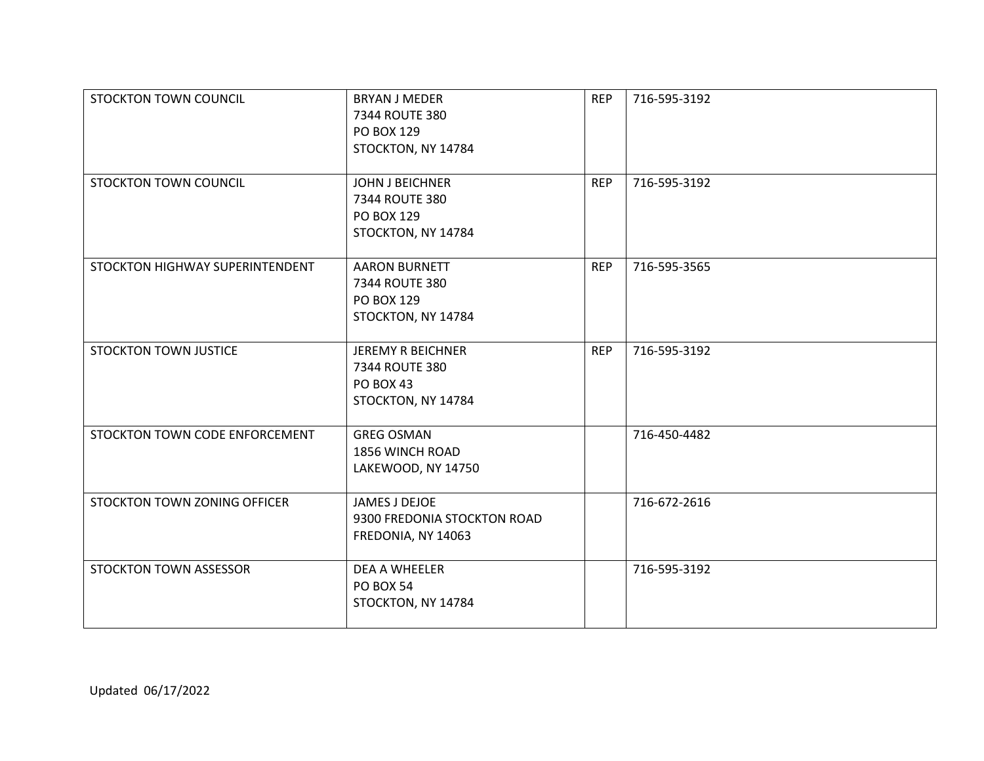| STOCKTON TOWN COUNCIL           | <b>BRYAN J MEDER</b><br>7344 ROUTE 380<br>PO BOX 129<br>STOCKTON, NY 14784    | <b>REP</b> | 716-595-3192 |
|---------------------------------|-------------------------------------------------------------------------------|------------|--------------|
| STOCKTON TOWN COUNCIL           | <b>JOHN J BEICHNER</b><br>7344 ROUTE 380<br>PO BOX 129<br>STOCKTON, NY 14784  | <b>REP</b> | 716-595-3192 |
| STOCKTON HIGHWAY SUPERINTENDENT | <b>AARON BURNETT</b><br>7344 ROUTE 380<br>PO BOX 129<br>STOCKTON, NY 14784    | <b>REP</b> | 716-595-3565 |
| <b>STOCKTON TOWN JUSTICE</b>    | <b>JEREMY R BEICHNER</b><br>7344 ROUTE 380<br>PO BOX 43<br>STOCKTON, NY 14784 | <b>REP</b> | 716-595-3192 |
| STOCKTON TOWN CODE ENFORCEMENT  | <b>GREG OSMAN</b><br>1856 WINCH ROAD<br>LAKEWOOD, NY 14750                    |            | 716-450-4482 |
| STOCKTON TOWN ZONING OFFICER    | JAMES J DEJOE<br>9300 FREDONIA STOCKTON ROAD<br>FREDONIA, NY 14063            |            | 716-672-2616 |
| STOCKTON TOWN ASSESSOR          | <b>DEA A WHEELER</b><br><b>PO BOX 54</b><br>STOCKTON, NY 14784                |            | 716-595-3192 |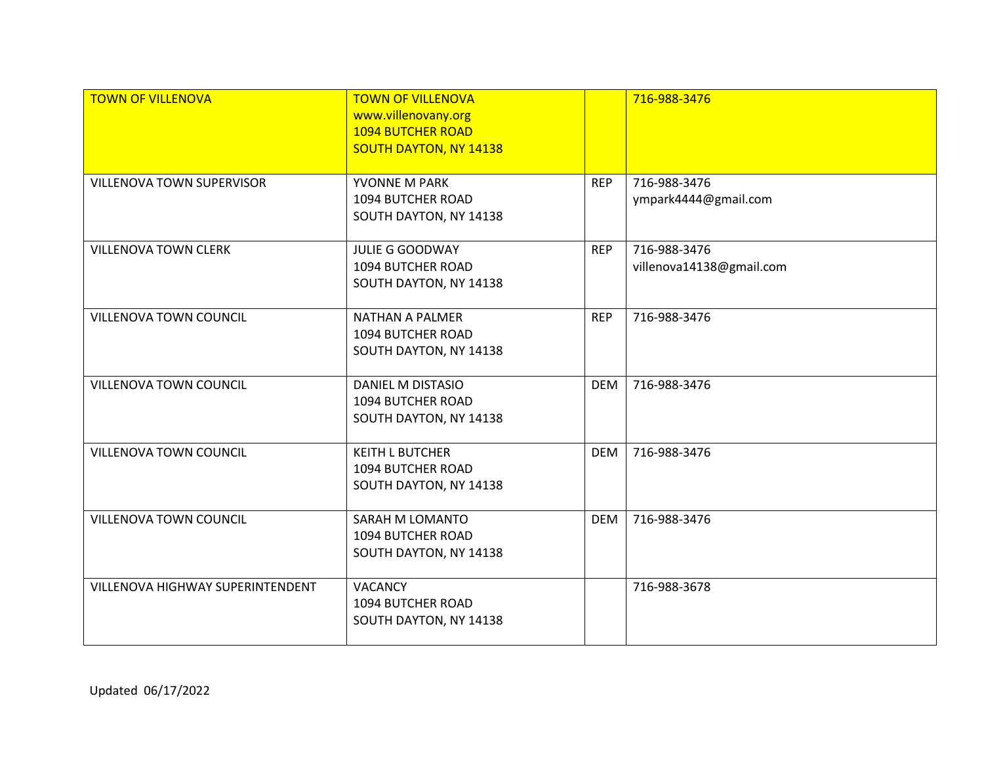| <b>TOWN OF VILLENOVA</b>         | <b>TOWN OF VILLENOVA</b><br>www.villenovany.org<br><b>1094 BUTCHER ROAD</b><br><b>SOUTH DAYTON, NY 14138</b> |            | 716-988-3476                             |
|----------------------------------|--------------------------------------------------------------------------------------------------------------|------------|------------------------------------------|
| <b>VILLENOVA TOWN SUPERVISOR</b> | YVONNE M PARK<br>1094 BUTCHER ROAD<br>SOUTH DAYTON, NY 14138                                                 | <b>REP</b> | 716-988-3476<br>ympark4444@gmail.com     |
| <b>VILLENOVA TOWN CLERK</b>      | <b>JULIE G GOODWAY</b><br>1094 BUTCHER ROAD<br>SOUTH DAYTON, NY 14138                                        | <b>REP</b> | 716-988-3476<br>villenova14138@gmail.com |
| VILLENOVA TOWN COUNCIL           | <b>NATHAN A PALMER</b><br>1094 BUTCHER ROAD<br>SOUTH DAYTON, NY 14138                                        | <b>REP</b> | 716-988-3476                             |
| <b>VILLENOVA TOWN COUNCIL</b>    | <b>DANIEL M DISTASIO</b><br>1094 BUTCHER ROAD<br>SOUTH DAYTON, NY 14138                                      | <b>DEM</b> | 716-988-3476                             |
| <b>VILLENOVA TOWN COUNCIL</b>    | <b>KEITH L BUTCHER</b><br>1094 BUTCHER ROAD<br>SOUTH DAYTON, NY 14138                                        | <b>DEM</b> | 716-988-3476                             |
| VILLENOVA TOWN COUNCIL           | SARAH M LOMANTO<br>1094 BUTCHER ROAD<br>SOUTH DAYTON, NY 14138                                               | <b>DEM</b> | 716-988-3476                             |
| VILLENOVA HIGHWAY SUPERINTENDENT | <b>VACANCY</b><br>1094 BUTCHER ROAD<br>SOUTH DAYTON, NY 14138                                                |            | 716-988-3678                             |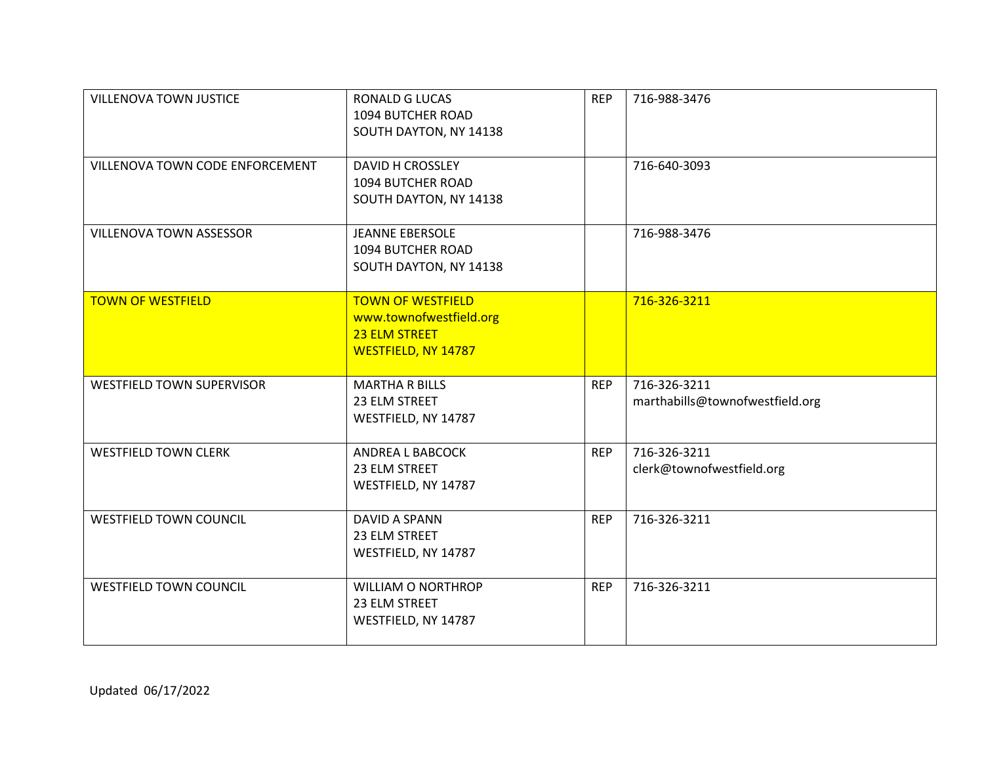| VILLENOVA TOWN JUSTICE           | RONALD G LUCAS<br>1094 BUTCHER ROAD<br>SOUTH DAYTON, NY 14138                               | <b>REP</b> | 716-988-3476                                    |
|----------------------------------|---------------------------------------------------------------------------------------------|------------|-------------------------------------------------|
| VILLENOVA TOWN CODE ENFORCEMENT  | <b>DAVID H CROSSLEY</b><br>1094 BUTCHER ROAD<br>SOUTH DAYTON, NY 14138                      |            | 716-640-3093                                    |
| <b>VILLENOVA TOWN ASSESSOR</b>   | <b>JEANNE EBERSOLE</b><br>1094 BUTCHER ROAD<br>SOUTH DAYTON, NY 14138                       |            | 716-988-3476                                    |
| <b>TOWN OF WESTFIELD</b>         | <b>TOWN OF WESTFIELD</b><br>www.townofwestfield.org<br>23 ELM STREET<br>WESTFIELD, NY 14787 |            | 716-326-3211                                    |
| <b>WESTFIELD TOWN SUPERVISOR</b> | <b>MARTHA R BILLS</b><br>23 ELM STREET<br>WESTFIELD, NY 14787                               | <b>REP</b> | 716-326-3211<br>marthabills@townofwestfield.org |
| <b>WESTFIELD TOWN CLERK</b>      | ANDREA L BABCOCK<br>23 ELM STREET<br>WESTFIELD, NY 14787                                    | <b>REP</b> | 716-326-3211<br>clerk@townofwestfield.org       |
| <b>WESTFIELD TOWN COUNCIL</b>    | DAVID A SPANN<br>23 ELM STREET<br>WESTFIELD, NY 14787                                       | <b>REP</b> | 716-326-3211                                    |
| <b>WESTFIELD TOWN COUNCIL</b>    | <b>WILLIAM O NORTHROP</b><br>23 ELM STREET<br>WESTFIELD, NY 14787                           | <b>REP</b> | 716-326-3211                                    |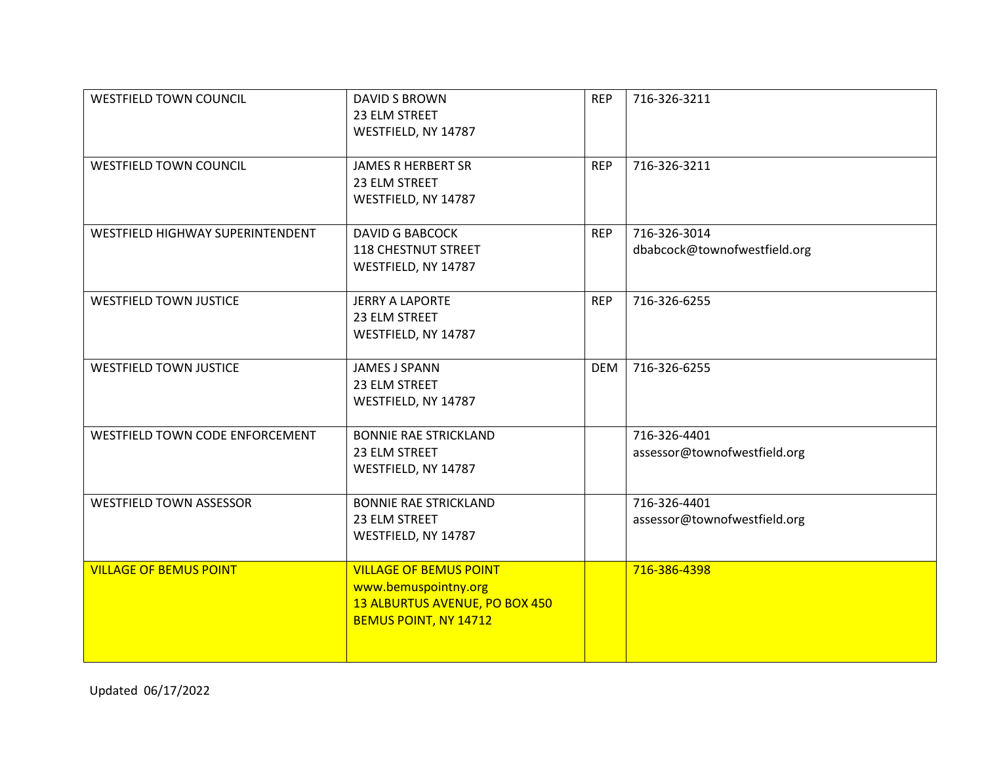| <b>WESTFIELD TOWN COUNCIL</b>    | <b>DAVID S BROWN</b><br>23 ELM STREET<br>WESTFIELD, NY 14787                                                     | <b>REP</b> | 716-326-3211                                 |
|----------------------------------|------------------------------------------------------------------------------------------------------------------|------------|----------------------------------------------|
| <b>WESTFIELD TOWN COUNCIL</b>    | <b>JAMES R HERBERT SR</b><br>23 ELM STREET<br>WESTFIELD, NY 14787                                                | <b>REP</b> | 716-326-3211                                 |
| WESTFIELD HIGHWAY SUPERINTENDENT | <b>DAVID G BABCOCK</b><br><b>118 CHESTNUT STREET</b><br>WESTFIELD, NY 14787                                      | <b>REP</b> | 716-326-3014<br>dbabcock@townofwestfield.org |
| <b>WESTFIELD TOWN JUSTICE</b>    | <b>JERRY A LAPORTE</b><br>23 ELM STREET<br>WESTFIELD, NY 14787                                                   | <b>REP</b> | 716-326-6255                                 |
| <b>WESTFIELD TOWN JUSTICE</b>    | <b>JAMES J SPANN</b><br>23 ELM STREET<br>WESTFIELD, NY 14787                                                     | <b>DEM</b> | 716-326-6255                                 |
| WESTFIELD TOWN CODE ENFORCEMENT  | <b>BONNIE RAE STRICKLAND</b><br>23 ELM STREET<br>WESTFIELD, NY 14787                                             |            | 716-326-4401<br>assessor@townofwestfield.org |
| <b>WESTFIELD TOWN ASSESSOR</b>   | <b>BONNIE RAE STRICKLAND</b><br>23 ELM STREET<br>WESTFIELD, NY 14787                                             |            | 716-326-4401<br>assessor@townofwestfield.org |
| <b>VILLAGE OF BEMUS POINT</b>    | <b>VILLAGE OF BEMUS POINT</b><br>www.bemuspointny.org<br>13 ALBURTUS AVENUE, PO BOX 450<br>BEMUS POINT, NY 14712 |            | 716-386-4398                                 |

Updated 06/17/2022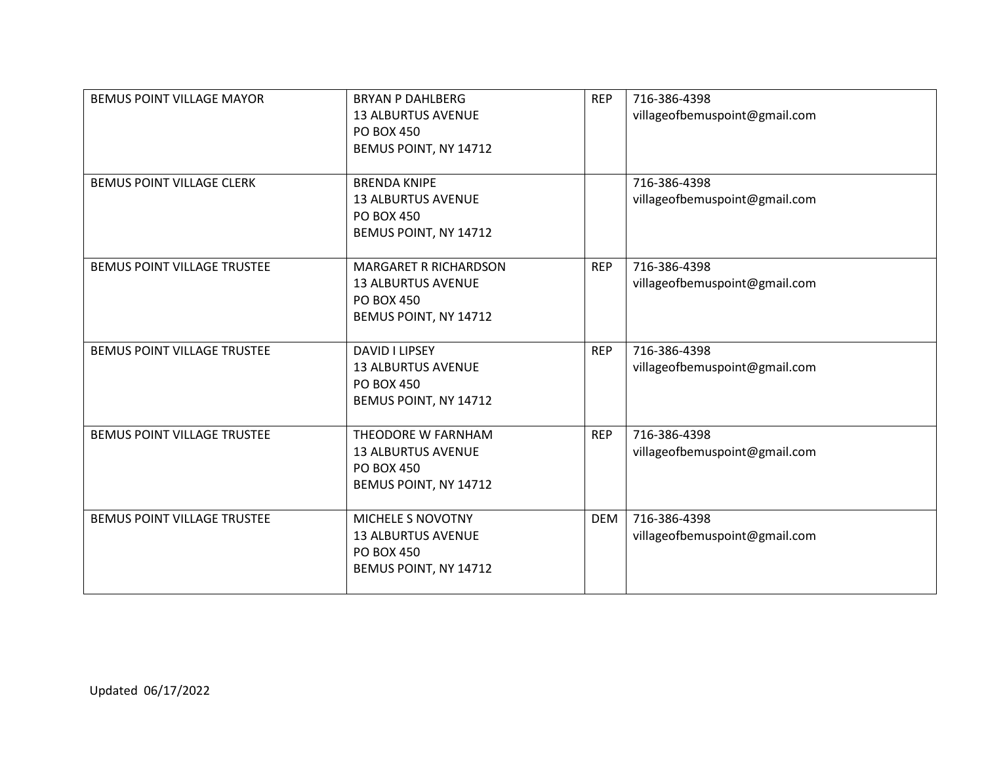| <b>BEMUS POINT VILLAGE MAYOR</b>   | <b>BRYAN P DAHLBERG</b><br><b>13 ALBURTUS AVENUE</b><br><b>PO BOX 450</b><br>BEMUS POINT, NY 14712      | <b>REP</b> | 716-386-4398<br>villageofbemuspoint@gmail.com |
|------------------------------------|---------------------------------------------------------------------------------------------------------|------------|-----------------------------------------------|
| <b>BEMUS POINT VILLAGE CLERK</b>   | <b>BRENDA KNIPE</b><br><b>13 ALBURTUS AVENUE</b><br><b>PO BOX 450</b><br>BEMUS POINT, NY 14712          |            | 716-386-4398<br>villageofbemuspoint@gmail.com |
| BEMUS POINT VILLAGE TRUSTEE        | <b>MARGARET R RICHARDSON</b><br><b>13 ALBURTUS AVENUE</b><br><b>PO BOX 450</b><br>BEMUS POINT, NY 14712 | <b>REP</b> | 716-386-4398<br>villageofbemuspoint@gmail.com |
| BEMUS POINT VILLAGE TRUSTEE        | DAVID I LIPSEY<br><b>13 ALBURTUS AVENUE</b><br><b>PO BOX 450</b><br>BEMUS POINT, NY 14712               | <b>REP</b> | 716-386-4398<br>villageofbemuspoint@gmail.com |
| BEMUS POINT VILLAGE TRUSTEE        | THEODORE W FARNHAM<br><b>13 ALBURTUS AVENUE</b><br><b>PO BOX 450</b><br>BEMUS POINT, NY 14712           | <b>REP</b> | 716-386-4398<br>villageofbemuspoint@gmail.com |
| <b>BEMUS POINT VILLAGE TRUSTEE</b> | MICHELE S NOVOTNY<br><b>13 ALBURTUS AVENUE</b><br><b>PO BOX 450</b><br>BEMUS POINT, NY 14712            | <b>DEM</b> | 716-386-4398<br>villageofbemuspoint@gmail.com |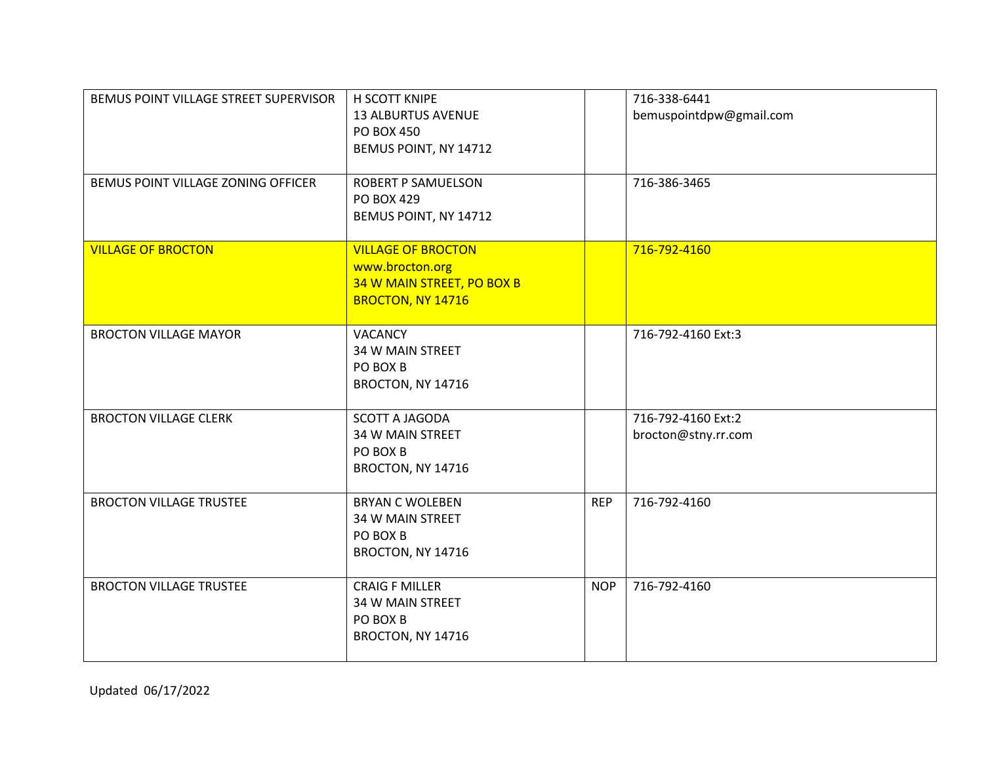| BEMUS POINT VILLAGE STREET SUPERVISOR | H SCOTT KNIPE<br><b>13 ALBURTUS AVENUE</b><br><b>PO BOX 450</b><br>BEMUS POINT, NY 14712        |            | 716-338-6441<br>bemuspointdpw@gmail.com   |
|---------------------------------------|-------------------------------------------------------------------------------------------------|------------|-------------------------------------------|
| BEMUS POINT VILLAGE ZONING OFFICER    | <b>ROBERT P SAMUELSON</b><br><b>PO BOX 429</b><br>BEMUS POINT, NY 14712                         |            | 716-386-3465                              |
| <b>VILLAGE OF BROCTON</b>             | <b>VILLAGE OF BROCTON</b><br>www.brocton.org<br>34 W MAIN STREET, PO BOX B<br>BROCTON, NY 14716 |            | 716-792-4160                              |
| <b>BROCTON VILLAGE MAYOR</b>          | <b>VACANCY</b><br>34 W MAIN STREET<br>PO BOX B<br>BROCTON, NY 14716                             |            | 716-792-4160 Ext:3                        |
| <b>BROCTON VILLAGE CLERK</b>          | <b>SCOTT A JAGODA</b><br>34 W MAIN STREET<br>PO BOX B<br>BROCTON, NY 14716                      |            | 716-792-4160 Ext:2<br>brocton@stny.rr.com |
| <b>BROCTON VILLAGE TRUSTEE</b>        | <b>BRYAN C WOLEBEN</b><br>34 W MAIN STREET<br>PO BOX B<br>BROCTON, NY 14716                     | <b>REP</b> | 716-792-4160                              |
| <b>BROCTON VILLAGE TRUSTEE</b>        | <b>CRAIG F MILLER</b><br>34 W MAIN STREET<br>PO BOX B<br>BROCTON, NY 14716                      | <b>NOP</b> | 716-792-4160                              |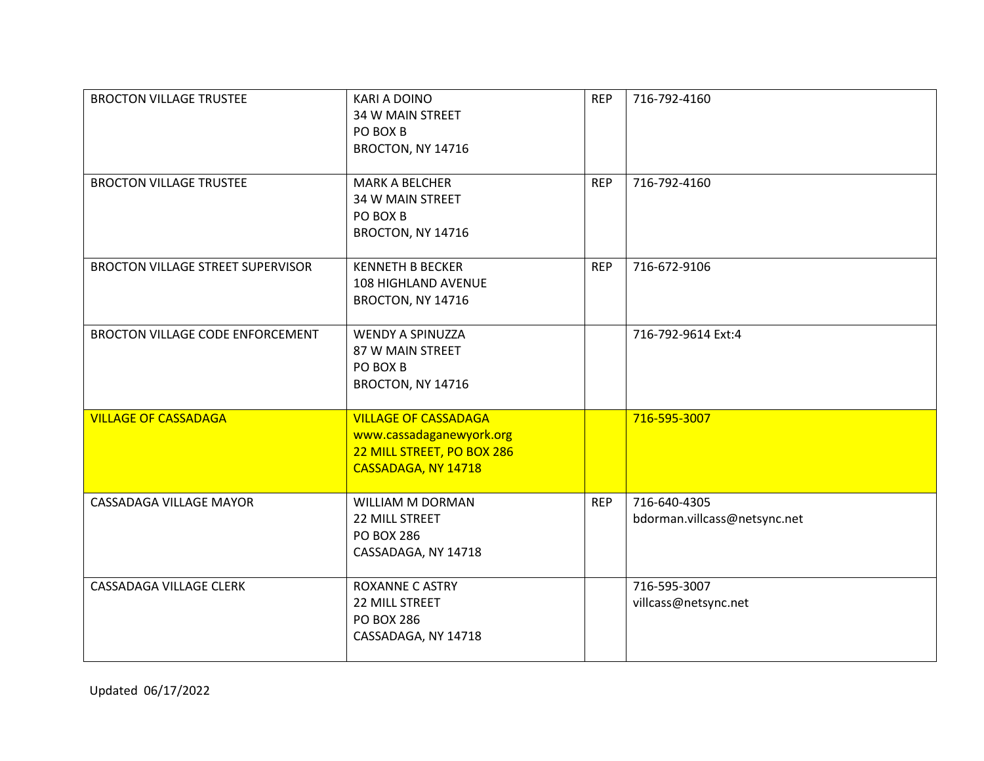| <b>BROCTON VILLAGE TRUSTEE</b>          | <b>KARI A DOINO</b><br>34 W MAIN STREET<br>PO BOX B<br>BROCTON, NY 14716                                     | <b>REP</b> | 716-792-4160                                 |
|-----------------------------------------|--------------------------------------------------------------------------------------------------------------|------------|----------------------------------------------|
| <b>BROCTON VILLAGE TRUSTEE</b>          | <b>MARK A BELCHER</b><br>34 W MAIN STREET<br>PO BOX B<br>BROCTON, NY 14716                                   | <b>REP</b> | 716-792-4160                                 |
| BROCTON VILLAGE STREET SUPERVISOR       | <b>KENNETH B BECKER</b><br><b>108 HIGHLAND AVENUE</b><br>BROCTON, NY 14716                                   | <b>REP</b> | 716-672-9106                                 |
| <b>BROCTON VILLAGE CODE ENFORCEMENT</b> | <b>WENDY A SPINUZZA</b><br>87 W MAIN STREET<br>PO BOX B<br>BROCTON, NY 14716                                 |            | 716-792-9614 Ext:4                           |
| <b>VILLAGE OF CASSADAGA</b>             | <b>VILLAGE OF CASSADAGA</b><br>www.cassadaganewyork.org<br>22 MILL STREET, PO BOX 286<br>CASSADAGA, NY 14718 |            | 716-595-3007                                 |
| CASSADAGA VILLAGE MAYOR                 | WILLIAM M DORMAN<br>22 MILL STREET<br><b>PO BOX 286</b><br>CASSADAGA, NY 14718                               | <b>REP</b> | 716-640-4305<br>bdorman.villcass@netsync.net |
| CASSADAGA VILLAGE CLERK                 | <b>ROXANNE C ASTRY</b><br>22 MILL STREET<br><b>PO BOX 286</b><br>CASSADAGA, NY 14718                         |            | 716-595-3007<br>villcass@netsync.net         |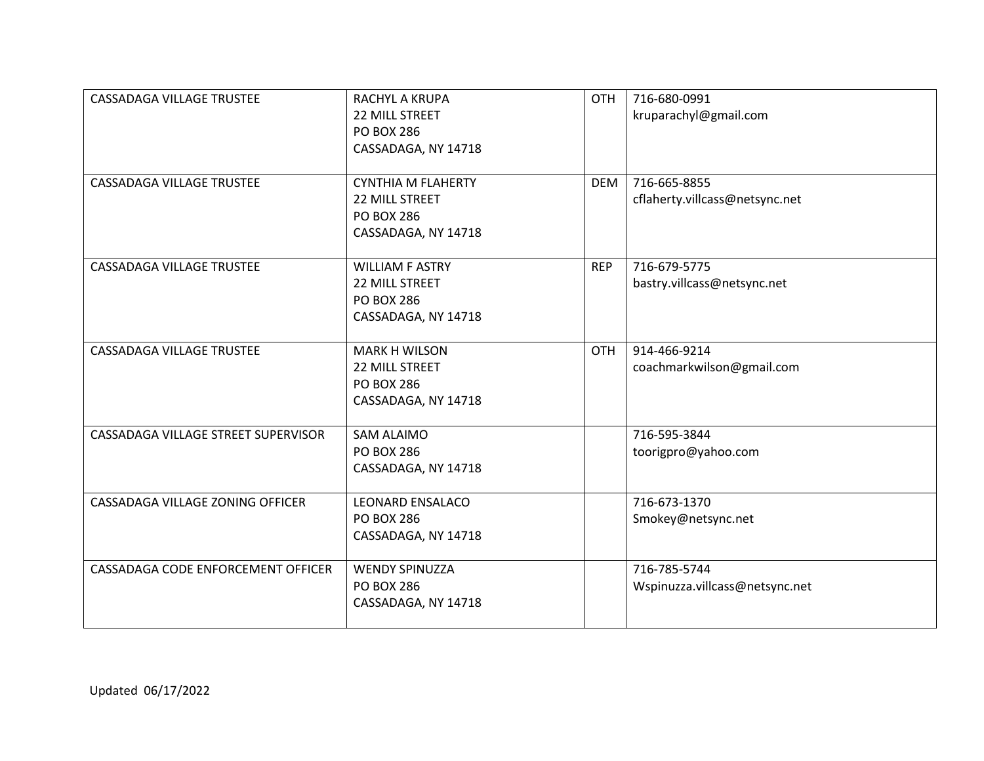| CASSADAGA VILLAGE TRUSTEE           | <b>RACHYL A KRUPA</b><br><b>22 MILL STREET</b><br><b>PO BOX 286</b><br>CASSADAGA, NY 14718     | <b>OTH</b> | 716-680-0991<br>kruparachyl@gmail.com          |
|-------------------------------------|------------------------------------------------------------------------------------------------|------------|------------------------------------------------|
| CASSADAGA VILLAGE TRUSTEE           | <b>CYNTHIA M FLAHERTY</b><br><b>22 MILL STREET</b><br><b>PO BOX 286</b><br>CASSADAGA, NY 14718 | <b>DEM</b> | 716-665-8855<br>cflaherty.villcass@netsync.net |
| <b>CASSADAGA VILLAGE TRUSTEE</b>    | <b>WILLIAM F ASTRY</b><br><b>22 MILL STREET</b><br><b>PO BOX 286</b><br>CASSADAGA, NY 14718    | <b>REP</b> | 716-679-5775<br>bastry.villcass@netsync.net    |
| CASSADAGA VILLAGE TRUSTEE           | <b>MARK H WILSON</b><br><b>22 MILL STREET</b><br><b>PO BOX 286</b><br>CASSADAGA, NY 14718      | <b>OTH</b> | 914-466-9214<br>coachmarkwilson@gmail.com      |
| CASSADAGA VILLAGE STREET SUPERVISOR | <b>SAM ALAIMO</b><br><b>PO BOX 286</b><br>CASSADAGA, NY 14718                                  |            | 716-595-3844<br>toorigpro@yahoo.com            |
| CASSADAGA VILLAGE ZONING OFFICER    | <b>LEONARD ENSALACO</b><br><b>PO BOX 286</b><br>CASSADAGA, NY 14718                            |            | 716-673-1370<br>Smokey@netsync.net             |
| CASSADAGA CODE ENFORCEMENT OFFICER  | <b>WENDY SPINUZZA</b><br><b>PO BOX 286</b><br>CASSADAGA, NY 14718                              |            | 716-785-5744<br>Wspinuzza.villcass@netsync.net |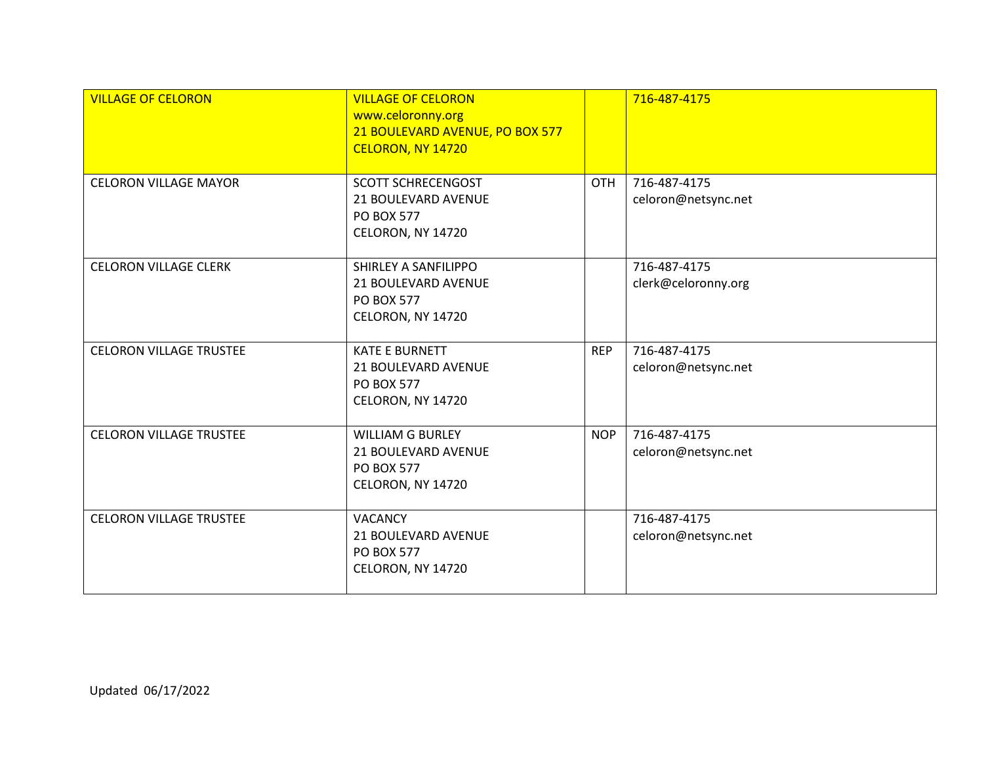| <b>VILLAGE OF CELORON</b>      | <b>VILLAGE OF CELORON</b><br>www.celoronny.org<br>21 BOULEVARD AVENUE, PO BOX 577<br>CELORON, NY 14720 |            | 716-487-4175                        |
|--------------------------------|--------------------------------------------------------------------------------------------------------|------------|-------------------------------------|
| <b>CELORON VILLAGE MAYOR</b>   | <b>SCOTT SCHRECENGOST</b><br>21 BOULEVARD AVENUE<br><b>PO BOX 577</b><br>CELORON, NY 14720             | <b>OTH</b> | 716-487-4175<br>celoron@netsync.net |
| <b>CELORON VILLAGE CLERK</b>   | SHIRLEY A SANFILIPPO<br>21 BOULEVARD AVENUE<br><b>PO BOX 577</b><br>CELORON, NY 14720                  |            | 716-487-4175<br>clerk@celoronny.org |
| <b>CELORON VILLAGE TRUSTEE</b> | <b>KATE E BURNETT</b><br>21 BOULEVARD AVENUE<br><b>PO BOX 577</b><br>CELORON, NY 14720                 | <b>REP</b> | 716-487-4175<br>celoron@netsync.net |
| <b>CELORON VILLAGE TRUSTEE</b> | <b>WILLIAM G BURLEY</b><br>21 BOULEVARD AVENUE<br><b>PO BOX 577</b><br>CELORON, NY 14720               | <b>NOP</b> | 716-487-4175<br>celoron@netsync.net |
| <b>CELORON VILLAGE TRUSTEE</b> | <b>VACANCY</b><br>21 BOULEVARD AVENUE<br><b>PO BOX 577</b><br>CELORON, NY 14720                        |            | 716-487-4175<br>celoron@netsync.net |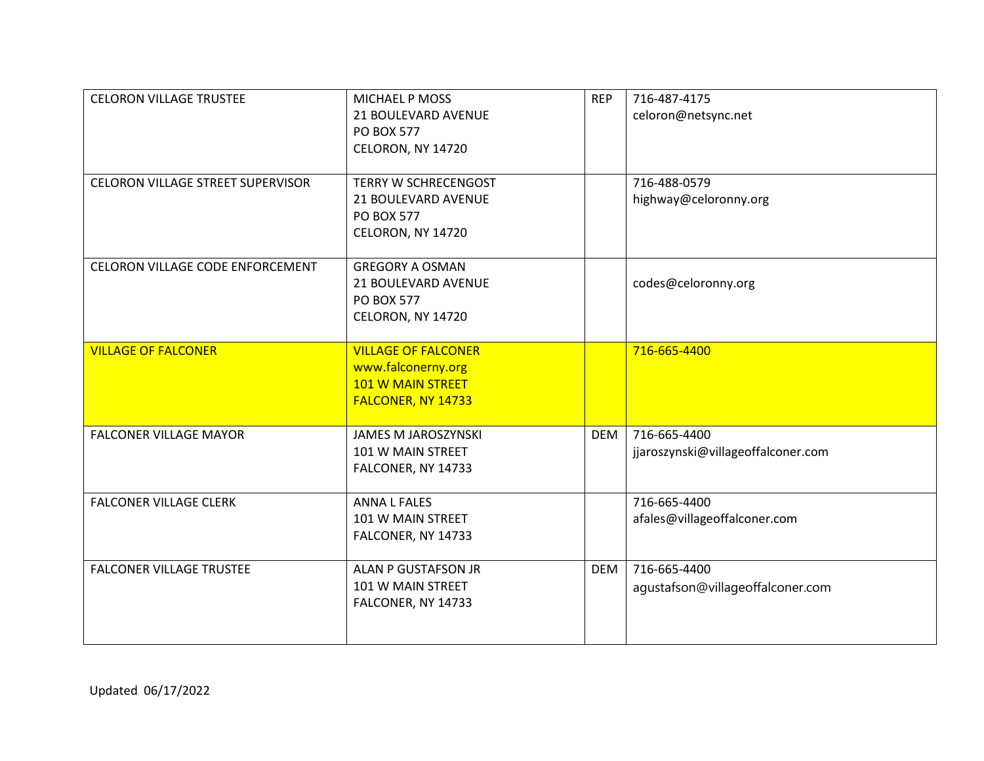| <b>CELORON VILLAGE TRUSTEE</b><br>CELORON VILLAGE STREET SUPERVISOR | MICHAEL P MOSS<br>21 BOULEVARD AVENUE<br>PO BOX 577<br>CELORON, NY 14720<br><b>TERRY W SCHRECENGOST</b> | <b>REP</b> | 716-487-4175<br>celoron@netsync.net<br>716-488-0579 |
|---------------------------------------------------------------------|---------------------------------------------------------------------------------------------------------|------------|-----------------------------------------------------|
|                                                                     | 21 BOULEVARD AVENUE<br><b>PO BOX 577</b><br>CELORON, NY 14720                                           |            | highway@celoronny.org                               |
| CELORON VILLAGE CODE ENFORCEMENT                                    | <b>GREGORY A OSMAN</b><br>21 BOULEVARD AVENUE<br><b>PO BOX 577</b><br>CELORON, NY 14720                 |            | codes@celoronny.org                                 |
| <b>VILLAGE OF FALCONER</b>                                          | <b>VILLAGE OF FALCONER</b><br>www.falconerny.org<br><b>101 W MAIN STREET</b><br>FALCONER, NY 14733      |            | 716-665-4400                                        |
| <b>FALCONER VILLAGE MAYOR</b>                                       | <b>JAMES M JAROSZYNSKI</b><br>101 W MAIN STREET<br>FALCONER, NY 14733                                   | <b>DEM</b> | 716-665-4400<br>jjaroszynski@villageoffalconer.com  |
| <b>FALCONER VILLAGE CLERK</b>                                       | <b>ANNA L FALES</b><br>101 W MAIN STREET<br>FALCONER, NY 14733                                          |            | 716-665-4400<br>afales@villageoffalconer.com        |
| <b>FALCONER VILLAGE TRUSTEE</b>                                     | ALAN P GUSTAFSON JR<br>101 W MAIN STREET<br>FALCONER, NY 14733                                          | <b>DEM</b> | 716-665-4400<br>agustafson@villageoffalconer.com    |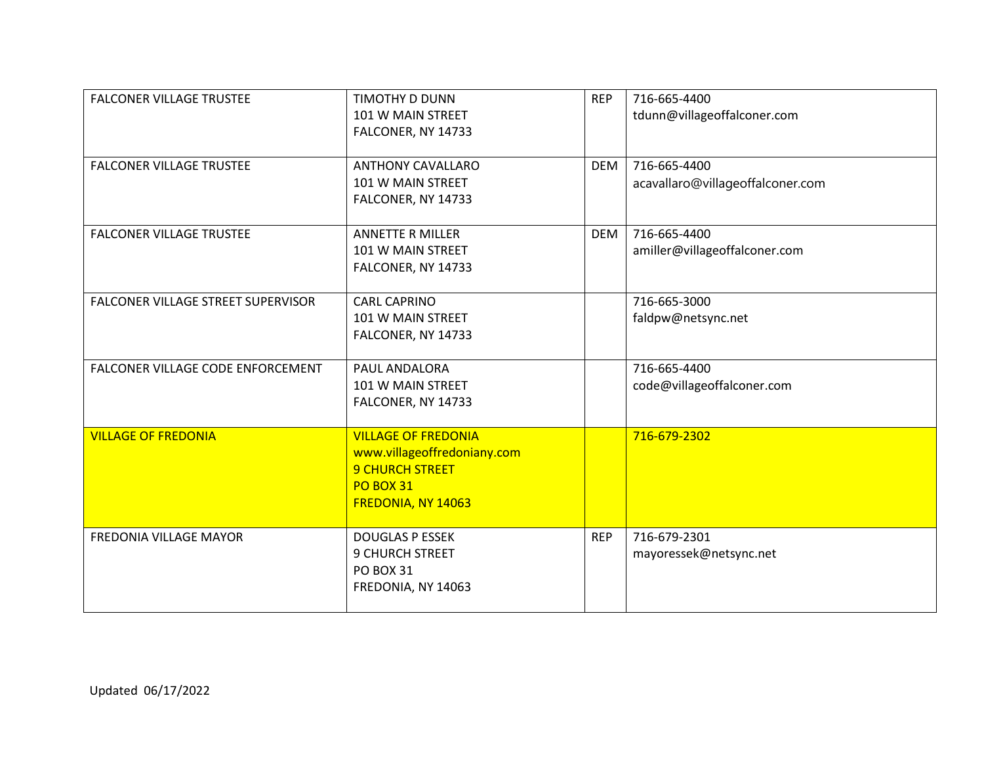| <b>FALCONER VILLAGE TRUSTEE</b>    | <b>TIMOTHY D DUNN</b><br>101 W MAIN STREET<br>FALCONER, NY 14733                                                              | <b>REP</b> | 716-665-4400<br>tdunn@villageoffalconer.com      |
|------------------------------------|-------------------------------------------------------------------------------------------------------------------------------|------------|--------------------------------------------------|
| <b>FALCONER VILLAGE TRUSTEE</b>    | <b>ANTHONY CAVALLARO</b><br>101 W MAIN STREET<br>FALCONER, NY 14733                                                           | <b>DEM</b> | 716-665-4400<br>acavallaro@villageoffalconer.com |
| <b>FALCONER VILLAGE TRUSTEE</b>    | <b>ANNETTE R MILLER</b><br>101 W MAIN STREET<br>FALCONER, NY 14733                                                            | <b>DEM</b> | 716-665-4400<br>amiller@villageoffalconer.com    |
| FALCONER VILLAGE STREET SUPERVISOR | CARL CAPRINO<br>101 W MAIN STREET<br>FALCONER, NY 14733                                                                       |            | 716-665-3000<br>faldpw@netsync.net               |
| FALCONER VILLAGE CODE ENFORCEMENT  | PAUL ANDALORA<br>101 W MAIN STREET<br>FALCONER, NY 14733                                                                      |            | 716-665-4400<br>code@villageoffalconer.com       |
| <b>VILLAGE OF FREDONIA</b>         | <b>VILLAGE OF FREDONIA</b><br>www.villageoffredoniany.com<br><b>9 CHURCH STREET</b><br><b>PO BOX 31</b><br>FREDONIA, NY 14063 |            | 716-679-2302                                     |
| FREDONIA VILLAGE MAYOR             | <b>DOUGLAS P ESSEK</b><br><b>9 CHURCH STREET</b><br><b>PO BOX 31</b><br>FREDONIA, NY 14063                                    | <b>REP</b> | 716-679-2301<br>mayoressek@netsync.net           |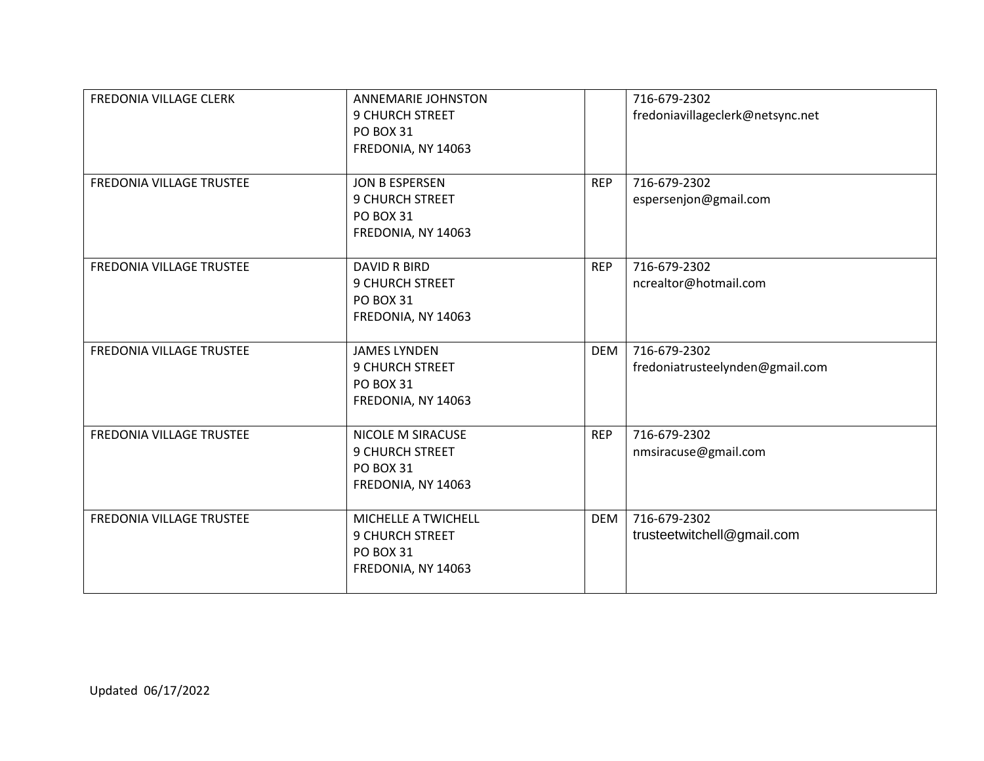| FREDONIA VILLAGE CLERK          | <b>ANNEMARIE JOHNSTON</b><br><b>9 CHURCH STREET</b><br><b>PO BOX 31</b><br>FREDONIA, NY 14063 |            | 716-679-2302<br>fredoniavillageclerk@netsync.net |
|---------------------------------|-----------------------------------------------------------------------------------------------|------------|--------------------------------------------------|
| FREDONIA VILLAGE TRUSTEE        | JON B ESPERSEN<br><b>9 CHURCH STREET</b><br><b>PO BOX 31</b><br>FREDONIA, NY 14063            | <b>REP</b> | 716-679-2302<br>espersenjon@gmail.com            |
| <b>FREDONIA VILLAGE TRUSTEE</b> | <b>DAVID R BIRD</b><br>9 CHURCH STREET<br><b>PO BOX 31</b><br>FREDONIA, NY 14063              | <b>REP</b> | 716-679-2302<br>ncrealtor@hotmail.com            |
| FREDONIA VILLAGE TRUSTEE        | <b>JAMES LYNDEN</b><br><b>9 CHURCH STREET</b><br><b>PO BOX 31</b><br>FREDONIA, NY 14063       | <b>DEM</b> | 716-679-2302<br>fredoniatrusteelynden@gmail.com  |
| FREDONIA VILLAGE TRUSTEE        | NICOLE M SIRACUSE<br><b>9 CHURCH STREET</b><br><b>PO BOX 31</b><br>FREDONIA, NY 14063         | <b>REP</b> | 716-679-2302<br>nmsiracuse@gmail.com             |
| FREDONIA VILLAGE TRUSTEE        | MICHELLE A TWICHELL<br><b>9 CHURCH STREET</b><br><b>PO BOX 31</b><br>FREDONIA, NY 14063       | <b>DEM</b> | 716-679-2302<br>trusteetwitchell@gmail.com       |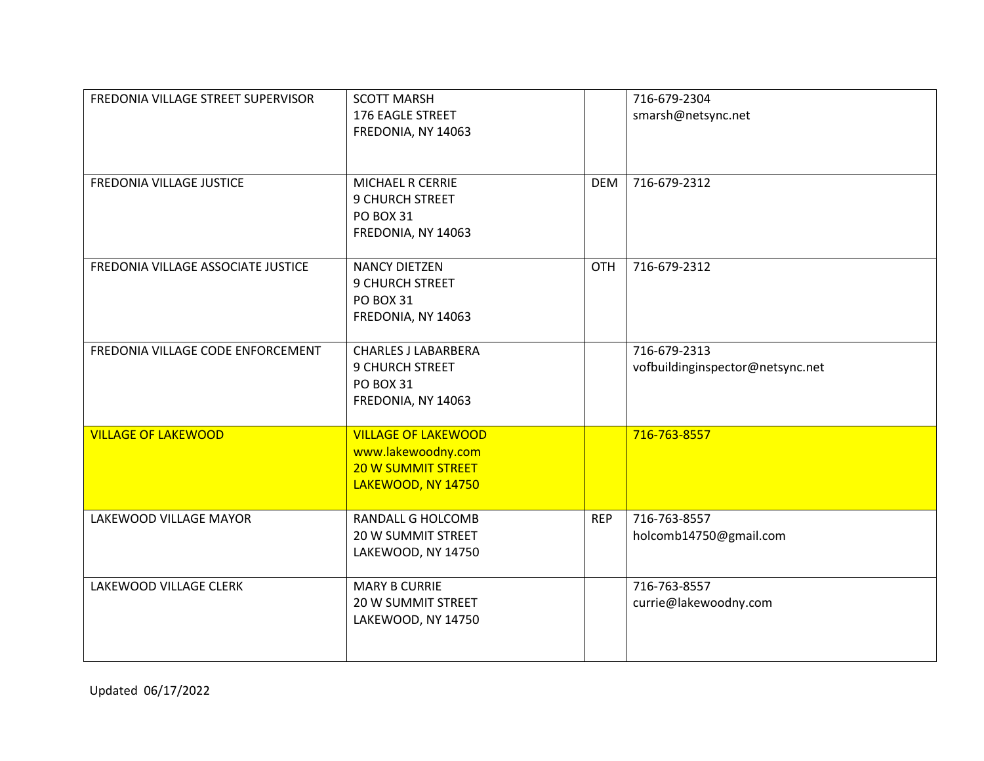| FREDONIA VILLAGE STREET SUPERVISOR | <b>SCOTT MARSH</b><br>176 EAGLE STREET<br>FREDONIA, NY 14063                                        |            | 716-679-2304<br>smarsh@netsync.net               |
|------------------------------------|-----------------------------------------------------------------------------------------------------|------------|--------------------------------------------------|
| FREDONIA VILLAGE JUSTICE           | MICHAEL R CERRIE<br>9 CHURCH STREET<br><b>PO BOX 31</b><br>FREDONIA, NY 14063                       | DEM        | 716-679-2312                                     |
| FREDONIA VILLAGE ASSOCIATE JUSTICE | <b>NANCY DIETZEN</b><br>9 CHURCH STREET<br><b>PO BOX 31</b><br>FREDONIA, NY 14063                   | <b>OTH</b> | 716-679-2312                                     |
| FREDONIA VILLAGE CODE ENFORCEMENT  | <b>CHARLES J LABARBERA</b><br>9 CHURCH STREET<br><b>PO BOX 31</b><br>FREDONIA, NY 14063             |            | 716-679-2313<br>vofbuildinginspector@netsync.net |
| <b>VILLAGE OF LAKEWOOD</b>         | <b>VILLAGE OF LAKEWOOD</b><br>www.lakewoodny.com<br><b>20 W SUMMIT STREET</b><br>LAKEWOOD, NY 14750 |            | 716-763-8557                                     |
| LAKEWOOD VILLAGE MAYOR             | <b>RANDALL G HOLCOMB</b><br>20 W SUMMIT STREET<br>LAKEWOOD, NY 14750                                | <b>REP</b> | 716-763-8557<br>holcomb14750@gmail.com           |
| LAKEWOOD VILLAGE CLERK             | <b>MARY B CURRIE</b><br><b>20 W SUMMIT STREET</b><br>LAKEWOOD, NY 14750                             |            | 716-763-8557<br>currie@lakewoodny.com            |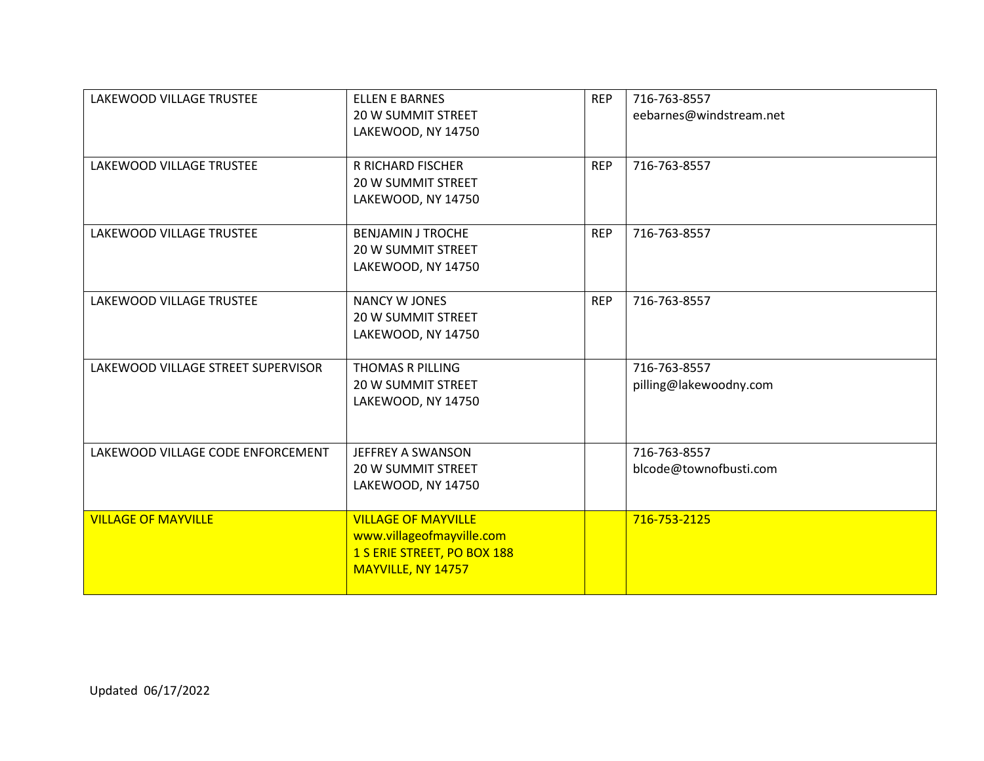| LAKEWOOD VILLAGE TRUSTEE           | <b>ELLEN E BARNES</b><br><b>20 W SUMMIT STREET</b><br>LAKEWOOD, NY 14750                                     | <b>REP</b> | 716-763-8557<br>eebarnes@windstream.net |
|------------------------------------|--------------------------------------------------------------------------------------------------------------|------------|-----------------------------------------|
| LAKEWOOD VILLAGE TRUSTEE           | R RICHARD FISCHER<br><b>20 W SUMMIT STREET</b><br>LAKEWOOD, NY 14750                                         | <b>REP</b> | 716-763-8557                            |
| LAKEWOOD VILLAGE TRUSTEE           | <b>BENJAMIN J TROCHE</b><br><b>20 W SUMMIT STREET</b><br>LAKEWOOD, NY 14750                                  | <b>REP</b> | 716-763-8557                            |
| LAKEWOOD VILLAGE TRUSTEE           | <b>NANCY W JONES</b><br><b>20 W SUMMIT STREET</b><br>LAKEWOOD, NY 14750                                      | <b>REP</b> | 716-763-8557                            |
| LAKEWOOD VILLAGE STREET SUPERVISOR | THOMAS R PILLING<br>20 W SUMMIT STREET<br>LAKEWOOD, NY 14750                                                 |            | 716-763-8557<br>pilling@lakewoodny.com  |
| LAKEWOOD VILLAGE CODE ENFORCEMENT  | <b>JEFFREY A SWANSON</b><br><b>20 W SUMMIT STREET</b><br>LAKEWOOD, NY 14750                                  |            | 716-763-8557<br>blcode@townofbusti.com  |
| <b>VILLAGE OF MAYVILLE</b>         | <b>VILLAGE OF MAYVILLE</b><br>www.villageofmayville.com<br>1 S ERIE STREET, PO BOX 188<br>MAYVILLE, NY 14757 |            | 716-753-2125                            |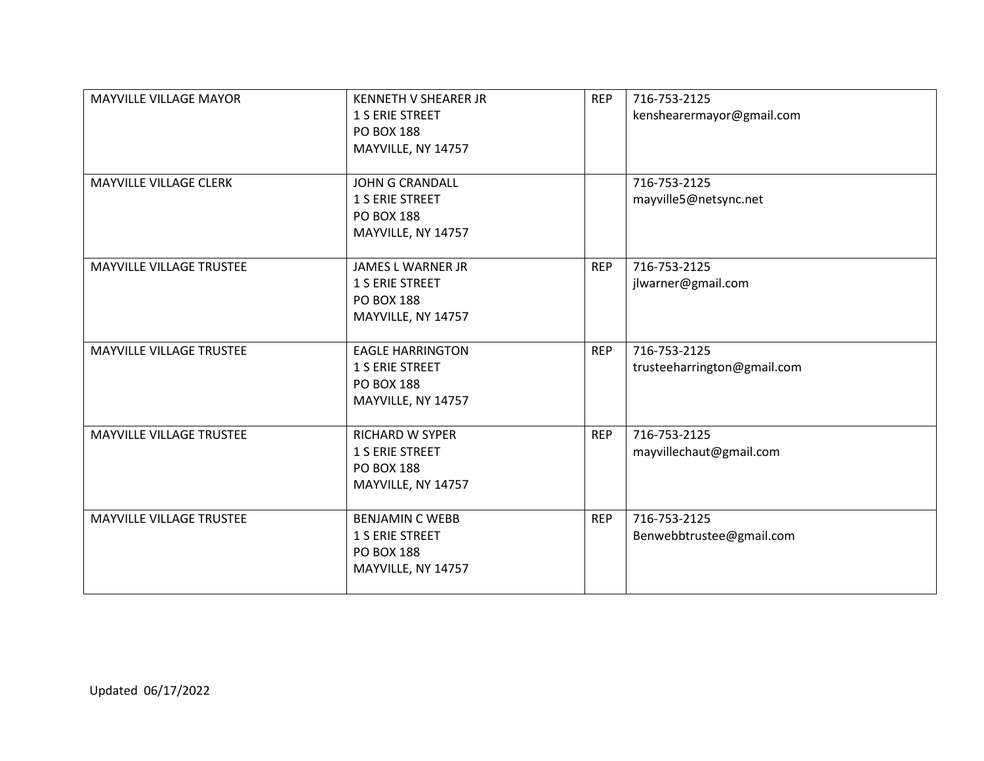| <b>MAYVILLE VILLAGE MAYOR</b> | <b>KENNETH V SHEARER JR</b><br>1 S ERIE STREET<br><b>PO BOX 188</b><br>MAYVILLE, NY 14757    | <b>REP</b> | 716-753-2125<br>kenshearermayor@gmail.com   |
|-------------------------------|----------------------------------------------------------------------------------------------|------------|---------------------------------------------|
| MAYVILLE VILLAGE CLERK        | <b>JOHN G CRANDALL</b><br>1 S ERIE STREET<br><b>PO BOX 188</b><br>MAYVILLE, NY 14757         |            | 716-753-2125<br>mayville5@netsync.net       |
| MAYVILLE VILLAGE TRUSTEE      | <b>JAMES L WARNER JR</b><br>1 S ERIE STREET<br><b>PO BOX 188</b><br>MAYVILLE, NY 14757       | <b>REP</b> | 716-753-2125<br>jlwarner@gmail.com          |
| MAYVILLE VILLAGE TRUSTEE      | <b>EAGLE HARRINGTON</b><br><b>1 S ERIE STREET</b><br><b>PO BOX 188</b><br>MAYVILLE, NY 14757 | <b>REP</b> | 716-753-2125<br>trusteeharrington@gmail.com |
| MAYVILLE VILLAGE TRUSTEE      | <b>RICHARD W SYPER</b><br>1 S ERIE STREET<br><b>PO BOX 188</b><br>MAYVILLE, NY 14757         | <b>REP</b> | 716-753-2125<br>mayvillechaut@gmail.com     |
| MAYVILLE VILLAGE TRUSTEE      | <b>BENJAMIN C WEBB</b><br>1 S ERIE STREET<br><b>PO BOX 188</b><br>MAYVILLE, NY 14757         | <b>REP</b> | 716-753-2125<br>Benwebbtrustee@gmail.com    |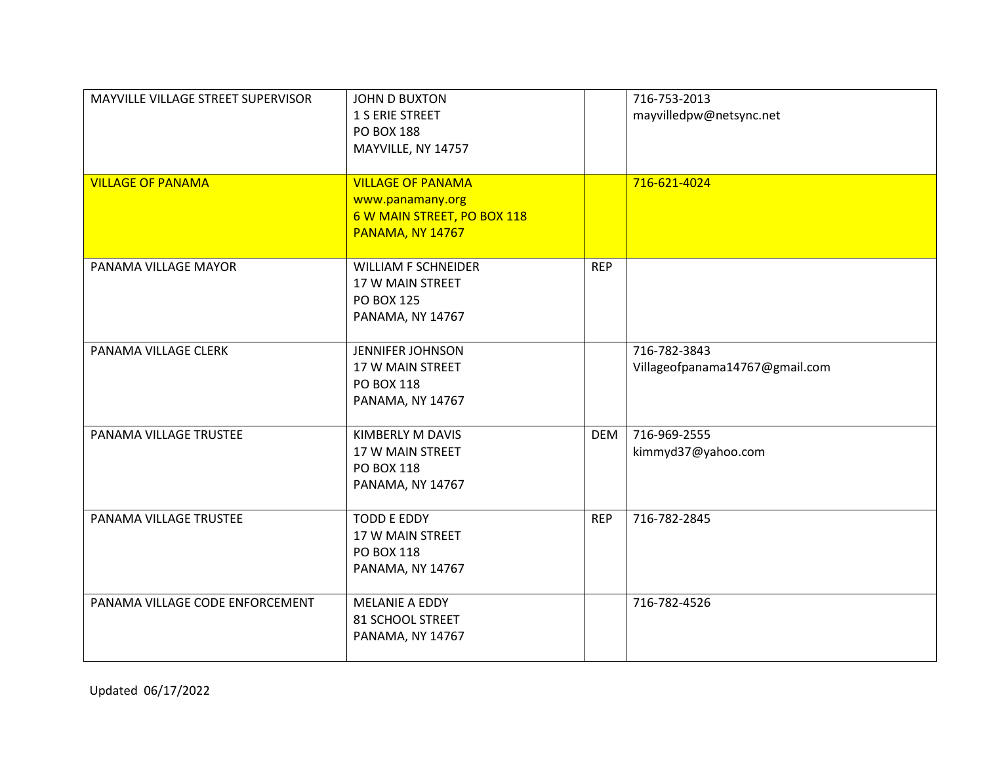| MAYVILLE VILLAGE STREET SUPERVISOR | <b>JOHN D BUXTON</b><br><b>1 S ERIE STREET</b><br><b>PO BOX 188</b><br>MAYVILLE, NY 14757              |            | 716-753-2013<br>mayvilledpw@netsync.net        |
|------------------------------------|--------------------------------------------------------------------------------------------------------|------------|------------------------------------------------|
| <b>VILLAGE OF PANAMA</b>           | <b>VILLAGE OF PANAMA</b><br>www.panamany.org<br>6 W MAIN STREET, PO BOX 118<br><b>PANAMA, NY 14767</b> |            | 716-621-4024                                   |
| PANAMA VILLAGE MAYOR               | <b>WILLIAM F SCHNEIDER</b><br>17 W MAIN STREET<br><b>PO BOX 125</b><br><b>PANAMA, NY 14767</b>         | <b>REP</b> |                                                |
| PANAMA VILLAGE CLERK               | <b>JENNIFER JOHNSON</b><br>17 W MAIN STREET<br>PO BOX 118<br><b>PANAMA, NY 14767</b>                   |            | 716-782-3843<br>Villageofpanama14767@gmail.com |
| PANAMA VILLAGE TRUSTEE             | KIMBERLY M DAVIS<br>17 W MAIN STREET<br>PO BOX 118<br><b>PANAMA, NY 14767</b>                          | <b>DEM</b> | 716-969-2555<br>kimmyd37@yahoo.com             |
| PANAMA VILLAGE TRUSTEE             | <b>TODD E EDDY</b><br>17 W MAIN STREET<br>PO BOX 118<br>PANAMA, NY 14767                               | <b>REP</b> | 716-782-2845                                   |
| PANAMA VILLAGE CODE ENFORCEMENT    | MELANIE A EDDY<br>81 SCHOOL STREET<br><b>PANAMA, NY 14767</b>                                          |            | 716-782-4526                                   |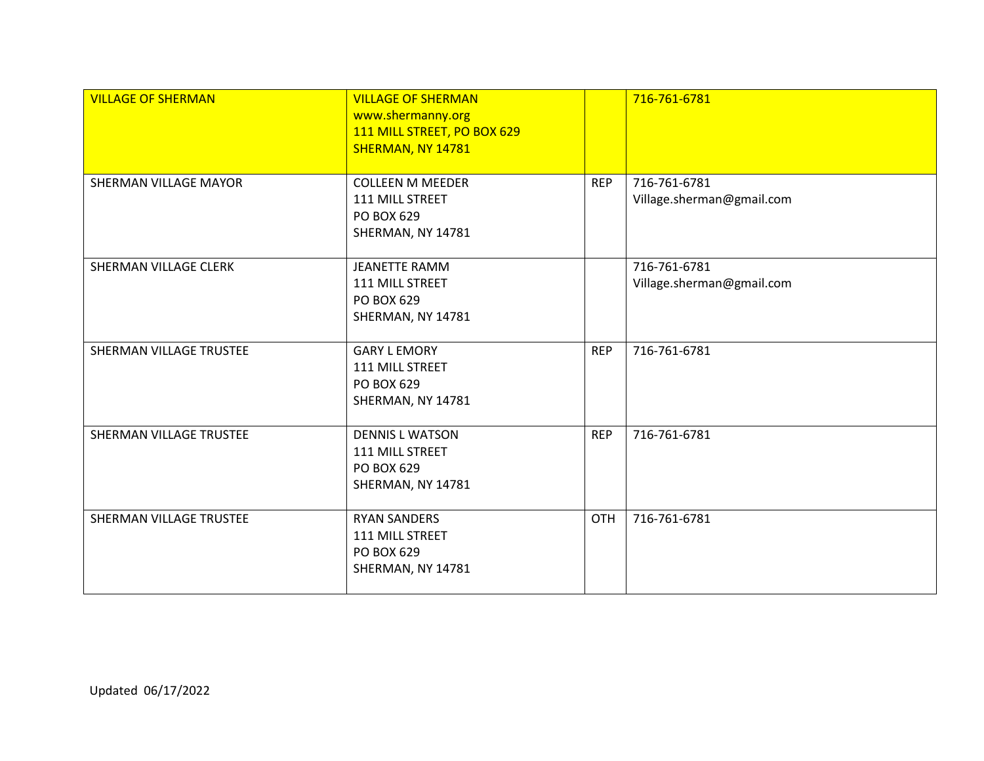| <b>VILLAGE OF SHERMAN</b> | <b>VILLAGE OF SHERMAN</b><br>www.shermanny.org<br>111 MILL STREET, PO BOX 629<br>SHERMAN, NY 14781 |            | 716-761-6781                              |
|---------------------------|----------------------------------------------------------------------------------------------------|------------|-------------------------------------------|
| SHERMAN VILLAGE MAYOR     | <b>COLLEEN M MEEDER</b><br>111 MILL STREET<br>PO BOX 629<br>SHERMAN, NY 14781                      | <b>REP</b> | 716-761-6781<br>Village.sherman@gmail.com |
| SHERMAN VILLAGE CLERK     | JEANETTE RAMM<br>111 MILL STREET<br>PO BOX 629<br>SHERMAN, NY 14781                                |            | 716-761-6781<br>Village.sherman@gmail.com |
| SHERMAN VILLAGE TRUSTEE   | <b>GARY L EMORY</b><br>111 MILL STREET<br>PO BOX 629<br>SHERMAN, NY 14781                          | <b>REP</b> | 716-761-6781                              |
| SHERMAN VILLAGE TRUSTEE   | <b>DENNIS L WATSON</b><br>111 MILL STREET<br>PO BOX 629<br>SHERMAN, NY 14781                       | <b>REP</b> | 716-761-6781                              |
| SHERMAN VILLAGE TRUSTEE   | <b>RYAN SANDERS</b><br>111 MILL STREET<br>PO BOX 629<br>SHERMAN, NY 14781                          | <b>OTH</b> | 716-761-6781                              |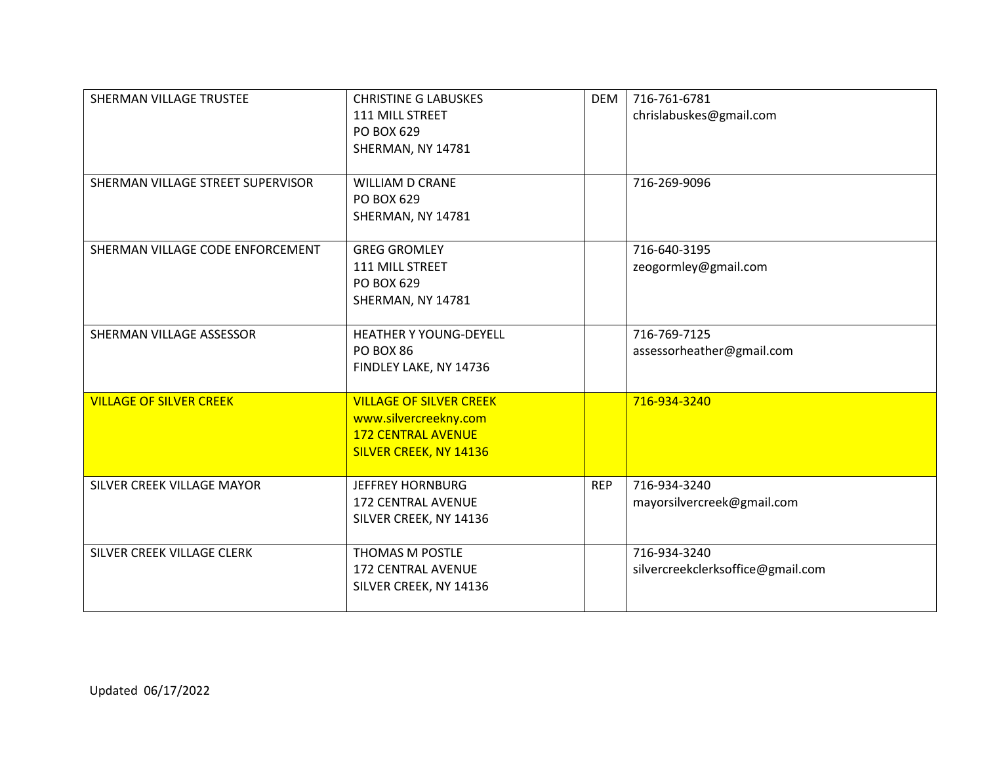| SHERMAN VILLAGE TRUSTEE<br>SHERMAN VILLAGE STREET SUPERVISOR | <b>CHRISTINE G LABUSKES</b><br>111 MILL STREET<br>PO BOX 629<br>SHERMAN, NY 14781<br><b>WILLIAM D CRANE</b>    | <b>DEM</b> | 716-761-6781<br>chrislabuskes@gmail.com<br>716-269-9096 |
|--------------------------------------------------------------|----------------------------------------------------------------------------------------------------------------|------------|---------------------------------------------------------|
|                                                              | PO BOX 629<br>SHERMAN, NY 14781                                                                                |            |                                                         |
| SHERMAN VILLAGE CODE ENFORCEMENT                             | <b>GREG GROMLEY</b><br>111 MILL STREET<br>PO BOX 629<br>SHERMAN, NY 14781                                      |            | 716-640-3195<br>zeogormley@gmail.com                    |
| SHERMAN VILLAGE ASSESSOR                                     | <b>HEATHER Y YOUNG-DEYELL</b><br><b>PO BOX 86</b><br>FINDLEY LAKE, NY 14736                                    |            | 716-769-7125<br>assessorheather@gmail.com               |
| <b>VILLAGE OF SILVER CREEK</b>                               | <b>VILLAGE OF SILVER CREEK</b><br>www.silvercreekny.com<br><b>172 CENTRAL AVENUE</b><br>SILVER CREEK, NY 14136 |            | 716-934-3240                                            |
| SILVER CREEK VILLAGE MAYOR                                   | <b>JEFFREY HORNBURG</b><br><b>172 CENTRAL AVENUE</b><br>SILVER CREEK, NY 14136                                 | <b>REP</b> | 716-934-3240<br>mayorsilvercreek@gmail.com              |
| SILVER CREEK VILLAGE CLERK                                   | THOMAS M POSTLE<br>172 CENTRAL AVENUE<br>SILVER CREEK, NY 14136                                                |            | 716-934-3240<br>silvercreekclerksoffice@gmail.com       |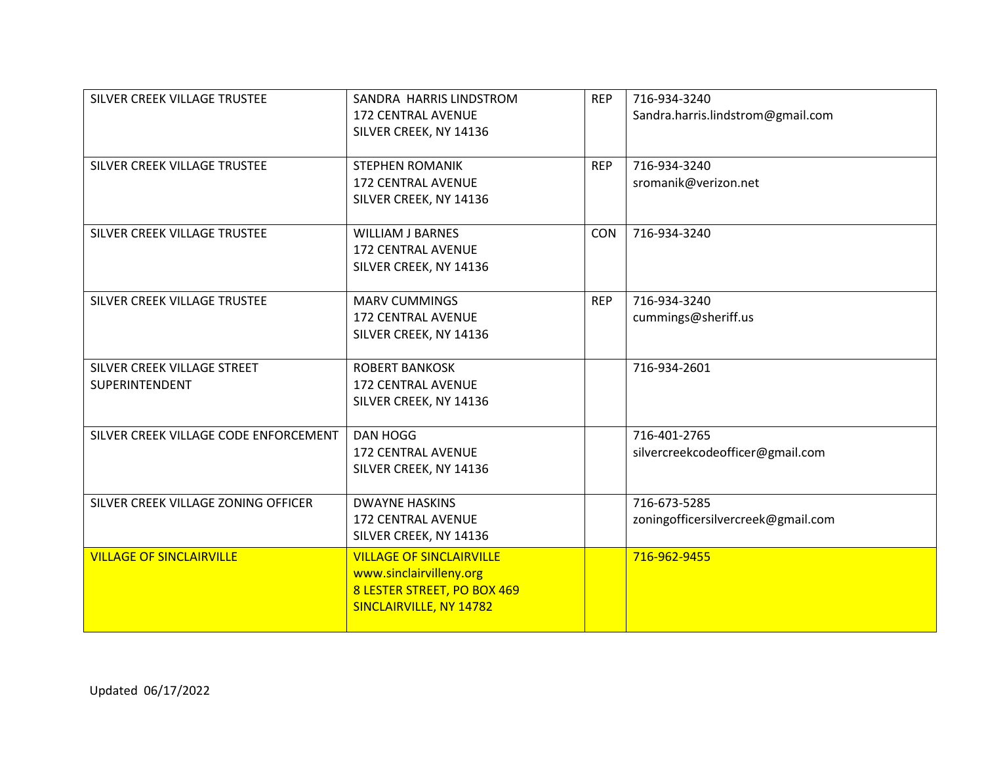| SILVER CREEK VILLAGE TRUSTEE<br>SILVER CREEK VILLAGE TRUSTEE | SANDRA HARRIS LINDSTROM<br><b>172 CENTRAL AVENUE</b><br>SILVER CREEK, NY 14136<br><b>STEPHEN ROMANIK</b>             | <b>REP</b><br><b>REP</b> | 716-934-3240<br>Sandra.harris.lindstrom@gmail.com<br>716-934-3240 |
|--------------------------------------------------------------|----------------------------------------------------------------------------------------------------------------------|--------------------------|-------------------------------------------------------------------|
|                                                              | <b>172 CENTRAL AVENUE</b><br>SILVER CREEK, NY 14136                                                                  |                          | sromanik@verizon.net                                              |
| SILVER CREEK VILLAGE TRUSTEE                                 | <b>WILLIAM J BARNES</b><br><b>172 CENTRAL AVENUE</b><br>SILVER CREEK, NY 14136                                       | <b>CON</b>               | 716-934-3240                                                      |
| SILVER CREEK VILLAGE TRUSTEE                                 | <b>MARV CUMMINGS</b><br><b>172 CENTRAL AVENUE</b><br>SILVER CREEK, NY 14136                                          | <b>REP</b>               | 716-934-3240<br>cummings@sheriff.us                               |
| SILVER CREEK VILLAGE STREET<br>SUPERINTENDENT                | <b>ROBERT BANKOSK</b><br><b>172 CENTRAL AVENUE</b><br>SILVER CREEK, NY 14136                                         |                          | 716-934-2601                                                      |
| SILVER CREEK VILLAGE CODE ENFORCEMENT                        | <b>DAN HOGG</b><br><b>172 CENTRAL AVENUE</b><br>SILVER CREEK, NY 14136                                               |                          | 716-401-2765<br>silvercreekcodeofficer@gmail.com                  |
| SILVER CREEK VILLAGE ZONING OFFICER                          | <b>DWAYNE HASKINS</b><br><b>172 CENTRAL AVENUE</b><br>SILVER CREEK, NY 14136                                         |                          | 716-673-5285<br>zoningofficersilvercreek@gmail.com                |
| <b>VILLAGE OF SINCLAIRVILLE</b>                              | <b>VILLAGE OF SINCLAIRVILLE</b><br>www.sinclairvilleny.org<br>8 LESTER STREET, PO BOX 469<br>SINCLAIRVILLE, NY 14782 |                          | 716-962-9455                                                      |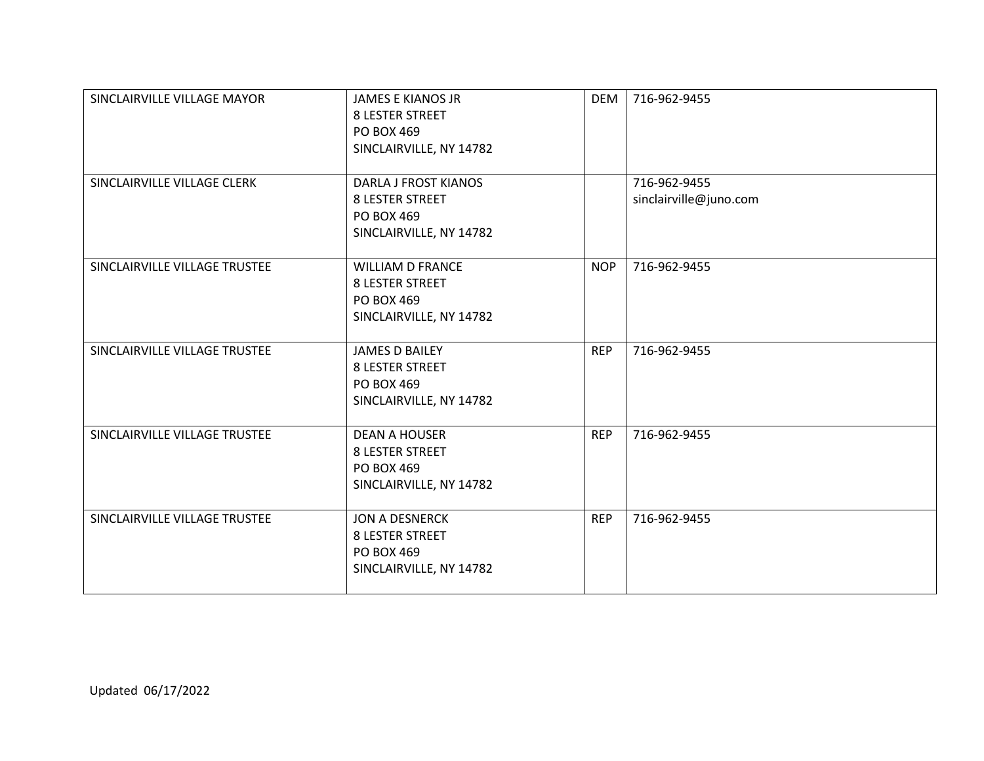| SINCLAIRVILLE VILLAGE MAYOR   | <b>JAMES E KIANOS JR</b><br><b>8 LESTER STREET</b><br>PO BOX 469<br>SINCLAIRVILLE, NY 14782    | <b>DEM</b> | 716-962-9455                           |
|-------------------------------|------------------------------------------------------------------------------------------------|------------|----------------------------------------|
| SINCLAIRVILLE VILLAGE CLERK   | <b>DARLA J FROST KIANOS</b><br><b>8 LESTER STREET</b><br>PO BOX 469<br>SINCLAIRVILLE, NY 14782 |            | 716-962-9455<br>sinclairville@juno.com |
| SINCLAIRVILLE VILLAGE TRUSTEE | <b>WILLIAM D FRANCE</b><br><b>8 LESTER STREET</b><br>PO BOX 469<br>SINCLAIRVILLE, NY 14782     | <b>NOP</b> | 716-962-9455                           |
| SINCLAIRVILLE VILLAGE TRUSTEE | <b>JAMES D BAILEY</b><br><b>8 LESTER STREET</b><br>PO BOX 469<br>SINCLAIRVILLE, NY 14782       | <b>REP</b> | 716-962-9455                           |
| SINCLAIRVILLE VILLAGE TRUSTEE | <b>DEAN A HOUSER</b><br><b>8 LESTER STREET</b><br>PO BOX 469<br>SINCLAIRVILLE, NY 14782        | <b>REP</b> | 716-962-9455                           |
| SINCLAIRVILLE VILLAGE TRUSTEE | JON A DESNERCK<br><b>8 LESTER STREET</b><br>PO BOX 469<br>SINCLAIRVILLE, NY 14782              | <b>REP</b> | 716-962-9455                           |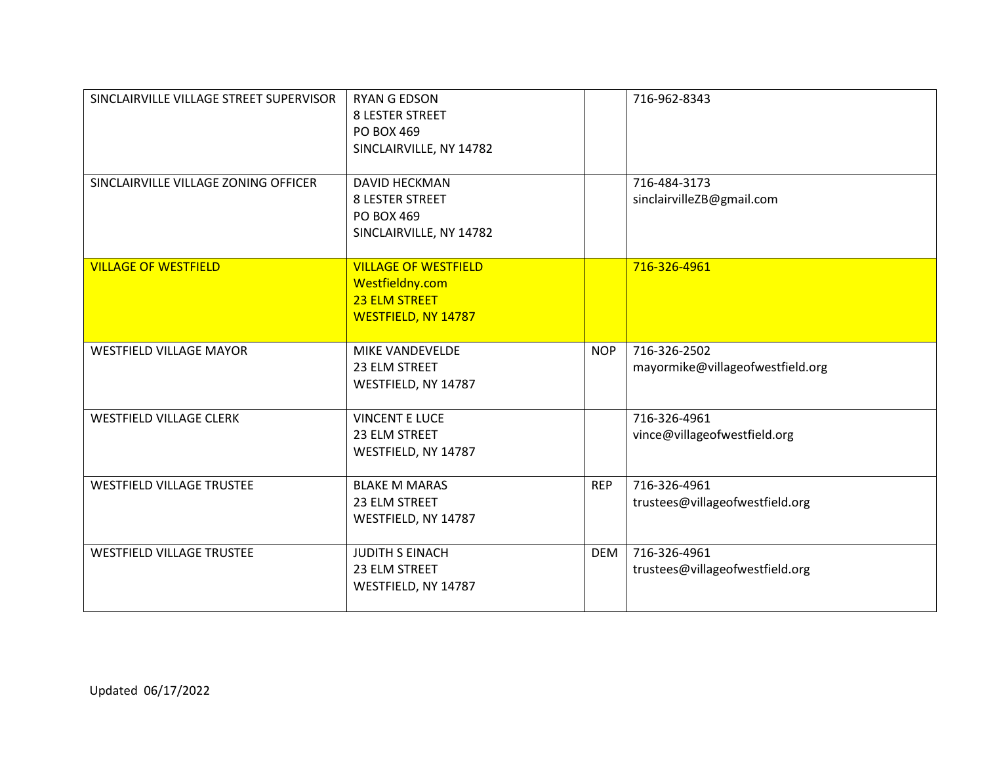| SINCLAIRVILLE VILLAGE STREET SUPERVISOR | <b>RYAN G EDSON</b><br><b>8 LESTER STREET</b><br>PO BOX 469<br>SINCLAIRVILLE, NY 14782  |            | 716-962-8343                                     |
|-----------------------------------------|-----------------------------------------------------------------------------------------|------------|--------------------------------------------------|
| SINCLAIRVILLE VILLAGE ZONING OFFICER    | <b>DAVID HECKMAN</b><br><b>8 LESTER STREET</b><br>PO BOX 469<br>SINCLAIRVILLE, NY 14782 |            | 716-484-3173<br>sinclairvilleZB@gmail.com        |
| <b>VILLAGE OF WESTFIELD</b>             | <b>VILLAGE OF WESTFIELD</b><br>Westfieldny.com<br>23 ELM STREET<br>WESTFIELD, NY 14787  |            | 716-326-4961                                     |
| <b>WESTFIELD VILLAGE MAYOR</b>          | <b>MIKE VANDEVELDE</b><br>23 ELM STREET<br>WESTFIELD, NY 14787                          | <b>NOP</b> | 716-326-2502<br>mayormike@villageofwestfield.org |
| <b>WESTFIELD VILLAGE CLERK</b>          | <b>VINCENT E LUCE</b><br>23 ELM STREET<br>WESTFIELD, NY 14787                           |            | 716-326-4961<br>vince@villageofwestfield.org     |
| <b>WESTFIELD VILLAGE TRUSTEE</b>        | <b>BLAKE M MARAS</b><br>23 ELM STREET<br>WESTFIELD, NY 14787                            | <b>REP</b> | 716-326-4961<br>trustees@villageofwestfield.org  |
| <b>WESTFIELD VILLAGE TRUSTEE</b>        | <b>JUDITH S EINACH</b><br>23 ELM STREET<br>WESTFIELD, NY 14787                          | <b>DEM</b> | 716-326-4961<br>trustees@villageofwestfield.org  |